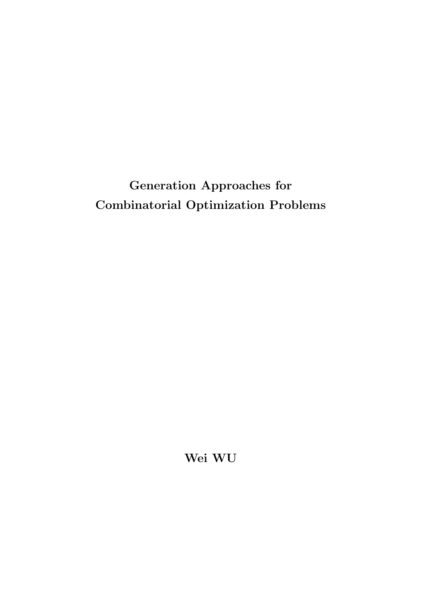# Generation Approaches for **Combinatorial Optimization Problems**

Wei WU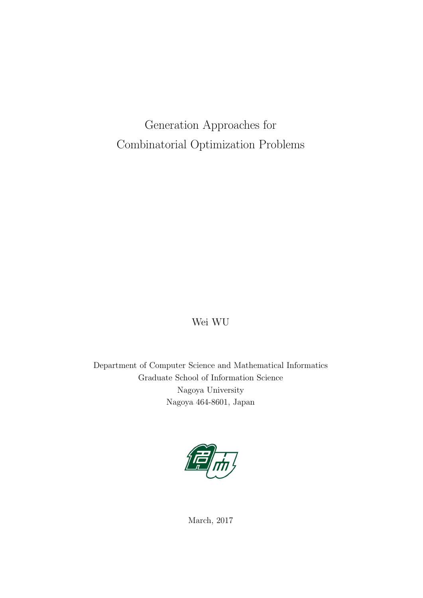Generation Approaches for Combinatorial Optimization Problems

### Wei WU

Department of Computer Science and Mathematical Informatics Graduate School of Information Science Nagoya University Nagoya 464-8601, Japan



March, 2017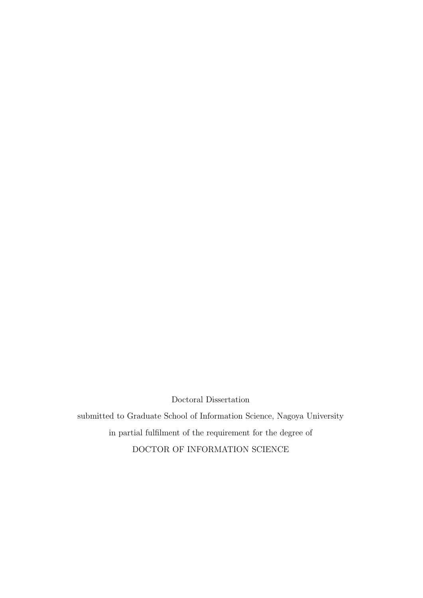Doctoral Dissertation

submitted to Graduate School of Information Science, Nagoya University in partial fulfilment of the requirement for the degree of DOCTOR OF INFORMATION SCIENCE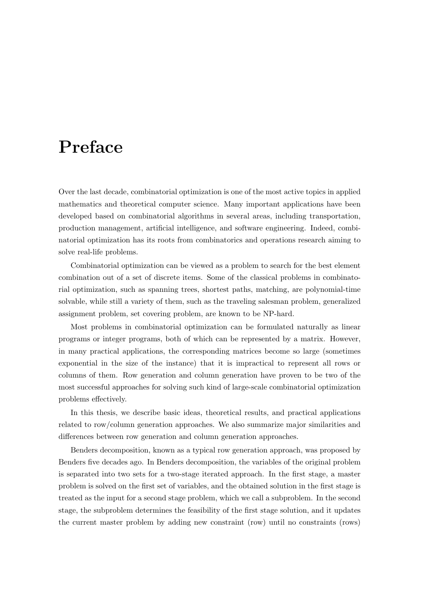# Preface

Over the last decade, combinatorial optimization is one of the most active topics in applied mathematics and theoretical computer science. Many important applications have been developed based on combinatorial algorithms in several areas, including transportation, production management, artificial intelligence, and software engineering. Indeed, combinatorial optimization has its roots from combinatorics and operations research aiming to solve real-life problems.

Combinatorial optimization can be viewed as a problem to search for the best element combination out of a set of discrete items. Some of the classical problems in combinatorial optimization, such as spanning trees, shortest paths, matching, are polynomial-time solvable, while still a variety of them, such as the traveling salesman problem, generalized assignment problem, set covering problem, are known to be NP-hard.

Most problems in combinatorial optimization can be formulated naturally as linear programs or integer programs, both of which can be represented by a matrix. However, in many practical applications, the corresponding matrices become so large (sometimes exponential in the size of the instance) that it is impractical to represent all rows or columns of them. Row generation and column generation have proven to be two of the most successful approaches for solving such kind of large-scale combinatorial optimization problems effectively.

In this thesis, we describe basic ideas, theoretical results, and practical applications related to row/column generation approaches. We also summarize major similarities and differences between row generation and column generation approaches.

Benders decomposition, known as a typical row generation approach, was proposed by Benders five decades ago. In Benders decomposition, the variables of the original problem is separated into two sets for a two-stage iterated approach. In the first stage, a master problem is solved on the first set of variables, and the obtained solution in the first stage is treated as the input for a second stage problem, which we call a subproblem. In the second stage, the subproblem determines the feasibility of the first stage solution, and it updates the current master problem by adding new constraint (row) until no constraints (rows)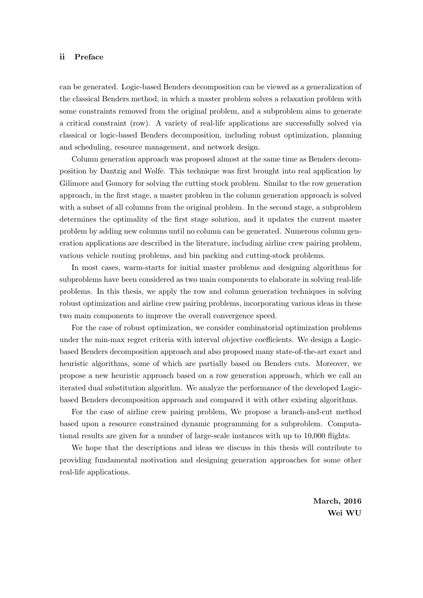#### ii Preface

can be generated. Logic-based Benders decomposition can be viewed as a generalization of the classical Benders method, in which a master problem solves a relaxation problem with some constraints removed from the original problem, and a subproblem aims to generate a critical constraint (row). A variety of real-life applications are successfully solved via classical or logic-based Benders decomposition, including robust optimization, planning and scheduling, resource management, and network design.

Column generation approach was proposed almost at the same time as Benders decomposition by Dantzig and Wolfe. This technique was first brought into real application by Gilimore and Gomory for solving the cutting stock problem. Similar to the row generation approach, in the first stage, a master problem in the column generation approach is solved with a subset of all columns from the original problem. In the second stage, a subproblem determines the optimality of the first stage solution, and it updates the current master problem by adding new columns until no column can be generated. Numerous column generation applications are described in the literature, including airline crew pairing problem, various vehicle routing problems, and bin packing and cutting-stock problems.

In most cases, warm-starts for initial master problems and designing algorithms for subproblems have been considered as two main components to elaborate in solving real-life problems. In this thesis, we apply the row and column generation techniques in solving robust optimization and airline crew pairing problems, incorporating various ideas in these two main components to improve the overall convergence speed.

For the case of robust optimization, we consider combinatorial optimization problems under the min-max regret criteria with interval objective coefficients. We design a Logicbased Benders decomposition approach and also proposed many state-of-the-art exact and heuristic algorithms, some of which are partially based on Benders cuts. Moreover, we propose a new heuristic approach based on a row generation approach, which we call an iterated dual substitution algorithm. We analyze the performance of the developed Logicbased Benders decomposition approach and compared it with other existing algorithms.

For the case of airline crew pairing problem, We propose a branch-and-cut method based upon a resource constrained dynamic programming for a subproblem. Computational results are given for a number of large-scale instances with up to 10,000 flights.

We hope that the descriptions and ideas we discuss in this thesis will contribute to providing fundamental motivation and designing generation approaches for some other real-life applications.

> March, 2016 Wei WU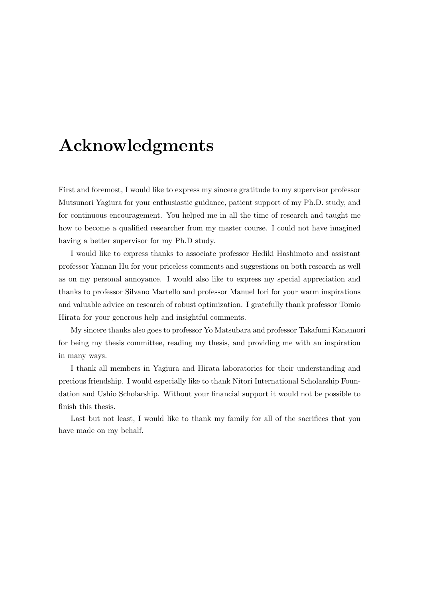# Acknowledgments

First and foremost, I would like to express my sincere gratitude to my supervisor professor Mutsunori Yagiura for your enthusiastic guidance, patient support of my Ph.D. study, and for continuous encouragement. You helped me in all the time of research and taught me how to become a qualified researcher from my master course. I could not have imagined having a better supervisor for my Ph.D study.

I would like to express thanks to associate professor Hediki Hashimoto and assistant professor Yannan Hu for your priceless comments and suggestions on both research as well as on my personal annoyance. I would also like to express my special appreciation and thanks to professor Silvano Martello and professor Manuel Iori for your warm inspirations and valuable advice on research of robust optimization. I gratefully thank professor Tomio Hirata for your generous help and insightful comments.

My sincere thanks also goes to professor Yo Matsubara and professor Takafumi Kanamori for being my thesis committee, reading my thesis, and providing me with an inspiration in many ways.

I thank all members in Yagiura and Hirata laboratories for their understanding and precious friendship. I would especially like to thank Nitori International Scholarship Foundation and Ushio Scholarship. Without your financial support it would not be possible to finish this thesis.

Last but not least, I would like to thank my family for all of the sacrifices that you have made on my behalf.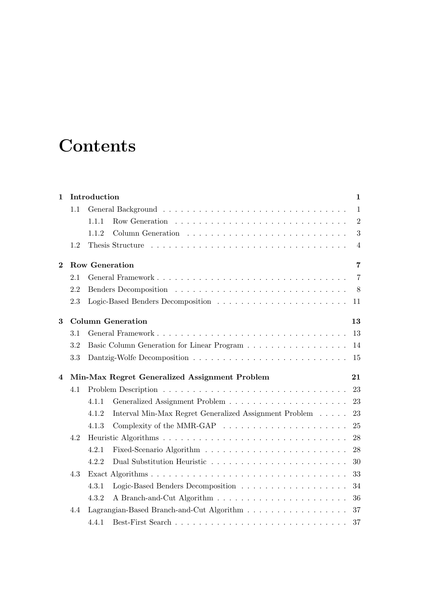# **Contents**

| $\mathbf{1}$ |     | Introduction<br>$\mathbf{1}$                                                                               |
|--------------|-----|------------------------------------------------------------------------------------------------------------|
|              | 1.1 | $\mathbf{1}$                                                                                               |
|              |     | Row Generation $\ldots \ldots \ldots \ldots \ldots \ldots \ldots \ldots \ldots$<br>$\overline{2}$<br>1.1.1 |
|              |     | 3<br>1.1.2                                                                                                 |
|              | 1.2 | $\overline{4}$                                                                                             |
| $\bf{2}$     |     | <b>Row Generation</b><br>$\overline{7}$                                                                    |
|              | 2.1 | $\overline{7}$                                                                                             |
|              | 2.2 | 8                                                                                                          |
|              | 2.3 | 11                                                                                                         |
| 3            |     | <b>Column Generation</b><br>13                                                                             |
|              | 3.1 | 13                                                                                                         |
|              | 3.2 | 14                                                                                                         |
|              | 3.3 | 15                                                                                                         |
| 4            |     | Min-Max Regret Generalized Assignment Problem<br>21                                                        |
|              | 4.1 | 23                                                                                                         |
|              |     | 23<br>4.1.1                                                                                                |
|              |     | 23<br>Interval Min-Max Regret Generalized Assignment Problem<br>4.1.2                                      |
|              |     | Complexity of the MMR-GAP $\ldots \ldots \ldots \ldots \ldots \ldots \ldots$<br>25<br>4.1.3                |
|              | 4.2 | 28                                                                                                         |
|              |     | 28<br>4.2.1                                                                                                |
|              |     | 4.2.2<br>30                                                                                                |
|              | 4.3 | 33                                                                                                         |
|              |     | 34<br>4.3.1                                                                                                |
|              |     | 36<br>4.3.2                                                                                                |
|              | 4.4 | 37                                                                                                         |
|              |     | 4.4.1<br>37                                                                                                |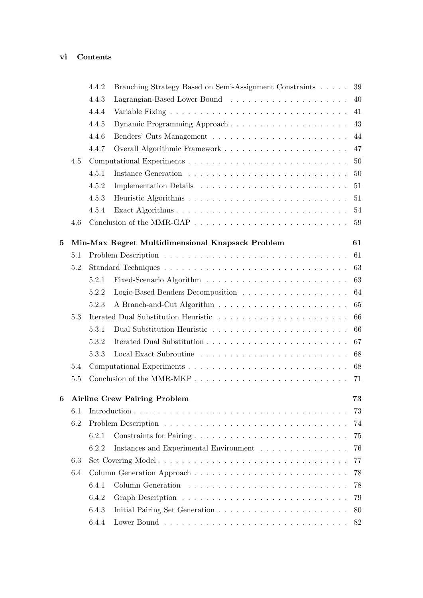### vi Contents

|     | 4.4.2 | Branching Strategy Based on Semi-Assignment Constraints | 39                                                                                                                                                                                                                                                                                                                           |
|-----|-------|---------------------------------------------------------|------------------------------------------------------------------------------------------------------------------------------------------------------------------------------------------------------------------------------------------------------------------------------------------------------------------------------|
|     | 4.4.3 |                                                         |                                                                                                                                                                                                                                                                                                                              |
|     | 4.4.4 |                                                         | 41                                                                                                                                                                                                                                                                                                                           |
|     | 4.4.5 |                                                         | 43                                                                                                                                                                                                                                                                                                                           |
|     | 4.4.6 |                                                         | 44                                                                                                                                                                                                                                                                                                                           |
|     | 4.4.7 |                                                         | 47                                                                                                                                                                                                                                                                                                                           |
| 4.5 |       |                                                         | 50                                                                                                                                                                                                                                                                                                                           |
|     | 4.5.1 |                                                         | 50                                                                                                                                                                                                                                                                                                                           |
|     | 4.5.2 |                                                         | 51                                                                                                                                                                                                                                                                                                                           |
|     | 4.5.3 |                                                         | 51                                                                                                                                                                                                                                                                                                                           |
|     | 4.5.4 |                                                         | 54                                                                                                                                                                                                                                                                                                                           |
| 4.6 |       |                                                         | 59                                                                                                                                                                                                                                                                                                                           |
|     |       |                                                         | 61                                                                                                                                                                                                                                                                                                                           |
| 5.1 |       |                                                         | 61                                                                                                                                                                                                                                                                                                                           |
| 5.2 |       |                                                         |                                                                                                                                                                                                                                                                                                                              |
|     | 5.2.1 |                                                         | 63                                                                                                                                                                                                                                                                                                                           |
|     | 5.2.2 |                                                         | 64                                                                                                                                                                                                                                                                                                                           |
|     | 5.2.3 |                                                         | 65                                                                                                                                                                                                                                                                                                                           |
| 5.3 |       |                                                         | 66                                                                                                                                                                                                                                                                                                                           |
|     | 5.3.1 |                                                         | 66                                                                                                                                                                                                                                                                                                                           |
|     | 5.3.2 |                                                         | 67                                                                                                                                                                                                                                                                                                                           |
|     | 5.3.3 |                                                         | 68                                                                                                                                                                                                                                                                                                                           |
| 5.4 |       |                                                         | 68                                                                                                                                                                                                                                                                                                                           |
| 5.5 |       |                                                         | 71                                                                                                                                                                                                                                                                                                                           |
|     |       |                                                         | 73                                                                                                                                                                                                                                                                                                                           |
| 6.1 |       |                                                         | 73                                                                                                                                                                                                                                                                                                                           |
| 6.2 |       |                                                         | 74                                                                                                                                                                                                                                                                                                                           |
|     | 6.2.1 |                                                         | 75                                                                                                                                                                                                                                                                                                                           |
|     | 6.2.2 |                                                         | 76                                                                                                                                                                                                                                                                                                                           |
| 6.3 |       |                                                         | 77                                                                                                                                                                                                                                                                                                                           |
| 6.4 |       |                                                         | 78                                                                                                                                                                                                                                                                                                                           |
|     | 6.4.1 |                                                         | 78                                                                                                                                                                                                                                                                                                                           |
|     | 6.4.2 |                                                         | 79                                                                                                                                                                                                                                                                                                                           |
|     | 6.4.3 |                                                         | 80                                                                                                                                                                                                                                                                                                                           |
|     | 6.4.4 |                                                         | 82                                                                                                                                                                                                                                                                                                                           |
|     |       |                                                         | Variable Fixing $\ldots \ldots \ldots \ldots \ldots \ldots \ldots \ldots \ldots \ldots$<br>Dynamic Programming Approach<br>Min-Max Regret Multidimensional Knapsack Problem<br><b>Airline Crew Pairing Problem</b><br>Constraints for Pairing<br>Instances and Experimental Environment $\ldots \ldots \ldots \ldots \ldots$ |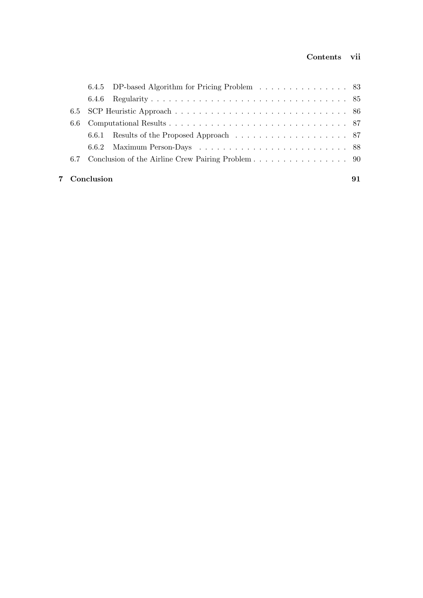|     | 7 Conclusion                                    | 91 |
|-----|-------------------------------------------------|----|
| 6.7 |                                                 |    |
|     |                                                 |    |
|     |                                                 |    |
|     |                                                 |    |
|     |                                                 |    |
|     |                                                 |    |
|     | 6.4.5 DP-based Algorithm for Pricing Problem 83 |    |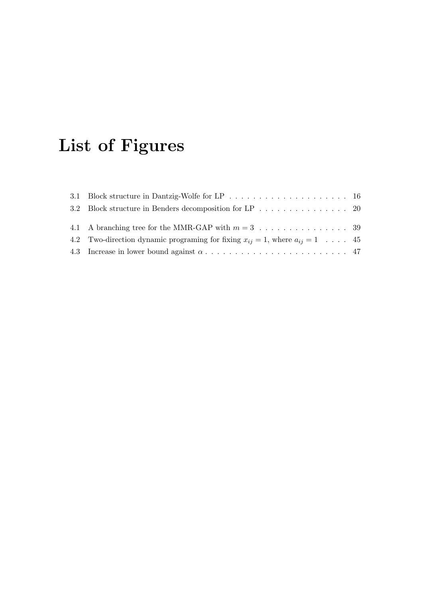# List of Figures

| 3.2 Block structure in Benders decomposition for LP 20                                     |  |
|--------------------------------------------------------------------------------------------|--|
|                                                                                            |  |
| 4.2 Two-direction dynamic programing for fixing $x_{ij} = 1$ , where $a_{ij} = 1 \dots$ 45 |  |
|                                                                                            |  |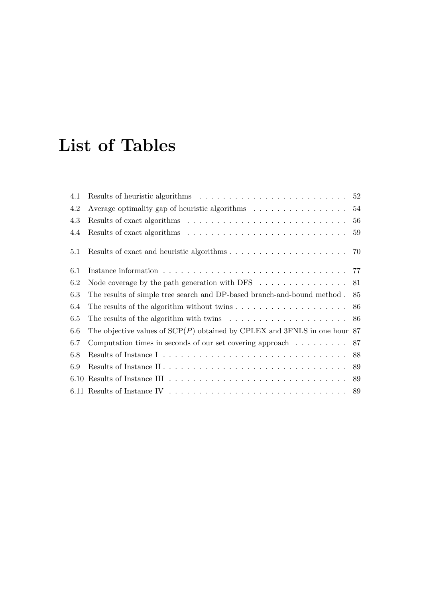# List of Tables

| 4.1 | Results of heuristic algorithms $\dots \dots \dots \dots \dots \dots \dots \dots \dots \dots \dots$                      |    |
|-----|--------------------------------------------------------------------------------------------------------------------------|----|
| 4.2 | Average optimality gap of heuristic algorithms $\dots \dots \dots \dots \dots \dots$                                     |    |
| 4.3 |                                                                                                                          |    |
| 4.4 |                                                                                                                          |    |
| 5.1 |                                                                                                                          |    |
| 6.1 |                                                                                                                          |    |
| 6.2 | Node coverage by the path generation with DFS $\ldots \ldots \ldots \ldots \ldots 81$                                    |    |
| 6.3 | The results of simple tree search and DP-based branch-and-bound method.                                                  | 85 |
| 6.4 |                                                                                                                          |    |
| 6.5 | The results of the algorithm with twins $\ldots \ldots \ldots \ldots \ldots \ldots \ldots 86$                            |    |
| 6.6 | The objective values of $\text{SCP}(P)$ obtained by CPLEX and 3FNLS in one hour 87                                       |    |
| 6.7 | Computation times in seconds of our set covering approach $\ldots \ldots \ldots$ 87                                      |    |
| 6.8 |                                                                                                                          |    |
| 6.9 |                                                                                                                          |    |
|     | 6.10 Results of Instance III $\ldots \ldots \ldots \ldots \ldots \ldots \ldots \ldots \ldots \ldots \ldots \ldots$ 89    |    |
|     | 6.11 Results of Instance IV $\ldots \ldots \ldots \ldots \ldots \ldots \ldots \ldots \ldots \ldots \ldots \ldots \ldots$ |    |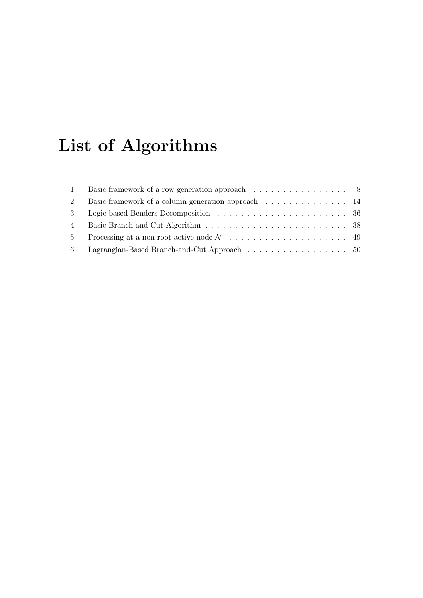# List of Algorithms

|             | 1 Basic framework of a row generation approach 8   |  |
|-------------|----------------------------------------------------|--|
| $2^{\circ}$ | Basic framework of a column generation approach 14 |  |
|             |                                                    |  |
|             |                                                    |  |
|             |                                                    |  |
|             | 6 Lagrangian-Based Branch-and-Cut Approach 50      |  |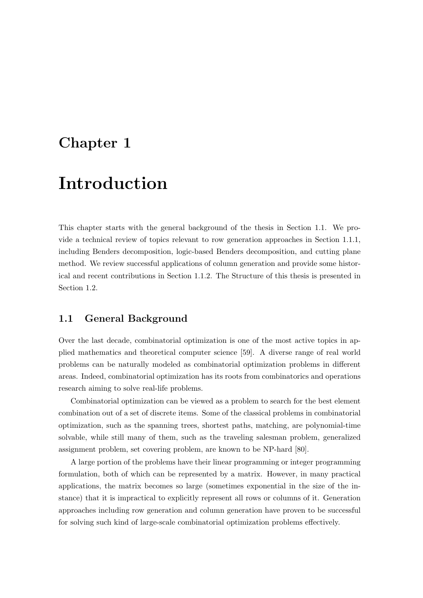### Chapter 1

# Introduction

This chapter starts with the general background of the thesis in Section 1.1. We provide a technical review of topics relevant to row generation approaches in Section 1.1.1, including Benders decomposition, logic-based Benders decomposition, and cutting plane method. We review successful applications of column generation and provide some historical and recent contributions in Section 1.1.2. The Structure of this thesis is presented in Section 1.2.

### 1.1 General Background

Over the last decade, combinatorial optimization is one of the most active topics in applied mathematics and theoretical computer science [59]. A diverse range of real world problems can be naturally modeled as combinatorial optimization problems in different areas. Indeed, combinatorial optimization has its roots from combinatorics and operations research aiming to solve real-life problems.

Combinatorial optimization can be viewed as a problem to search for the best element combination out of a set of discrete items. Some of the classical problems in combinatorial optimization, such as the spanning trees, shortest paths, matching, are polynomial-time solvable, while still many of them, such as the traveling salesman problem, generalized assignment problem, set covering problem, are known to be NP-hard [80].

A large portion of the problems have their linear programming or integer programming formulation, both of which can be represented by a matrix. However, in many practical applications, the matrix becomes so large (sometimes exponential in the size of the instance) that it is impractical to explicitly represent all rows or columns of it. Generation approaches including row generation and column generation have proven to be successful for solving such kind of large-scale combinatorial optimization problems effectively.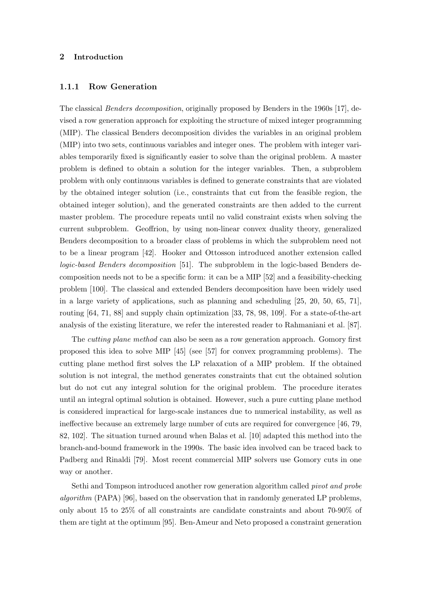#### 2 Introduction

#### 1.1.1 Row Generation

The classical Benders decomposition, originally proposed by Benders in the 1960s [17], devised a row generation approach for exploiting the structure of mixed integer programming (MIP). The classical Benders decomposition divides the variables in an original problem (MIP) into two sets, continuous variables and integer ones. The problem with integer variables temporarily fixed is significantly easier to solve than the original problem. A master problem is defined to obtain a solution for the integer variables. Then, a subproblem problem with only continuous variables is defined to generate constraints that are violated by the obtained integer solution (i.e., constraints that cut from the feasible region, the obtained integer solution), and the generated constraints are then added to the current master problem. The procedure repeats until no valid constraint exists when solving the current subproblem. Geoffrion, by using non-linear convex duality theory, generalized Benders decomposition to a broader class of problems in which the subproblem need not to be a linear program [42]. Hooker and Ottosson introduced another extension called logic-based Benders decomposition [51]. The subproblem in the logic-based Benders decomposition needs not to be a specific form: it can be a MIP [52] and a feasibility-checking problem [100]. The classical and extended Benders decomposition have been widely used in a large variety of applications, such as planning and scheduling [25, 20, 50, 65, 71], routing [64, 71, 88] and supply chain optimization [33, 78, 98, 109]. For a state-of-the-art analysis of the existing literature, we refer the interested reader to Rahmaniani et al. [87].

The cutting plane method can also be seen as a row generation approach. Gomory first proposed this idea to solve MIP [45] (see [57] for convex programming problems). The cutting plane method first solves the LP relaxation of a MIP problem. If the obtained solution is not integral, the method generates constraints that cut the obtained solution but do not cut any integral solution for the original problem. The procedure iterates until an integral optimal solution is obtained. However, such a pure cutting plane method is considered impractical for large-scale instances due to numerical instability, as well as ineffective because an extremely large number of cuts are required for convergence [46, 79, 82, 102]. The situation turned around when Balas et al. [10] adapted this method into the branch-and-bound framework in the 1990s. The basic idea involved can be traced back to Padberg and Rinaldi [79]. Most recent commercial MIP solvers use Gomory cuts in one way or another.

Sethi and Tompson introduced another row generation algorithm called pivot and probe algorithm  $(PAPA)$  [96], based on the observation that in randomly generated LP problems, only about 15 to 25% of all constraints are candidate constraints and about 70-90% of them are tight at the optimum [95]. Ben-Ameur and Neto proposed a constraint generation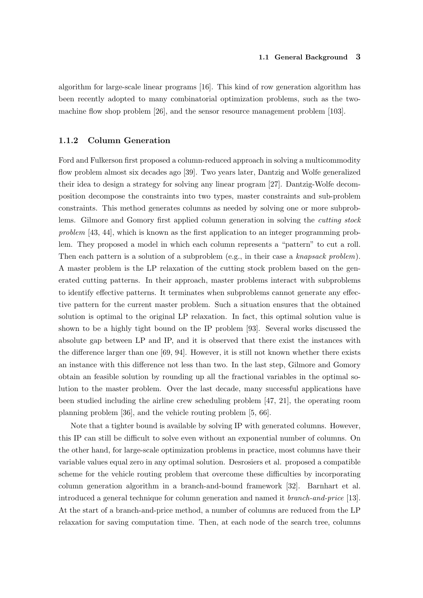algorithm for large-scale linear programs [16]. This kind of row generation algorithm has been recently adopted to many combinatorial optimization problems, such as the twomachine flow shop problem [26], and the sensor resource management problem [103].

#### 1.1.2 Column Generation

Ford and Fulkerson first proposed a column-reduced approach in solving a multicommodity flow problem almost six decades ago [39]. Two years later, Dantzig and Wolfe generalized their idea to design a strategy for solving any linear program [27]. Dantzig-Wolfe decomposition decompose the constraints into two types, master constraints and sub-problem constraints. This method generates columns as needed by solving one or more subproblems. Gilmore and Gomory first applied column generation in solving the cutting stock problem [43, 44], which is known as the first application to an integer programming problem. They proposed a model in which each column represents a "pattern" to cut a roll. Then each pattern is a solution of a subproblem (e.g., in their case a knapsack problem). A master problem is the LP relaxation of the cutting stock problem based on the generated cutting patterns. In their approach, master problems interact with subproblems to identify effective patterns. It terminates when subproblems cannot generate any effective pattern for the current master problem. Such a situation ensures that the obtained solution is optimal to the original LP relaxation. In fact, this optimal solution value is shown to be a highly tight bound on the IP problem [93]. Several works discussed the absolute gap between LP and IP, and it is observed that there exist the instances with the difference larger than one [69, 94]. However, it is still not known whether there exists an instance with this difference not less than two. In the last step, Gilmore and Gomory obtain an feasible solution by rounding up all the fractional variables in the optimal solution to the master problem. Over the last decade, many successful applications have been studied including the airline crew scheduling problem [47, 21], the operating room planning problem [36], and the vehicle routing problem [5, 66].

Note that a tighter bound is available by solving IP with generated columns. However, this IP can still be difficult to solve even without an exponential number of columns. On the other hand, for large-scale optimization problems in practice, most columns have their variable values equal zero in any optimal solution. Desrosiers et al. proposed a compatible scheme for the vehicle routing problem that overcome these difficulties by incorporating column generation algorithm in a branch-and-bound framework [32]. Barnhart et al. introduced a general technique for column generation and named it branch-and-price [13]. At the start of a branch-and-price method, a number of columns are reduced from the LP relaxation for saving computation time. Then, at each node of the search tree, columns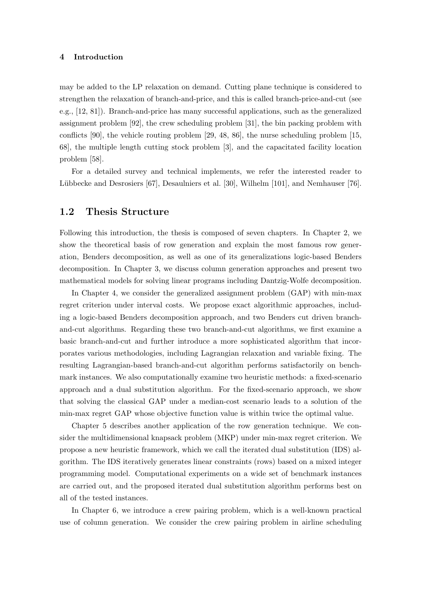#### 4 Introduction

may be added to the LP relaxation on demand. Cutting plane technique is considered to strengthen the relaxation of branch-and-price, and this is called branch-price-and-cut (see e.g., [12, 81]). Branch-and-price has many successful applications, such as the generalized assignment problem [92], the crew scheduling problem [31], the bin packing problem with conflicts [90], the vehicle routing problem [29, 48, 86], the nurse scheduling problem [15, 68], the multiple length cutting stock problem [3], and the capacitated facility location problem [58].

For a detailed survey and technical implements, we refer the interested reader to Lübbecke and Desrosiers [67], Desaulniers et al. [30], Wilhelm [101], and Nemhauser [76].

### 1.2 Thesis Structure

Following this introduction, the thesis is composed of seven chapters. In Chapter 2, we show the theoretical basis of row generation and explain the most famous row generation, Benders decomposition, as well as one of its generalizations logic-based Benders decomposition. In Chapter 3, we discuss column generation approaches and present two mathematical models for solving linear programs including Dantzig-Wolfe decomposition.

In Chapter 4, we consider the generalized assignment problem (GAP) with min-max regret criterion under interval costs. We propose exact algorithmic approaches, including a logic-based Benders decomposition approach, and two Benders cut driven branchand-cut algorithms. Regarding these two branch-and-cut algorithms, we first examine a basic branch-and-cut and further introduce a more sophisticated algorithm that incorporates various methodologies, including Lagrangian relaxation and variable fixing. The resulting Lagrangian-based branch-and-cut algorithm performs satisfactorily on benchmark instances. We also computationally examine two heuristic methods: a fixed-scenario approach and a dual substitution algorithm. For the fixed-scenario approach, we show that solving the classical GAP under a median-cost scenario leads to a solution of the min-max regret GAP whose objective function value is within twice the optimal value.

Chapter 5 describes another application of the row generation technique. We consider the multidimensional knapsack problem (MKP) under min-max regret criterion. We propose a new heuristic framework, which we call the iterated dual substitution (IDS) algorithm. The IDS iteratively generates linear constraints (rows) based on a mixed integer programming model. Computational experiments on a wide set of benchmark instances are carried out, and the proposed iterated dual substitution algorithm performs best on all of the tested instances.

In Chapter 6, we introduce a crew pairing problem, which is a well-known practical use of column generation. We consider the crew pairing problem in airline scheduling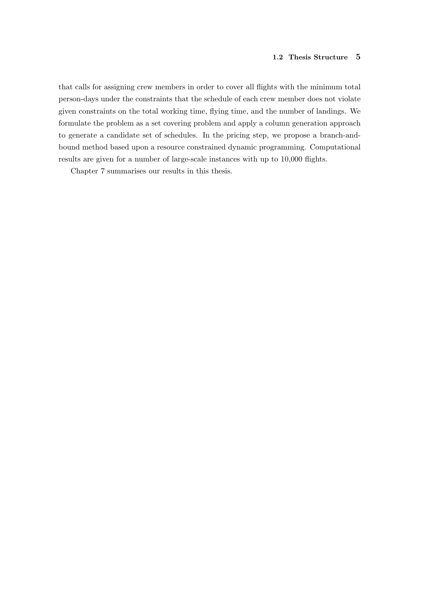that calls for assigning crew members in order to cover all flights with the minimum total person-days under the constraints that the schedule of each crew member does not violate given constraints on the total working time, flying time, and the number of landings. We formulate the problem as a set covering problem and apply a column generation approach to generate a candidate set of schedules. In the pricing step, we propose a branch-andbound method based upon a resource constrained dynamic programming. Computational results are given for a number of large-scale instances with up to 10,000 flights.

Chapter 7 summarises our results in this thesis.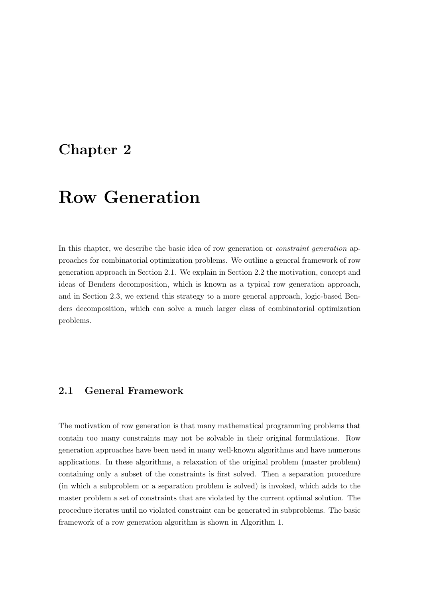## Chapter 2

# Row Generation

In this chapter, we describe the basic idea of row generation or *constraint generation* approaches for combinatorial optimization problems. We outline a general framework of row generation approach in Section 2.1. We explain in Section 2.2 the motivation, concept and ideas of Benders decomposition, which is known as a typical row generation approach, and in Section 2.3, we extend this strategy to a more general approach, logic-based Benders decomposition, which can solve a much larger class of combinatorial optimization problems.

### 2.1 General Framework

The motivation of row generation is that many mathematical programming problems that contain too many constraints may not be solvable in their original formulations. Row generation approaches have been used in many well-known algorithms and have numerous applications. In these algorithms, a relaxation of the original problem (master problem) containing only a subset of the constraints is first solved. Then a separation procedure (in which a subproblem or a separation problem is solved) is invoked, which adds to the master problem a set of constraints that are violated by the current optimal solution. The procedure iterates until no violated constraint can be generated in subproblems. The basic framework of a row generation algorithm is shown in Algorithm 1.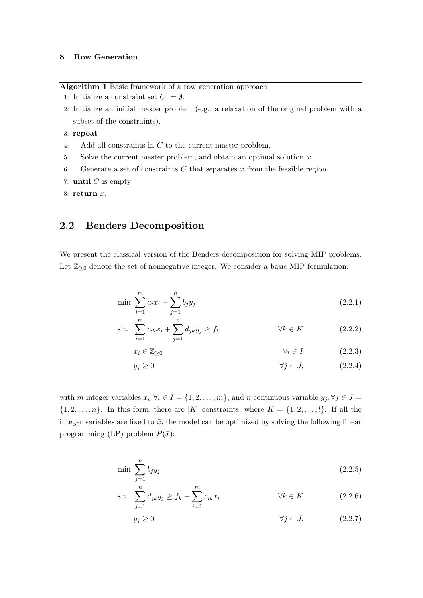#### 8 Row Generation

Algorithm 1 Basic framework of a row generation approach

```
1: Initialize a constraint set C := \emptyset.
```
- 2: Initialize an initial master problem (e.g., a relaxation of the original problem with a subset of the constraints).
- 3: repeat
- 4: Add all constraints in C to the current master problem.
- 5: Solve the current master problem, and obtain an optimal solution  $x$ .
- 6: Generate a set of constraints  $C$  that separates  $x$  from the feasible region.
- 7: until  $C$  is empty

8: return  $x$ .

### 2.2 Benders Decomposition

We present the classical version of the Benders decomposition for solving MIP problems. Let  $\mathbb{Z}_{\geq 0}$  denote the set of nonnegative integer. We consider a basic MIP formulation:

$$
\min \sum_{i=1}^{m} a_i x_i + \sum_{j=1}^{n} b_j y_j \tag{2.2.1}
$$

$$
\text{s.t. } \sum_{i=1}^{m} c_{ik} x_i + \sum_{j=1}^{n} d_{jk} y_j \ge f_k \qquad \forall k \in K \qquad (2.2.2)
$$

$$
x_i \in \mathbb{Z}_{\geq 0} \qquad \qquad \forall i \in I \tag{2.2.3}
$$

$$
y_j \ge 0 \qquad \qquad \forall j \in J, \tag{2.2.4}
$$

with m integer variables  $x_i, \forall i \in I = \{1, 2, ..., m\}$ , and n continuous variable  $y_j, \forall j \in J =$  $\{1, 2, \ldots, n\}$ . In this form, there are |K| constraints, where  $K = \{1, 2, \ldots, l\}$ . If all the integer variables are fixed to  $\bar{x}$ , the model can be optimized by solving the following linear programming (LP) problem  $P(\bar{x})$ :

$$
\min \sum_{j=1}^{n} b_j y_j \tag{2.2.5}
$$

$$
\text{s.t. } \sum_{j=1}^{n} d_{jk} y_j \ge f_k - \sum_{i=1}^{m} c_{ik} \bar{x}_i \qquad \forall k \in K \qquad (2.2.6)
$$

$$
y_j \ge 0 \qquad \qquad \forall j \in J. \tag{2.2.7}
$$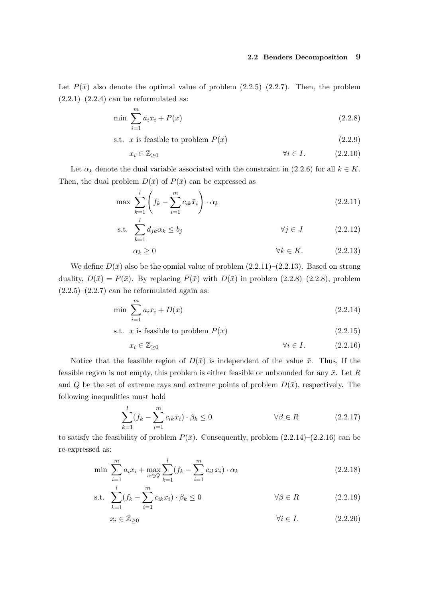#### 2.2 Benders Decomposition 9

Let  $P(\bar{x})$  also denote the optimal value of problem  $(2.2.5)-(2.2.7)$ . Then, the problem  $(2.2.1)$ – $(2.2.4)$  can be reformulated as:

$$
\min \sum_{i=1}^{m} a_i x_i + P(x) \tag{2.2.8}
$$

s.t. x is feasible to problem  $P(x)$  (2.2.9)

$$
x_i \in \mathbb{Z}_{\geq 0} \qquad \qquad \forall i \in I. \tag{2.2.10}
$$

Let  $\alpha_k$  denote the dual variable associated with the constraint in (2.2.6) for all  $k \in K$ . Then, the dual problem  $D(\bar{x})$  of  $P(\bar{x})$  can be expressed as

$$
\max \sum_{k=1}^{l} \left( f_k - \sum_{i=1}^{m} c_{ik} \bar{x}_i \right) \cdot \alpha_k \tag{2.2.11}
$$

$$
\text{s.t. } \sum_{k=1}^{n} d_{jk} \alpha_k \le b_j \qquad \qquad \forall j \in J \qquad (2.2.12)
$$

$$
\alpha_k \ge 0 \qquad \qquad \forall k \in K. \tag{2.2.13}
$$

We define  $D(\bar{x})$  also be the opmial value of problem  $(2.2.11)$ – $(2.2.13)$ . Based on strong duality,  $D(\bar{x}) = P(\bar{x})$ . By replacing  $P(\bar{x})$  with  $D(\bar{x})$  in problem (2.2.8)–(2.2.8), problem  $(2.2.5)$ – $(2.2.7)$  can be reformulated again as:

$$
\min \sum_{i=1}^{m} a_i x_i + D(x) \tag{2.2.14}
$$

s.t. 
$$
x
$$
 is feasible to problem  $P(x)$  (2.2.15)

$$
x_i \in \mathbb{Z}_{\geq 0} \qquad \qquad \forall i \in I. \tag{2.2.16}
$$

Notice that the feasible region of  $D(\bar{x})$  is independent of the value  $\bar{x}$ . Thus, If the feasible region is not empty, this problem is either feasible or unbounded for any  $\bar{x}$ . Let R and Q be the set of extreme rays and extreme points of problem  $D(\bar{x})$ , respectively. The following inequalities must hold

$$
\sum_{k=1}^{l} (f_k - \sum_{i=1}^{m} c_{ik}\bar{x}_i) \cdot \beta_k \le 0 \qquad \forall \beta \in R \qquad (2.2.17)
$$

to satisfy the feasibility of problem  $P(\bar{x})$ . Consequently, problem  $(2.2.14)$ – $(2.2.16)$  can be re-expressed as:

$$
\min \sum_{i=1}^{m} a_i x_i + \max_{\alpha \in Q} \sum_{k=1}^{l} (f_k - \sum_{i=1}^{m} c_{ik} x_i) \cdot \alpha_k
$$
\n(2.2.18)

$$
\text{s.t. } \sum_{k=1}^{l} (f_k - \sum_{i=1}^{m} c_{ik} x_i) \cdot \beta_k \le 0 \qquad \forall \beta \in R \qquad (2.2.19)
$$

$$
x_i \in \mathbb{Z}_{\geq 0} \qquad \qquad \forall i \in I. \tag{2.2.20}
$$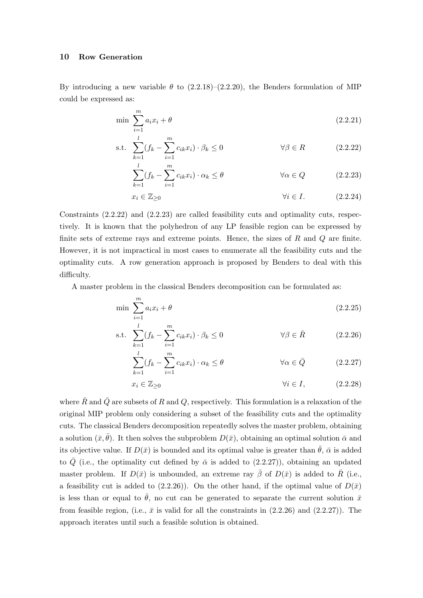#### 10 Row Generation

By introducing a new variable  $\theta$  to  $(2.2.18)$ – $(2.2.20)$ , the Benders formulation of MIP could be expressed as:

$$
\min \sum_{i=1}^{m} a_i x_i + \theta \tag{2.2.21}
$$

$$
\text{s.t. } \sum_{k=1}^{l} (f_k - \sum_{i=1}^{m} c_{ik} x_i) \cdot \beta_k \le 0 \qquad \forall \beta \in R \qquad (2.2.22)
$$

$$
\sum_{k=1}^{l} (f_k - \sum_{i=1}^{m} c_{ik} x_i) \cdot \alpha_k \le \theta \qquad \forall \alpha \in Q \qquad (2.2.23)
$$

$$
x_i \in \mathbb{Z}_{\geq 0} \qquad \qquad \forall i \in I. \tag{2.2.24}
$$

Constraints (2.2.22) and (2.2.23) are called feasibility cuts and optimality cuts, respectively. It is known that the polyhedron of any LP feasible region can be expressed by finite sets of extreme rays and extreme points. Hence, the sizes of  $R$  and  $Q$  are finite. However, it is not impractical in most cases to enumerate all the feasibility cuts and the optimality cuts. A row generation approach is proposed by Benders to deal with this difficulty.

A master problem in the classical Benders decomposition can be formulated as:

$$
\min \sum_{i=1}^{m} a_i x_i + \theta \tag{2.2.25}
$$

s.t. 
$$
\sum_{k=1}^{l} (f_k - \sum_{i=1}^{m} c_{ik} x_i) \cdot \beta_k \le 0 \qquad \forall \beta \in \overline{R}
$$
 (2.2.26)

$$
\sum_{k=1}^{l} (f_k - \sum_{i=1}^{m} c_{ik} x_i) \cdot \alpha_k \le \theta \qquad \forall \alpha \in \bar{Q} \qquad (2.2.27)
$$

$$
x_i \in \mathbb{Z}_{\geq 0} \qquad \qquad \forall i \in I, \tag{2.2.28}
$$

where  $\bar{R}$  and  $\bar{Q}$  are subsets of R and Q, respectively. This formulation is a relaxation of the original MIP problem only considering a subset of the feasibility cuts and the optimality cuts. The classical Benders decomposition repeatedly solves the master problem, obtaining a solution  $(\bar{x}, \bar{\theta})$ . It then solves the subproblem  $D(\bar{x})$ , obtaining an optimal solution  $\bar{\alpha}$  and its objective value. If  $D(\bar{x})$  is bounded and its optimal value is greater than  $\bar{\theta}$ ,  $\bar{\alpha}$  is added to  $\overline{Q}$  (i.e., the optimality cut defined by  $\overline{\alpha}$  is added to (2.2.27)), obtaining an updated master problem. If  $D(\bar{x})$  is unbounded, an extreme ray  $\bar{\beta}$  of  $D(\bar{x})$  is added to  $\bar{R}$  (i.e., a feasibility cut is added to (2.2.26)). On the other hand, if the optimal value of  $D(\bar{x})$ is less than or equal to  $\bar{\theta}$ , no cut can be generated to separate the current solution  $\bar{x}$ from feasible region, (i.e.,  $\bar{x}$  is valid for all the constraints in (2.2.26) and (2.2.27)). The approach iterates until such a feasible solution is obtained.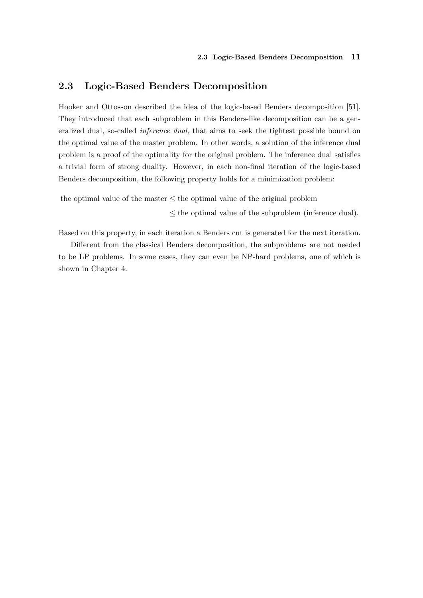### 2.3 Logic-Based Benders Decomposition

Hooker and Ottosson described the idea of the logic-based Benders decomposition [51]. They introduced that each subproblem in this Benders-like decomposition can be a generalized dual, so-called inference dual, that aims to seek the tightest possible bound on the optimal value of the master problem. In other words, a solution of the inference dual problem is a proof of the optimality for the original problem. The inference dual satisfies a trivial form of strong duality. However, in each non-final iteration of the logic-based Benders decomposition, the following property holds for a minimization problem:

the optimal value of the master ≤ the optimal value of the original problem

 $\leq$  the optimal value of the subproblem (inference dual).

Based on this property, in each iteration a Benders cut is generated for the next iteration.

Different from the classical Benders decomposition, the subproblems are not needed to be LP problems. In some cases, they can even be NP-hard problems, one of which is shown in Chapter 4.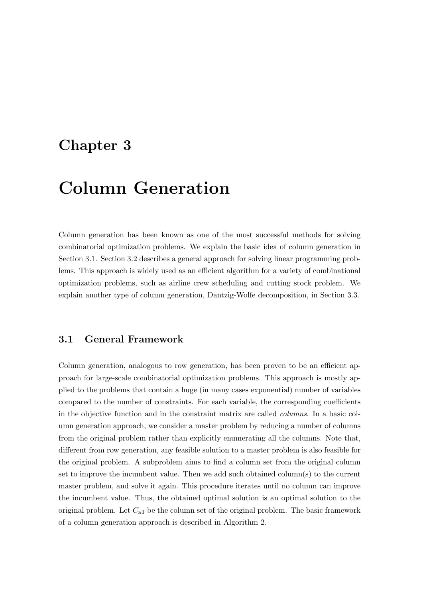## Chapter 3

# Column Generation

Column generation has been known as one of the most successful methods for solving combinatorial optimization problems. We explain the basic idea of column generation in Section 3.1. Section 3.2 describes a general approach for solving linear programming problems. This approach is widely used as an efficient algorithm for a variety of combinational optimization problems, such as airline crew scheduling and cutting stock problem. We explain another type of column generation, Dantzig-Wolfe decomposition, in Section 3.3.

### 3.1 General Framework

Column generation, analogous to row generation, has been proven to be an efficient approach for large-scale combinatorial optimization problems. This approach is mostly applied to the problems that contain a huge (in many cases exponential) number of variables compared to the number of constraints. For each variable, the corresponding coefficients in the objective function and in the constraint matrix are called columns. In a basic column generation approach, we consider a master problem by reducing a number of columns from the original problem rather than explicitly enumerating all the columns. Note that, different from row generation, any feasible solution to a master problem is also feasible for the original problem. A subproblem aims to find a column set from the original column set to improve the incumbent value. Then we add such obtained column(s) to the current master problem, and solve it again. This procedure iterates until no column can improve the incumbent value. Thus, the obtained optimal solution is an optimal solution to the original problem. Let  $C_{all}$  be the column set of the original problem. The basic framework of a column generation approach is described in Algorithm 2.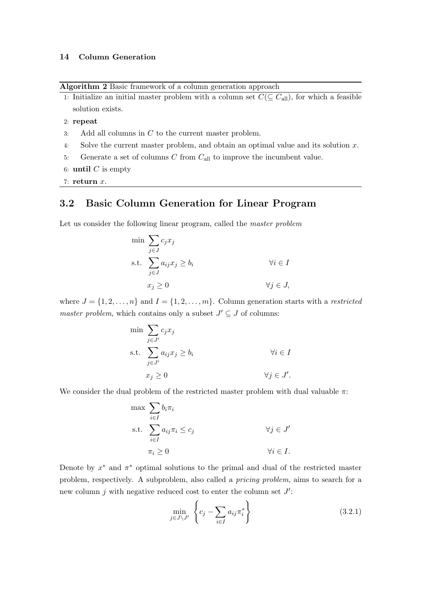#### 14 Column Generation

Algorithm 2 Basic framework of a column generation approach

1: Initialize an initial master problem with a column set  $C(\subseteq C_{\text{all}})$ , for which a feasible solution exists.

2: repeat

- 3: Add all columns in  $C$  to the current master problem.
- 4: Solve the current master problem, and obtain an optimal value and its solution x.
- 5: Generate a set of columns C from  $C_{\text{all}}$  to improve the incumbent value.
- 6: until  $C$  is empty
- 7: return  $x$ .

### 3.2 Basic Column Generation for Linear Program

Let us consider the following linear program, called the *master problem* 

$$
\min \sum_{j \in J} c_j x_j
$$
\n
$$
\text{s.t. } \sum_{j \in J} a_{ij} x_j \ge b_i \qquad \forall i \in I
$$
\n
$$
x_j \ge 0 \qquad \forall j \in J,
$$

where  $J = \{1, 2, \ldots, n\}$  and  $I = \{1, 2, \ldots, m\}$ . Column generation starts with a *restricted* master problem, which contains only a subset  $J' \subseteq J$  of columns:

$$
\min \sum_{j \in J'} c_j x_j
$$
\n
$$
\text{s.t. } \sum_{j \in J'} a_{ij} x_j \ge b_i \qquad \forall i \in I
$$
\n
$$
x_j \ge 0 \qquad \forall j \in J'.
$$

We consider the dual problem of the restricted master problem with dual valuable  $\pi$ :

$$
\max \sum_{i \in I} b_i \pi_i
$$
  
s.t. 
$$
\sum_{i \in I} a_{ij} \pi_i \le c_j \qquad \forall j \in J'
$$
  

$$
\pi_i \ge 0 \qquad \forall i \in I.
$$

Denote by  $x^*$  and  $\pi^*$  optimal solutions to the primal and dual of the restricted master problem, respectively. A subproblem, also called a pricing problem, aims to search for a new column j with negative reduced cost to enter the column set  $J'$ :

$$
\min_{j \in J \setminus J'} \left\{ c_j - \sum_{i \in I} a_{ij} \pi_i^* \right\} \tag{3.2.1}
$$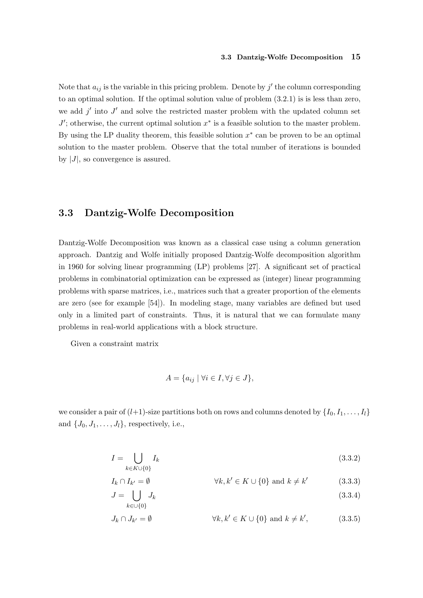#### 3.3 Dantzig-Wolfe Decomposition 15

Note that  $a_{ij}$  is the variable in this pricing problem. Denote by  $j'$  the column corresponding to an optimal solution. If the optimal solution value of problem (3.2.1) is is less than zero, we add  $j'$  into  $J'$  and solve the restricted master problem with the updated column set  $J'$ ; otherwise, the current optimal solution  $x^*$  is a feasible solution to the master problem. By using the LP duality theorem, this feasible solution  $x^*$  can be proven to be an optimal solution to the master problem. Observe that the total number of iterations is bounded by  $|J|$ , so convergence is assured.

### 3.3 Dantzig-Wolfe Decomposition

Dantzig-Wolfe Decomposition was known as a classical case using a column generation approach. Dantzig and Wolfe initially proposed Dantzig-Wolfe decomposition algorithm in 1960 for solving linear programming (LP) problems [27]. A significant set of practical problems in combinatorial optimization can be expressed as (integer) linear programming problems with sparse matrices, i.e., matrices such that a greater proportion of the elements are zero (see for example [54]). In modeling stage, many variables are defined but used only in a limited part of constraints. Thus, it is natural that we can formulate many problems in real-world applications with a block structure.

Given a constraint matrix

$$
A = \{a_{ij} \mid \forall i \in I, \forall j \in J\},\
$$

we consider a pair of  $(l+1)$ -size partitions both on rows and columns denoted by  $\{I_0, I_1, \ldots, I_l\}$ and  $\{J_0, J_1, \ldots, J_l\}$ , respectively, i.e.,

$$
I = \bigcup_{k \in K \cup \{0\}} I_k \tag{3.3.2}
$$

$$
I_k \cap I_{k'} = \emptyset \qquad \qquad \forall k, k' \in K \cup \{0\} \text{ and } k \neq k' \qquad (3.3.3)
$$

$$
J = \bigcup_{k \in \cup \{0\}} J_k \tag{3.3.4}
$$

$$
J_k \cap J_{k'} = \emptyset \qquad \qquad \forall k, k' \in K \cup \{0\} \text{ and } k \neq k', \qquad (3.3.5)
$$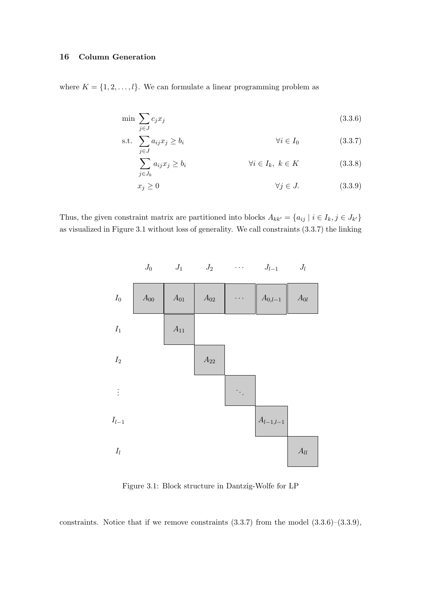### 16 Column Generation

where  $K = \{1, 2, ..., l\}$ . We can formulate a linear programming problem as

$$
\min \sum_{j \in J} c_j x_j \tag{3.3.6}
$$

s.t. 
$$
\sum_{j \in J} a_{ij} x_j \ge b_i \qquad \forall i \in I_0 \qquad (3.3.7)
$$

$$
\sum_{j \in J_k} a_{ij} x_j \ge b_i \qquad \qquad \forall i \in I_k, \ k \in K \tag{3.3.8}
$$

$$
x_j \ge 0 \qquad \qquad \forall j \in J. \tag{3.3.9}
$$

Thus, the given constraint matrix are partitioned into blocks  $A_{kk'} = \{a_{ij} | i \in I_k, j \in J_{k'}\}\$ as visualized in Figure 3.1 without loss of generality. We call constraints (3.3.7) the linking



Figure 3.1: Block structure in Dantzig-Wolfe for LP

constraints. Notice that if we remove constraints  $(3.3.7)$  from the model  $(3.3.6)$ – $(3.3.9)$ ,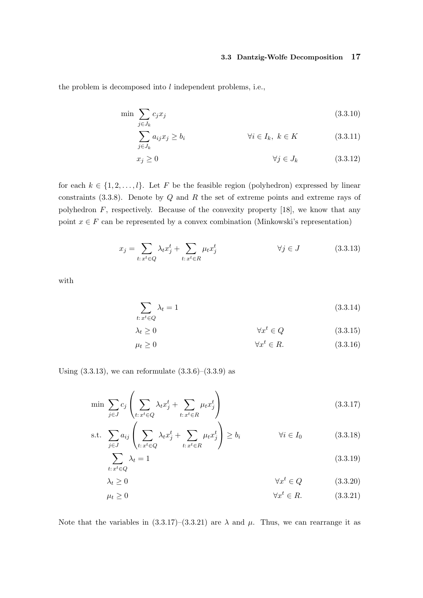#### 3.3 Dantzig-Wolfe Decomposition 17

the problem is decomposed into  $l$  independent problems, i.e.,

$$
\min \sum_{j \in J_k} c_j x_j \tag{3.3.10}
$$

$$
\sum_{j \in J_k} a_{ij} x_j \ge b_i \qquad \forall i \in I_k, \ k \in K \qquad (3.3.11)
$$

$$
x_j \ge 0 \qquad \qquad \forall j \in J_k \qquad (3.3.12)
$$

for each  $k \in \{1, 2, ..., l\}$ . Let F be the feasible region (polyhedron) expressed by linear constraints  $(3.3.8)$ . Denote by  $Q$  and  $R$  the set of extreme points and extreme rays of polyhedron  $F$ , respectively. Because of the convexity property [18], we know that any point  $x \in F$  can be represented by a convex combination (Minkowski's representation)

$$
x_j = \sum_{t: x^t \in Q} \lambda_t x_j^t + \sum_{t: x^t \in R} \mu_t x_j^t \qquad \forall j \in J \qquad (3.3.13)
$$

with

$$
\sum_{t:\,x^t \in Q} \lambda_t = 1\tag{3.3.14}
$$

$$
\lambda_t \ge 0 \qquad \qquad \forall x^t \in Q \tag{3.3.15}
$$

$$
\mu_t \ge 0 \qquad \qquad \forall x^t \in R. \tag{3.3.16}
$$

Using  $(3.3.13)$ , we can reformulate  $(3.3.6)$ – $(3.3.9)$  as

$$
\min \sum_{j \in J} c_j \left( \sum_{t: x^t \in Q} \lambda_t x_j^t + \sum_{t: x^t \in R} \mu_t x_j^t \right) \tag{3.3.17}
$$

s.t. 
$$
\sum_{j \in J} a_{ij} \left( \sum_{t: x^t \in Q} \lambda_t x_j^t + \sum_{t: x^t \in R} \mu_t x_j^t \right) \ge b_i \qquad \forall i \in I_0
$$
 (3.3.18)

$$
\sum_{t:\,x^t \in Q} \lambda_t = 1\tag{3.3.19}
$$

$$
\lambda_t \ge 0 \qquad \qquad \forall x^t \in Q \qquad (3.3.20)
$$

$$
\mu_t \ge 0 \qquad \qquad \forall x^t \in R. \tag{3.3.21}
$$

Note that the variables in  $(3.3.17)$ – $(3.3.21)$  are  $\lambda$  and  $\mu$ . Thus, we can rearrange it as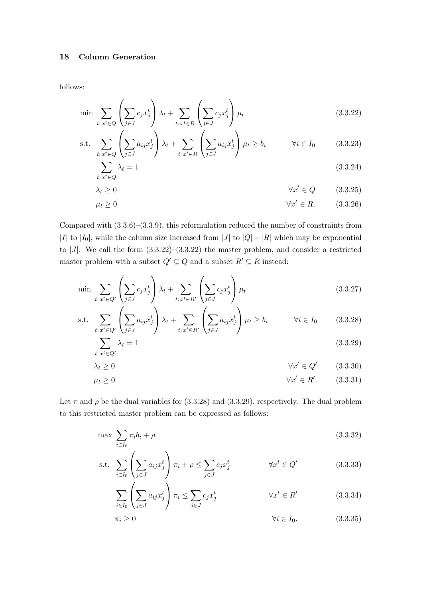### 18 Column Generation

follows:

$$
\min \sum_{t: x^t \in Q} \left( \sum_{j \in J} c_j x_j^t \right) \lambda_t + \sum_{t: x^t \in R} \left( \sum_{j \in J} c_j x_j^t \right) \mu_t \tag{3.3.22}
$$

s.t. 
$$
\sum_{t: x^t \in Q} \left( \sum_{j \in J} a_{ij} x_j^t \right) \lambda_t + \sum_{t: x^t \in R} \left( \sum_{j \in J} a_{ij} x_j^t \right) \mu_t \ge b_i \qquad \forall i \in I_0 \qquad (3.3.23)
$$

$$
\sum_{t:x^t \in Q} \lambda_t = 1 \tag{3.3.24}
$$

$$
\lambda_t \ge 0 \qquad \qquad \forall x^t \in Q \qquad (3.3.25)
$$

$$
\mu_t \ge 0 \qquad \qquad \forall x^t \in R. \qquad (3.3.26)
$$

Compared with (3.3.6)–(3.3.9), this reformulation reduced the number of constraints from |I| to |I<sub>0</sub>|, while the column size increased from |J| to  $|Q| + |R|$  which may be exponential to |J|. We call the form  $(3.3.22)-(3.3.22)$  the master problem, and consider a restricted master problem with a subset  $Q' \subseteq Q$  and a subset  $R' \subseteq R$  instead:

$$
\min \sum_{t:\, x^t \in Q'} \left( \sum_{j \in J} c_j x_j^t \right) \lambda_t + \sum_{t:\, x^t \in R'} \left( \sum_{j \in J} c_j x_j^t \right) \mu_t \tag{3.3.27}
$$

s.t. 
$$
\sum_{t: x^t \in Q'} \left( \sum_{j \in J} a_{ij} x_j^t \right) \lambda_t + \sum_{t: x^t \in R'} \left( \sum_{j \in J} a_{ij} x_j^t \right) \mu_t \ge b_i \qquad \forall i \in I_0 \qquad (3.3.28)
$$

$$
\sum_{t:\,x^t \in Q'} \lambda_t = 1\tag{3.3.29}
$$

$$
\lambda_t \ge 0 \qquad \qquad \forall x^t \in Q' \qquad (3.3.30)
$$

$$
\mu_t \ge 0 \qquad \qquad \forall x^t \in R'. \qquad (3.3.31)
$$

Let  $\pi$  and  $\rho$  be the dual variables for (3.3.28) and (3.3.29), respectively. The dual problem to this restricted master problem can be expressed as follows:

$$
\max \sum_{i \in I_0} \pi_i b_i + \rho \tag{3.3.32}
$$

s.t. 
$$
\sum_{i \in I_0} \left( \sum_{j \in J} a_{ij} x_j^t \right) \pi_i + \rho \leq \sum_{j \in J} c_j x_j^t \qquad \forall x^t \in Q'
$$
 (3.3.33)

$$
\sum_{i \in I_0} \left( \sum_{j \in J} a_{ij} x_j^t \right) \pi_i \le \sum_{j \in J} c_j x_j^t \qquad \forall x^t \in R' \qquad (3.3.34)
$$

$$
\pi_i \ge 0 \qquad \qquad \forall i \in I_0. \tag{3.3.35}
$$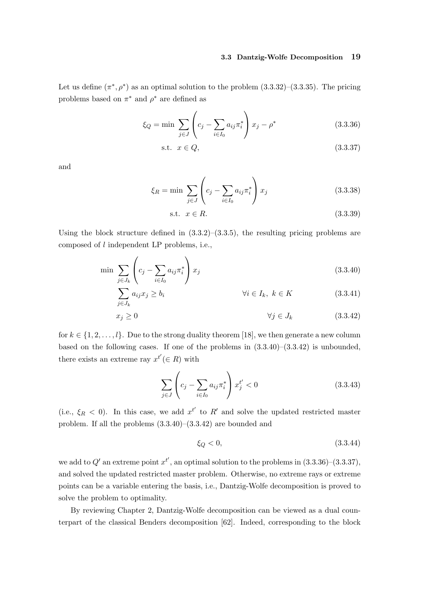#### 3.3 Dantzig-Wolfe Decomposition 19

Let us define  $(\pi^*, \rho^*)$  as an optimal solution to the problem  $(3.3.32)$ – $(3.3.35)$ . The pricing problems based on  $\pi^*$  and  $\rho^*$  are defined as

$$
\xi_Q = \min \sum_{j \in J} \left( c_j - \sum_{i \in I_0} a_{ij} \pi_i^* \right) x_j - \rho^* \tag{3.3.36}
$$

$$
\text{s.t. } x \in Q,\tag{3.3.37}
$$

and

$$
\xi_R = \min \sum_{j \in J} \left( c_j - \sum_{i \in I_0} a_{ij} \pi_i^* \right) x_j \tag{3.3.38}
$$

$$
\text{s.t. } x \in R. \tag{3.3.39}
$$

Using the block structure defined in  $(3.3.2)$ – $(3.3.5)$ , the resulting pricing problems are composed of l independent LP problems, i.e.,

$$
\min \sum_{j \in J_k} \left( c_j - \sum_{i \in I_0} a_{ij} \pi_i^* \right) x_j \tag{3.3.40}
$$

$$
\sum_{j \in J_k} a_{ij} x_j \ge b_i \qquad \qquad \forall i \in I_k, \ k \in K \tag{3.3.41}
$$

$$
x_j \ge 0 \qquad \qquad \forall j \in J_k \qquad (3.3.42)
$$

for  $k \in \{1, 2, \ldots, l\}$ . Due to the strong duality theorem [18], we then generate a new column based on the following cases. If one of the problems in  $(3.3.40)$ – $(3.3.42)$  is unbounded, there exists an extreme ray  $x^{t'} (\in R)$  with

$$
\sum_{j \in J} \left( c_j - \sum_{i \in I_0} a_{ij} \pi_i^* \right) x_j^{t'} < 0 \tag{3.3.43}
$$

(i.e.,  $\xi_R$  < 0). In this case, we add  $x^{t'}$  to R' and solve the updated restricted master problem. If all the problems (3.3.40)–(3.3.42) are bounded and

$$
\xi_Q < 0,\tag{3.3.44}
$$

we add to  $Q'$  an extreme point  $x^{t'}$ , an optimal solution to the problems in  $(3.3.36)$ – $(3.3.37)$ , and solved the updated restricted master problem. Otherwise, no extreme rays or extreme points can be a variable entering the basis, i.e., Dantzig-Wolfe decomposition is proved to solve the problem to optimality.

By reviewing Chapter 2, Dantzig-Wolfe decomposition can be viewed as a dual counterpart of the classical Benders decomposition [62]. Indeed, corresponding to the block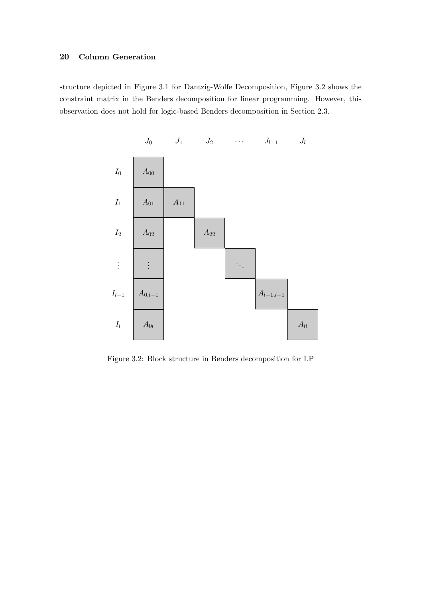# 20 Column Generation

structure depicted in Figure 3.1 for Dantzig-Wolfe Decomposition, Figure 3.2 shows the constraint matrix in the Benders decomposition for linear programming. However, this observation does not hold for logic-based Benders decomposition in Section 2.3.



Figure 3.2: Block structure in Benders decomposition for LP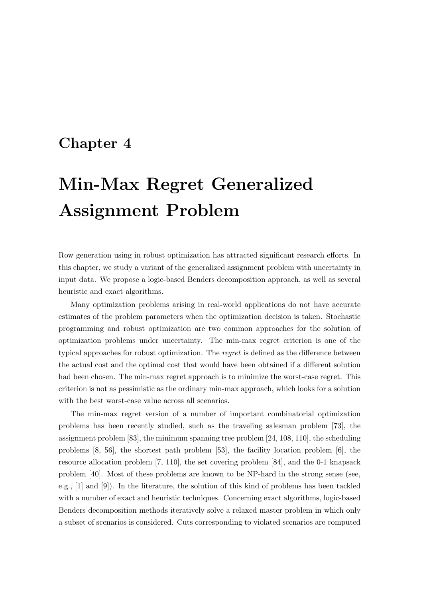# Chapter 4

# Min-Max Regret Generalized Assignment Problem

Row generation using in robust optimization has attracted significant research efforts. In this chapter, we study a variant of the generalized assignment problem with uncertainty in input data. We propose a logic-based Benders decomposition approach, as well as several heuristic and exact algorithms.

Many optimization problems arising in real-world applications do not have accurate estimates of the problem parameters when the optimization decision is taken. Stochastic programming and robust optimization are two common approaches for the solution of optimization problems under uncertainty. The min-max regret criterion is one of the typical approaches for robust optimization. The regret is defined as the difference between the actual cost and the optimal cost that would have been obtained if a different solution had been chosen. The min-max regret approach is to minimize the worst-case regret. This criterion is not as pessimistic as the ordinary min-max approach, which looks for a solution with the best worst-case value across all scenarios.

The min-max regret version of a number of important combinatorial optimization problems has been recently studied, such as the traveling salesman problem [73], the assignment problem [83], the minimum spanning tree problem [24, 108, 110], the scheduling problems [8, 56], the shortest path problem [53], the facility location problem [6], the resource allocation problem [7, 110], the set covering problem [84], and the 0-1 knapsack problem [40]. Most of these problems are known to be NP-hard in the strong sense (see, e.g., [1] and [9]). In the literature, the solution of this kind of problems has been tackled with a number of exact and heuristic techniques. Concerning exact algorithms, logic-based Benders decomposition methods iteratively solve a relaxed master problem in which only a subset of scenarios is considered. Cuts corresponding to violated scenarios are computed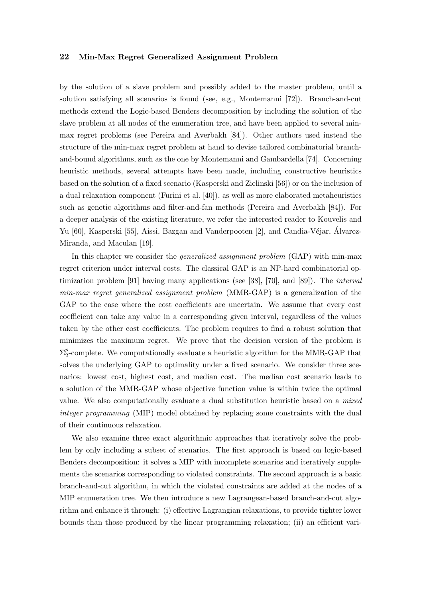by the solution of a slave problem and possibly added to the master problem, until a solution satisfying all scenarios is found (see, e.g., Montemanni [72]). Branch-and-cut methods extend the Logic-based Benders decomposition by including the solution of the slave problem at all nodes of the enumeration tree, and have been applied to several minmax regret problems (see Pereira and Averbakh [84]). Other authors used instead the structure of the min-max regret problem at hand to devise tailored combinatorial branchand-bound algorithms, such as the one by Montemanni and Gambardella [74]. Concerning heuristic methods, several attempts have been made, including constructive heuristics based on the solution of a fixed scenario (Kasperski and Zielinski [56]) or on the inclusion of a dual relaxation component (Furini et al. [40]), as well as more elaborated metaheuristics such as genetic algorithms and filter-and-fan methods (Pereira and Averbakh [84]). For a deeper analysis of the existing literature, we refer the interested reader to Kouvelis and Yu [60], Kasperski [55], Aissi, Bazgan and Vanderpooten [2], and Candia-Véjar, Álvarez-Miranda, and Maculan [19].

In this chapter we consider the generalized assignment problem (GAP) with min-max regret criterion under interval costs. The classical GAP is an NP-hard combinatorial optimization problem [91] having many applications (see [38], [70], and [89]). The *interval* min-max regret generalized assignment problem (MMR-GAP) is a generalization of the GAP to the case where the cost coefficients are uncertain. We assume that every cost coefficient can take any value in a corresponding given interval, regardless of the values taken by the other cost coefficients. The problem requires to find a robust solution that minimizes the maximum regret. We prove that the decision version of the problem is  $\Sigma_2^p$  $\frac{p}{2}$ -complete. We computationally evaluate a heuristic algorithm for the MMR-GAP that solves the underlying GAP to optimality under a fixed scenario. We consider three scenarios: lowest cost, highest cost, and median cost. The median cost scenario leads to a solution of the MMR-GAP whose objective function value is within twice the optimal value. We also computationally evaluate a dual substitution heuristic based on a mixed integer programming (MIP) model obtained by replacing some constraints with the dual of their continuous relaxation.

We also examine three exact algorithmic approaches that iteratively solve the problem by only including a subset of scenarios. The first approach is based on logic-based Benders decomposition: it solves a MIP with incomplete scenarios and iteratively supplements the scenarios corresponding to violated constraints. The second approach is a basic branch-and-cut algorithm, in which the violated constraints are added at the nodes of a MIP enumeration tree. We then introduce a new Lagrangean-based branch-and-cut algorithm and enhance it through: (i) effective Lagrangian relaxations, to provide tighter lower bounds than those produced by the linear programming relaxation; (ii) an efficient vari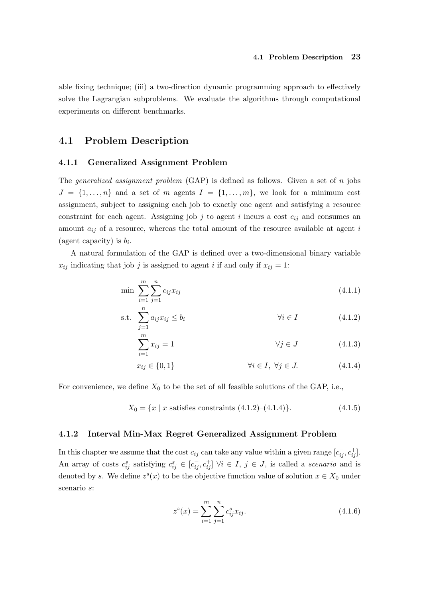able fixing technique; (iii) a two-direction dynamic programming approach to effectively solve the Lagrangian subproblems. We evaluate the algorithms through computational experiments on different benchmarks.

# 4.1 Problem Description

# 4.1.1 Generalized Assignment Problem

The *generalized assignment problem*  $(GAP)$  is defined as follows. Given a set of n jobs  $J = \{1, \ldots, n\}$  and a set of m agents  $I = \{1, \ldots, m\}$ , we look for a minimum cost assignment, subject to assigning each job to exactly one agent and satisfying a resource constraint for each agent. Assigning job j to agent i incurs a cost  $c_{ij}$  and consumes an amount  $a_{ij}$  of a resource, whereas the total amount of the resource available at agent i (agent capacity) is  $b_i$ .

A natural formulation of the GAP is defined over a two-dimensional binary variable  $x_{ij}$  indicating that job j is assigned to agent i if and only if  $x_{ij} = 1$ :

$$
\min \sum_{i=1}^{m} \sum_{j=1}^{n} c_{ij} x_{ij} \tag{4.1.1}
$$

$$
\text{s.t. } \sum_{j=1}^{n} a_{ij} x_{ij} \le b_i \qquad \qquad \forall i \in I \tag{4.1.2}
$$

$$
\sum_{i=1}^{m} x_{ij} = 1 \qquad \qquad \forall j \in J \qquad (4.1.3)
$$

$$
x_{ij} \in \{0, 1\} \qquad \forall i \in I, \ \forall j \in J. \tag{4.1.4}
$$

For convenience, we define  $X_0$  to be the set of all feasible solutions of the GAP, i.e.,

$$
X_0 = \{x \mid x \text{ satisfies constraints } (4.1.2) - (4.1.4)\}. \tag{4.1.5}
$$

# 4.1.2 Interval Min-Max Regret Generalized Assignment Problem

In this chapter we assume that the cost  $c_{ij}$  can take any value within a given range  $[c_{ij}^-, c_{ij}^+]$ . An array of costs  $c_{ij}^s$  satisfying  $c_{ij}^s \in [c_{ij}^-, c_{ij}^+]$   $\forall i \in I, j \in J$ , is called a *scenario* and is denoted by s. We define  $z<sup>s</sup>(x)$  to be the objective function value of solution  $x \in X_0$  under scenario s:

$$
z^{s}(x) = \sum_{i=1}^{m} \sum_{j=1}^{n} c_{ij}^{s} x_{ij}.
$$
\n(4.1.6)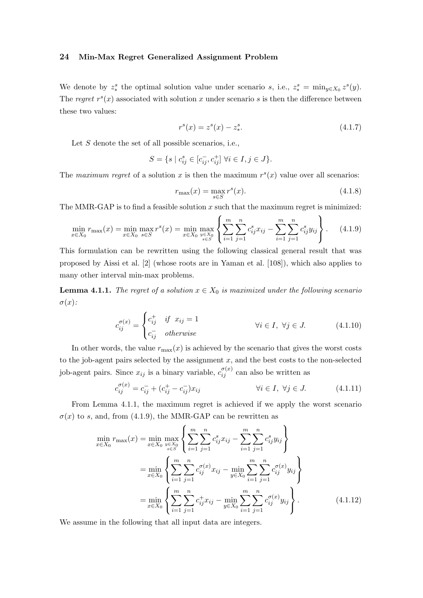We denote by  $z_*^s$  the optimal solution value under scenario s, i.e.,  $z_*^s = \min_{y \in X_0} z^s(y)$ . The regret  $r<sup>s</sup>(x)$  associated with solution x under scenario s is then the difference between these two values:

$$
r^{s}(x) = z^{s}(x) - z^{s}_{*}.
$$
\n(4.1.7)

Let  $S$  denote the set of all possible scenarios, i.e.,

$$
S = \{ s \mid c_{ij}^s \in [c_{ij}^-, c_{ij}^+] \,\,\forall i \in I, j \in J \}.
$$

The maximum regret of a solution x is then the maximum  $r<sup>s</sup>(x)$  value over all scenarios:

$$
r_{\max}(x) = \max_{s \in S} r^s(x). \tag{4.1.8}
$$

The MMR-GAP is to find a feasible solution  $x$  such that the maximum regret is minimized:

$$
\min_{x \in X_0} r_{\max}(x) = \min_{x \in X_0} \max_{s \in S} r^s(x) = \min_{x \in X_0} \max_{y \in X_0} \left\{ \sum_{i=1}^m \sum_{j=1}^n c_{ij}^s x_{ij} - \sum_{i=1}^m \sum_{j=1}^n c_{ij}^s y_{ij} \right\}.
$$
 (4.1.9)

This formulation can be rewritten using the following classical general result that was proposed by Aissi et al. [2] (whose roots are in Yaman et al. [108]), which also applies to many other interval min-max problems.

**Lemma 4.1.1.** The regret of a solution  $x \in X_0$  is maximized under the following scenario  $\sigma(x)$ :

$$
c_{ij}^{\sigma(x)} = \begin{cases} c_{ij}^{+} & \text{if } x_{ij} = 1 \\ c_{ij}^{-} & \text{otherwise} \end{cases} \qquad \forall i \in I, \ \forall j \in J. \tag{4.1.10}
$$

In other words, the value  $r_{\text{max}}(x)$  is achieved by the scenario that gives the worst costs to the job-agent pairs selected by the assignment  $x$ , and the best costs to the non-selected job-agent pairs. Since  $x_{ij}$  is a binary variable,  $c_{ij}^{\sigma(x)}$  can also be written as

$$
c_{ij}^{\sigma(x)} = c_{ij}^- + (c_{ij}^+ - c_{ij}^-)x_{ij} \qquad \forall i \in I, \ \forall j \in J. \tag{4.1.11}
$$

From Lemma 4.1.1, the maximum regret is achieved if we apply the worst scenario  $\sigma(x)$  to s, and, from (4.1.9), the MMR-GAP can be rewritten as

$$
\min_{x \in X_0} r_{\max}(x) = \min_{x \in X_0} \max_{y \in X_0} \left\{ \sum_{i=1}^m \sum_{j=1}^n c_{ij}^s x_{ij} - \sum_{i=1}^m \sum_{j=1}^n c_{ij}^s y_{ij} \right\}
$$
\n
$$
= \min_{x \in X_0} \left\{ \sum_{i=1}^m \sum_{j=1}^n c_{ij}^{\sigma(x)} x_{ij} - \min_{y \in X_0} \sum_{i=1}^m \sum_{j=1}^n c_{ij}^{\sigma(x)} y_{ij} \right\}
$$
\n
$$
= \min_{x \in X_0} \left\{ \sum_{i=1}^m \sum_{j=1}^n c_{ij}^+ x_{ij} - \min_{y \in X_0} \sum_{i=1}^m \sum_{j=1}^n c_{ij}^{\sigma(x)} y_{ij} \right\}.
$$
\n(4.1.12)

We assume in the following that all input data are integers.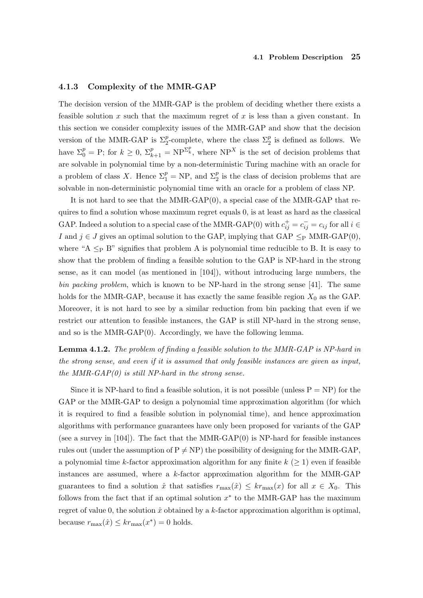# 4.1.3 Complexity of the MMR-GAP

The decision version of the MMR-GAP is the problem of deciding whether there exists a feasible solution x such that the maximum regret of x is less than a given constant. In this section we consider complexity issues of the MMR-GAP and show that the decision version of the MMR-GAP is  $\Sigma_2^p$ -complete, where the class  $\Sigma_2^p$  is defined as follows. We have  $\Sigma_0^p = \text{P}$ ; for  $k \geq 0$ ,  $\Sigma_{k+1}^p = \text{NP}^{\Sigma_k^p}$ , where  $\text{NP}^X$  is the set of decision problems that are solvable in polynomial time by a non-deterministic Turing machine with an oracle for a problem of class X. Hence  $\Sigma_1^p = NP$ , and  $\Sigma_2^p$  is the class of decision problems that are solvable in non-deterministic polynomial time with an oracle for a problem of class NP.

It is not hard to see that the MMR-GAP(0), a special case of the MMR-GAP that requires to find a solution whose maximum regret equals 0, is at least as hard as the classical GAP. Indeed a solution to a special case of the MMR-GAP(0) with  $c_{ij}^+ = c_{ij}^- = c_{ij}$  for all  $i \in$ I and  $j \in J$  gives an optimal solution to the GAP, implying that GAP  $\leq_P$  MMR-GAP(0), where "A  $\leq_P B$ " signifies that problem A is polynomial time reducible to B. It is easy to show that the problem of finding a feasible solution to the GAP is NP-hard in the strong sense, as it can model (as mentioned in [104]), without introducing large numbers, the bin packing problem, which is known to be NP-hard in the strong sense [41]. The same holds for the MMR-GAP, because it has exactly the same feasible region  $X_0$  as the GAP. Moreover, it is not hard to see by a similar reduction from bin packing that even if we restrict our attention to feasible instances, the GAP is still NP-hard in the strong sense, and so is the MMR-GAP $(0)$ . Accordingly, we have the following lemma.

Lemma 4.1.2. The problem of finding a feasible solution to the MMR-GAP is NP-hard in the strong sense, and even if it is assumed that only feasible instances are given as input, the MMR-GAP $(0)$  is still NP-hard in the strong sense.

Since it is NP-hard to find a feasible solution, it is not possible (unless  $P = NP$ ) for the GAP or the MMR-GAP to design a polynomial time approximation algorithm (for which it is required to find a feasible solution in polynomial time), and hence approximation algorithms with performance guarantees have only been proposed for variants of the GAP (see a survey in  $[104]$ ). The fact that the MMR-GAP $(0)$  is NP-hard for feasible instances rules out (under the assumption of  $P \neq NP$ ) the possibility of designing for the MMR-GAP, a polynomial time k-factor approximation algorithm for any finite  $k \geq 1$ ) even if feasible instances are assumed, where a k-factor approximation algorithm for the MMR-GAP guarantees to find a solution  $\hat{x}$  that satisfies  $r_{\text{max}}(\hat{x}) \le kr_{\text{max}}(x)$  for all  $x \in X_0$ . This follows from the fact that if an optimal solution  $x^*$  to the MMR-GAP has the maximum regret of value 0, the solution  $\hat{x}$  obtained by a k-factor approximation algorithm is optimal, because  $r_{\text{max}}(\hat{x}) \le kr_{\text{max}}(x^*) = 0$  holds.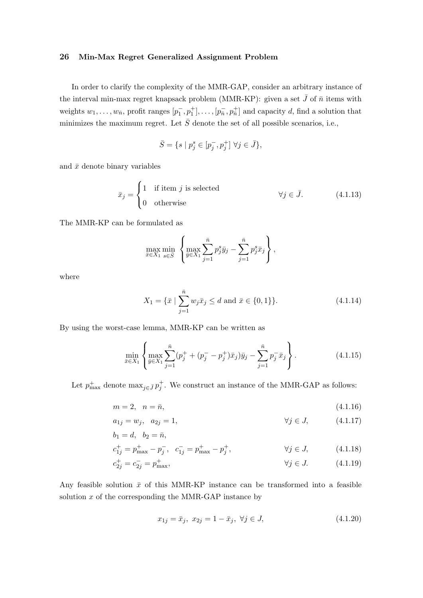In order to clarify the complexity of the MMR-GAP, consider an arbitrary instance of the interval min-max regret knapsack problem (MMR-KP): given a set  $\bar{J}$  of  $\bar{n}$  items with weights  $w_1, \ldots, w_{\bar{n}}$ , profit ranges  $[p_1^-, p_1^+], \ldots, [p_{\bar{n}}^-, p_{\bar{n}}^+]$  and capacity d, find a solution that minimizes the maximum regret. Let  $\bar{S}$  denote the set of all possible scenarios, i.e.,

$$
\bar{S} = \{ s \mid p_j^s \in [p_j^-, p_j^+] \; \forall j \in \bar{J} \},
$$

and  $\bar{x}$  denote binary variables

$$
\bar{x}_j = \begin{cases} 1 & \text{if item } j \text{ is selected} \\ 0 & \text{otherwise} \end{cases} \qquad \qquad \forall j \in \bar{J}. \tag{4.1.13}
$$

The MMR-KP can be formulated as

$$
\max_{\bar{x}\in X_1}\min_{s\in\bar{S}}\left\{\max_{\bar{y}\in X_1}\sum_{j=1}^{\bar{n}}p_j^s\bar{y}_j-\sum_{j=1}^{\bar{n}}p_j^s\bar{x}_j\right\},\,
$$

where

$$
X_1 = \{ \bar{x} \mid \sum_{j=1}^{\bar{n}} w_j \bar{x}_j \le d \text{ and } \bar{x} \in \{0, 1\} \}. \tag{4.1.14}
$$

By using the worst-case lemma, MMR-KP can be written as

$$
\min_{\bar{x}\in X_1} \left\{ \max_{\bar{y}\in X_1} \sum_{j=1}^{\bar{n}} (p_j^+ + (p_j^- - p_j^+) \bar{x}_j) \bar{y}_j - \sum_{j=1}^{\bar{n}} p_j^- \bar{x}_j \right\}.
$$
\n(4.1.15)

Let  $p_{\text{max}}^+$  denote  $\max_{j \in \bar{J}} p_j^+$ . We construct an instance of the MMR-GAP as follows:

$$
m = 2, \quad n = \bar{n}, \tag{4.1.16}
$$

$$
a_{1j} = w_j, \ \ a_{2j} = 1, \qquad \qquad \forall j \in J, \qquad (4.1.17)
$$

$$
b_1=d,\ \ b_2=\bar n,
$$

$$
c_{1j}^{+} = p_{\text{max}}^{+} - p_{j}^{-}, \quad c_{1j}^{-} = p_{\text{max}}^{+} - p_{j}^{+}, \qquad \forall j \in J, \qquad (4.1.18)
$$

$$
c_{2j}^{+} = c_{2j}^{-} = p_{\text{max}}^{+}, \qquad \qquad \forall j \in J. \tag{4.1.19}
$$

Any feasible solution  $\bar{x}$  of this MMR-KP instance can be transformed into a feasible solution  $x$  of the corresponding the MMR-GAP instance by

$$
x_{1j} = \bar{x}_j, \ x_{2j} = 1 - \bar{x}_j, \ \forall j \in J,
$$
\n(4.1.20)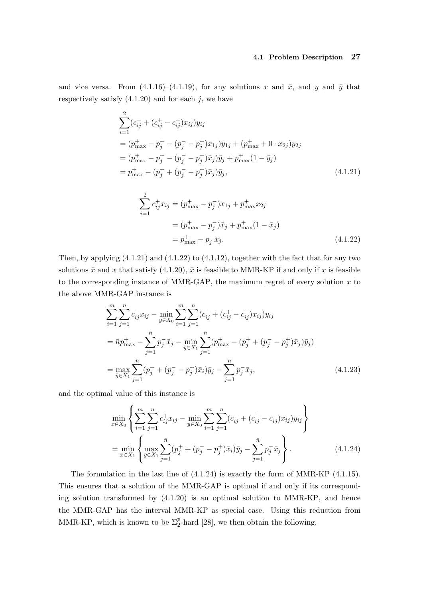#### 4.1 Problem Description 27

and vice versa. From  $(4.1.16)$ – $(4.1.19)$ , for any solutions x and  $\bar{x}$ , and y and  $\bar{y}$  that respectively satisfy  $(4.1.20)$  and for each j, we have

$$
\sum_{i=1}^{2} (c_{ij}^- + (c_{ij}^+ - c_{ij}^-) x_{ij}) y_{ij}
$$
\n
$$
= (p_{\text{max}}^+ - p_j^+ - (p_j^- - p_j^+) x_{1j}) y_{1j} + (p_{\text{max}}^+ + 0 \cdot x_{2j}) y_{2j}
$$
\n
$$
= (p_{\text{max}}^+ - p_j^+ - (p_j^- - p_j^+) \bar{x}_j) \bar{y}_j + p_{\text{max}}^+ (1 - \bar{y}_j)
$$
\n
$$
= p_{\text{max}}^+ - (p_j^+ + (p_j^- - p_j^+) \bar{x}_j) \bar{y}_j,
$$
\n(4.1.21)

$$
\sum_{i=1}^{2} c_{ij}^{+} x_{ij} = (p_{\text{max}}^{+} - p_{j}^{-}) x_{1j} + p_{\text{max}}^{+} x_{2j}
$$
  
=  $(p_{\text{max}}^{+} - p_{j}^{-}) \bar{x}_{j} + p_{\text{max}}^{+} (1 - \bar{x}_{j})$   
=  $p_{\text{max}}^{+} - p_{j}^{-} \bar{x}_{j}.$  (4.1.22)

Then, by applying (4.1.21) and (4.1.22) to (4.1.12), together with the fact that for any two solutions  $\bar{x}$  and x that satisfy (4.1.20),  $\bar{x}$  is feasible to MMR-KP if and only if x is feasible to the corresponding instance of MMR-GAP, the maximum regret of every solution  $x$  to the above MMR-GAP instance is

$$
\sum_{i=1}^{m} \sum_{j=1}^{n} c_{ij}^{+} x_{ij} - \min_{y \in X_0} \sum_{i=1}^{m} \sum_{j=1}^{n} (c_{ij}^{-} + (c_{ij}^{+} - c_{ij}^{-}) x_{ij}) y_{ij}
$$
  
\n
$$
= \bar{n} p_{\text{max}}^{+} - \sum_{j=1}^{\bar{n}} p_{j}^{-} \bar{x}_{j} - \min_{\bar{y} \in X_1} \sum_{j=1}^{\bar{n}} (p_{\text{max}}^{+} - (p_{j}^{+} + (p_{j}^{-} - p_{j}^{+}) \bar{x}_{j}) \bar{y}_{j})
$$
  
\n
$$
= \max_{\bar{y} \in X_1} \sum_{j=1}^{\bar{n}} (p_{j}^{+} + (p_{j}^{-} - p_{j}^{+}) \bar{x}_{i}) \bar{y}_{j} - \sum_{j=1}^{\bar{n}} p_{j}^{-} \bar{x}_{j}, \qquad (4.1.23)
$$

and the optimal value of this instance is

$$
\min_{x \in X_0} \left\{ \sum_{i=1}^m \sum_{j=1}^n c_{ij}^+ x_{ij} - \min_{y \in X_0} \sum_{i=1}^m \sum_{j=1}^n (c_{ij}^- + (c_{ij}^+ - c_{ij}^-) x_{ij}) y_{ij} \right\}
$$
\n
$$
= \min_{\bar{x} \in X_1} \left\{ \max_{\bar{y} \in X_1} \sum_{j=1}^{\bar{n}} (p_j^+ + (p_j^- - p_j^+) \bar{x}_i) \bar{y}_j - \sum_{j=1}^{\bar{n}} p_j^- \bar{x}_j \right\}.
$$
\n(4.1.24)

The formulation in the last line of (4.1.24) is exactly the form of MMR-KP (4.1.15). This ensures that a solution of the MMR-GAP is optimal if and only if its corresponding solution transformed by (4.1.20) is an optimal solution to MMR-KP, and hence the MMR-GAP has the interval MMR-KP as special case. Using this reduction from MMR-KP, which is known to be  $\Sigma_2^p$ -hard [28], we then obtain the following.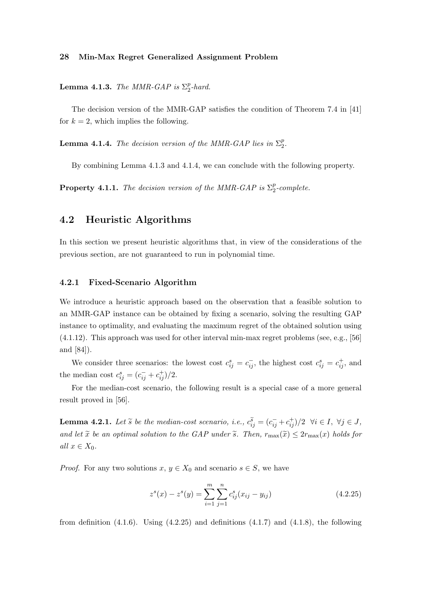**Lemma 4.1.3.** The MMR-GAP is  $\Sigma_2^p$  $_{2}^{p}$ -hard.

The decision version of the MMR-GAP satisfies the condition of Theorem 7.4 in [41] for  $k = 2$ , which implies the following.

**Lemma 4.1.4.** The decision version of the MMR-GAP lies in  $\Sigma_2^p$  $\frac{p}{2}$ .

By combining Lemma 4.1.3 and 4.1.4, we can conclude with the following property.

**Property 4.1.1.** The decision version of the MMR-GAP is  $\Sigma_2^p$  $\frac{p}{2}$ -complete.

# 4.2 Heuristic Algorithms

In this section we present heuristic algorithms that, in view of the considerations of the previous section, are not guaranteed to run in polynomial time.

# 4.2.1 Fixed-Scenario Algorithm

We introduce a heuristic approach based on the observation that a feasible solution to an MMR-GAP instance can be obtained by fixing a scenario, solving the resulting GAP instance to optimality, and evaluating the maximum regret of the obtained solution using (4.1.12). This approach was used for other interval min-max regret problems (see, e.g., [56] and [84]).

We consider three scenarios: the lowest cost  $c_{ij}^s = c_{ij}^-$ , the highest cost  $c_{ij}^s = c_{ij}^+$ , and the median cost  $c_{ij}^s = (c_{ij}^- + c_{ij}^+)/2$ .

For the median-cost scenario, the following result is a special case of a more general result proved in [56].

**Lemma 4.2.1.** Let  $\widetilde{s}$  be the median-cost scenario, i.e.,  $c_{ij}^{\widetilde{s}} = (c_{ij}^- + c_{ij}^+) / 2 \ \forall i \in I, \ \forall j \in J$ , and let  $\tilde{x}$  be an optimal solution to the GAP under  $\tilde{s}$ . Then,  $r_{\max}(\tilde{x}) \leq 2r_{\max}(x)$  holds for all  $x \in X_0$ .

*Proof.* For any two solutions  $x, y \in X_0$  and scenario  $s \in S$ , we have

$$
z^{s}(x) - z^{s}(y) = \sum_{i=1}^{m} \sum_{j=1}^{n} c_{ij}^{s}(x_{ij} - y_{ij})
$$
\n(4.2.25)

from definition  $(4.1.6)$ . Using  $(4.2.25)$  and definitions  $(4.1.7)$  and  $(4.1.8)$ , the following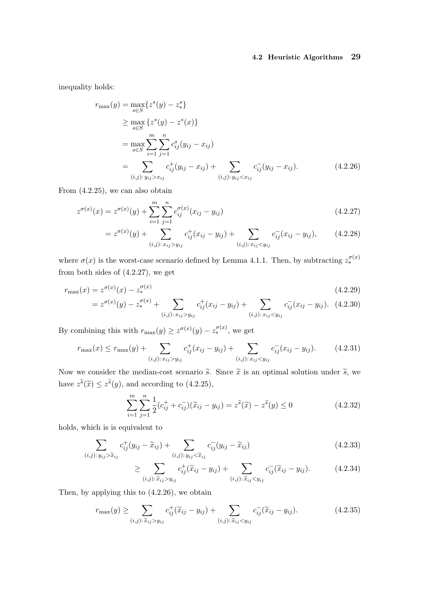# 4.2 Heuristic Algorithms 29

inequality holds:

$$
r_{\max}(y) = \max_{s \in S} \{ z^s(y) - z^s \}
$$
  
\n
$$
\geq \max_{s \in S} \{ z^s(y) - z^s(x) \}
$$
  
\n
$$
= \max_{s \in S} \sum_{i=1}^m \sum_{j=1}^n c_{ij}^s (y_{ij} - x_{ij})
$$
  
\n
$$
= \sum_{(i,j): y_{ij} > x_{ij}} c_{ij}^+(y_{ij} - x_{ij}) + \sum_{(i,j): y_{ij} < x_{ij}} c_{ij}^-(y_{ij} - x_{ij}). \tag{4.2.26}
$$

From (4.2.25), we can also obtain

$$
z^{\sigma(x)}(x) = z^{\sigma(x)}(y) + \sum_{i=1}^{m} \sum_{j=1}^{n} c_{ij}^{\sigma(x)}(x_{ij} - y_{ij})
$$
\n(4.2.27)

$$
= z^{\sigma(x)}(y) + \sum_{(i,j): x_{ij} > y_{ij}} c_{ij}^{+}(x_{ij} - y_{ij}) + \sum_{(i,j): x_{ij} < y_{ij}} c_{ij}^{-}(x_{ij} - y_{ij}),
$$
(4.2.28)

where  $\sigma(x)$  is the worst-case scenario defined by Lemma 4.1.1. Then, by subtracting  $z_*^{\sigma(x)}$ from both sides of (4.2.27), we get

$$
r_{\max}(x) = z^{\sigma(x)}(x) - z_*^{\sigma(x)} \tag{4.2.29}
$$
\n
$$
= z^{\sigma(x)}(y) - z_*^{\sigma(x)} + \sum c_*^+(x_{ii} - y_{ii}) + \sum c_*^-(x_{ii} - y_{ii}). \tag{4.2.30}
$$

$$
= z^{\sigma(x)}(y) - z_*^{\sigma(x)} + \sum_{(i,j): x_{ij} > y_{ij}} c_{ij}^+(x_{ij} - y_{ij}) + \sum_{(i,j): x_{ij} < y_{ij}} c_{ij}^-(x_{ij} - y_{ij}). \tag{4.2.30}
$$

By combining this with  $r_{\text{max}}(y) \geq z^{\sigma(x)}(y) - z_*^{\sigma(x)}$ , we get

$$
r_{\max}(x) \le r_{\max}(y) + \sum_{(i,j): x_{ij} > y_{ij}} c_{ij}^{+}(x_{ij} - y_{ij}) + \sum_{(i,j): x_{ij} < y_{ij}} c_{ij}^{-}(x_{ij} - y_{ij}).
$$
 (4.2.31)

Now we consider the median-cost scenario  $\tilde{s}$ . Since  $\tilde{x}$  is an optimal solution under  $\tilde{s}$ , we have  $z^{\tilde{s}}(\tilde{x}) \leq z^{\tilde{s}}(y)$ , and according to (4.2.25),

$$
\sum_{i=1}^{m} \sum_{j=1}^{n} \frac{1}{2} (c_{ij}^{+} + c_{ij}^{-}) (\tilde{x}_{ij} - y_{ij}) = z^{\tilde{s}} (\tilde{x}) - z^{\tilde{s}} (y) \le 0
$$
\n(4.2.32)

holds, which is is equivalent to

$$
\sum_{(i,j):\,y_{ij} > \tilde{x}_{ij}} c^+_{ij}(y_{ij} - \tilde{x}_{ij}) + \sum_{(i,j):\,y_{ij} < \tilde{x}_{ij}} c^-_{ij}(y_{ij} - \tilde{x}_{ij}) \tag{4.2.33}
$$

$$
\geq \sum_{(i,j):\tilde{x}_{ij} > y_{ij}} c_{ij}^{+}(\tilde{x}_{ij} - y_{ij}) + \sum_{(i,j):\tilde{x}_{ij} < y_{ij}} c_{ij}^{-}(\tilde{x}_{ij} - y_{ij}).
$$
\n(4.2.34)

Then, by applying this to (4.2.26), we obtain

$$
r_{\max}(y) \geq \sum_{(i,j):\widetilde{x}_{ij} > y_{ij}} c_{ij}^{+}(\widetilde{x}_{ij} - y_{ij}) + \sum_{(i,j):\widetilde{x}_{ij} < y_{ij}} c_{ij}^{-}(\widetilde{x}_{ij} - y_{ij}).
$$
\n(4.2.35)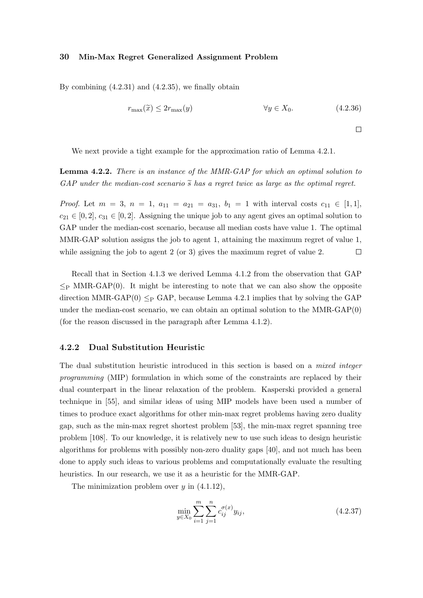By combining (4.2.31) and (4.2.35), we finally obtain

$$
r_{\max}(\tilde{x}) \le 2r_{\max}(y) \qquad \forall y \in X_0. \tag{4.2.36}
$$

 $\Box$ 

We next provide a tight example for the approximation ratio of Lemma 4.2.1.

Lemma 4.2.2. There is an instance of the MMR-GAP for which an optimal solution to GAP under the median-cost scenario  $\tilde{s}$  has a regret twice as large as the optimal regret.

*Proof.* Let  $m = 3$ ,  $n = 1$ ,  $a_{11} = a_{21} = a_{31}$ ,  $b_1 = 1$  with interval costs  $c_{11} \in [1,1]$ ,  $c_{21} \in [0,2], c_{31} \in [0,2].$  Assigning the unique job to any agent gives an optimal solution to GAP under the median-cost scenario, because all median costs have value 1. The optimal MMR-GAP solution assigns the job to agent 1, attaining the maximum regret of value 1, while assigning the job to agent 2 (or 3) gives the maximum regret of value 2.  $\Box$ 

Recall that in Section 4.1.3 we derived Lemma 4.1.2 from the observation that GAP  $\leq_P$  MMR-GAP(0). It might be interesting to note that we can also show the opposite direction MMR-GAP(0)  $\leq_P$  GAP, because Lemma 4.2.1 implies that by solving the GAP under the median-cost scenario, we can obtain an optimal solution to the MMR-GAP(0) (for the reason discussed in the paragraph after Lemma 4.1.2).

# 4.2.2 Dual Substitution Heuristic

The dual substitution heuristic introduced in this section is based on a mixed integer programming (MIP) formulation in which some of the constraints are replaced by their dual counterpart in the linear relaxation of the problem. Kasperski provided a general technique in [55], and similar ideas of using MIP models have been used a number of times to produce exact algorithms for other min-max regret problems having zero duality gap, such as the min-max regret shortest problem [53], the min-max regret spanning tree problem [108]. To our knowledge, it is relatively new to use such ideas to design heuristic algorithms for problems with possibly non-zero duality gaps [40], and not much has been done to apply such ideas to various problems and computationally evaluate the resulting heuristics. In our research, we use it as a heuristic for the MMR-GAP.

The minimization problem over  $y$  in  $(4.1.12)$ ,

$$
\min_{y \in X_0} \sum_{i=1}^m \sum_{j=1}^n c_{ij}^{\sigma(x)} y_{ij},\tag{4.2.37}
$$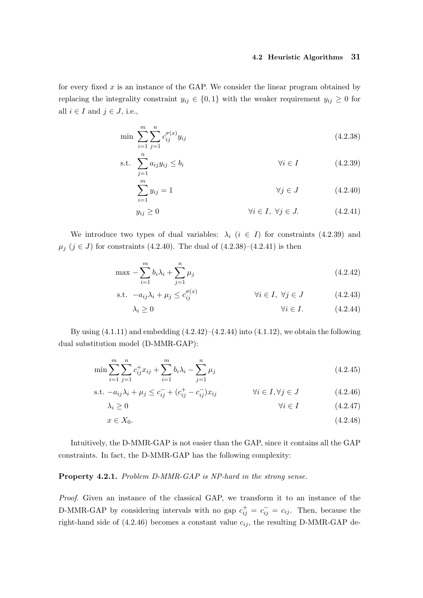# 4.2 Heuristic Algorithms 31

for every fixed  $x$  is an instance of the GAP. We consider the linear program obtained by replacing the integrality constraint  $y_{ij} \in \{0,1\}$  with the weaker requirement  $y_{ij} \geq 0$  for all  $i \in I$  and  $j \in J$ , i.e.,

$$
\min \sum_{i=1}^{m} \sum_{j=1}^{n} c_{ij}^{\sigma(x)} y_{ij}
$$
\n(4.2.38)

$$
\text{s.t. } \sum_{j=1}^{n} a_{ij} y_{ij} \le b_i \qquad \qquad \forall i \in I \tag{4.2.39}
$$

$$
\sum_{i=1}^{m} y_{ij} = 1 \qquad \qquad \forall j \in J \qquad (4.2.40)
$$

$$
y_{ij} \ge 0 \qquad \qquad \forall i \in I, \ \forall j \in J. \tag{4.2.41}
$$

We introduce two types of dual variables:  $\lambda_i$  ( $i \in I$ ) for constraints (4.2.39) and  $\mu_j$  (j ∈ J) for constraints (4.2.40). The dual of (4.2.38)–(4.2.41) is then

$$
\max - \sum_{i=1}^{m} b_i \lambda_i + \sum_{j=1}^{n} \mu_j
$$
\n(4.2.42)

s.t. 
$$
-a_{ij}\lambda_i + \mu_j \leq c_{ij}^{\sigma(x)}
$$
  $\forall i \in I, \forall j \in J$  (4.2.43)

$$
\lambda_i \ge 0 \qquad \qquad \forall i \in I. \tag{4.2.44}
$$

By using  $(4.1.11)$  and embedding  $(4.2.42)$ – $(4.2.44)$  into  $(4.1.12)$ , we obtain the following dual substitution model (D-MMR-GAP):

$$
\min \sum_{i=1}^{m} \sum_{j=1}^{n} c_{ij}^{+} x_{ij} + \sum_{i=1}^{m} b_{i} \lambda_{i} - \sum_{j=1}^{n} \mu_{j}
$$
\n(4.2.45)

s.t. 
$$
-a_{ij}\lambda_i + \mu_j \le c_{ij}^- + (c_{ij}^+ - c_{ij}^-)x_{ij}
$$
  $\forall i \in I, \forall j \in J$  (4.2.46)

$$
\lambda_i \ge 0 \qquad \qquad \forall i \in I \qquad (4.2.47)
$$

$$
x \in X_0. \tag{4.2.48}
$$

Intuitively, the D-MMR-GAP is not easier than the GAP, since it contains all the GAP constraints. In fact, the D-MMR-GAP has the following complexity:

# Property 4.2.1. Problem D-MMR-GAP is NP-hard in the strong sense.

Proof. Given an instance of the classical GAP, we transform it to an instance of the D-MMR-GAP by considering intervals with no gap  $c_{ij}^+ = c_{ij}^- = c_{ij}$ . Then, because the right-hand side of (4.2.46) becomes a constant value  $c_{ij}$ , the resulting D-MMR-GAP de-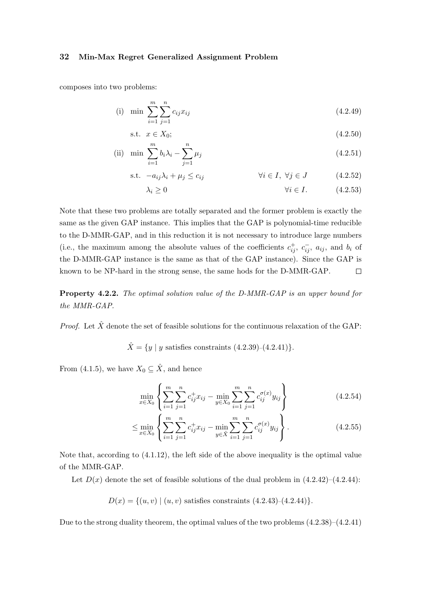composes into two problems:

(i) min 
$$
\sum_{i=1}^{m} \sum_{j=1}^{n} c_{ij} x_{ij}
$$
 (4.2.49)

$$
\text{s.t. } x \in X_0; \tag{4.2.50}
$$

(ii) min 
$$
\sum_{i=1}^{m} b_i \lambda_i - \sum_{j=1}^{n} \mu_j
$$
 (4.2.51)

s.t. 
$$
-a_{ij}\lambda_i + \mu_j \le c_{ij}
$$
  $\forall i \in I, \forall j \in J$  (4.2.52)

$$
\lambda_i \ge 0 \qquad \qquad \forall i \in I. \tag{4.2.53}
$$

Note that these two problems are totally separated and the former problem is exactly the same as the given GAP instance. This implies that the GAP is polynomial-time reducible to the D-MMR-GAP, and in this reduction it is not necessary to introduce large numbers (i.e., the maximum among the absolute values of the coefficients  $c_{ij}^+$ ,  $c_{ij}^-$ ,  $a_{ij}$ , and  $b_i$  of the D-MMR-GAP instance is the same as that of the GAP instance). Since the GAP is known to be NP-hard in the strong sense, the same hods for the D-MMR-GAP.  $\Box$ 

Property 4.2.2. The optimal solution value of the D-MMR-GAP is an upper bound for the MMR-GAP.

*Proof.* Let  $\hat{X}$  denote the set of feasible solutions for the continuous relaxation of the GAP:

$$
\hat{X} = \{y \mid y \text{ satisfies constraints } (4.2.39) - (4.2.41)\}.
$$

From (4.1.5), we have  $X_0 \subseteq \hat{X}$ , and hence

$$
\min_{x \in X_0} \left\{ \sum_{i=1}^m \sum_{j=1}^n c_{ij}^+ x_{ij} - \min_{y \in X_0} \sum_{i=1}^m \sum_{j=1}^n c_{ij}^{\sigma(x)} y_{ij} \right\} \tag{4.2.54}
$$

$$
\leq \min_{x \in X_0} \left\{ \sum_{i=1}^m \sum_{j=1}^n c_{ij}^+ x_{ij} - \min_{y \in \hat{X}} \sum_{i=1}^m \sum_{j=1}^n c_{ij}^{\sigma(x)} y_{ij} \right\}.
$$
 (4.2.55)

Note that, according to (4.1.12), the left side of the above inequality is the optimal value of the MMR-GAP.

Let  $D(x)$  denote the set of feasible solutions of the dual problem in  $(4.2.42)$ – $(4.2.44)$ :

$$
D(x) = \{(u, v) \mid (u, v) \text{ satisfies constraints } (4.2.43) - (4.2.44)\}.
$$

Due to the strong duality theorem, the optimal values of the two problems  $(4.2.38)$ – $(4.2.41)$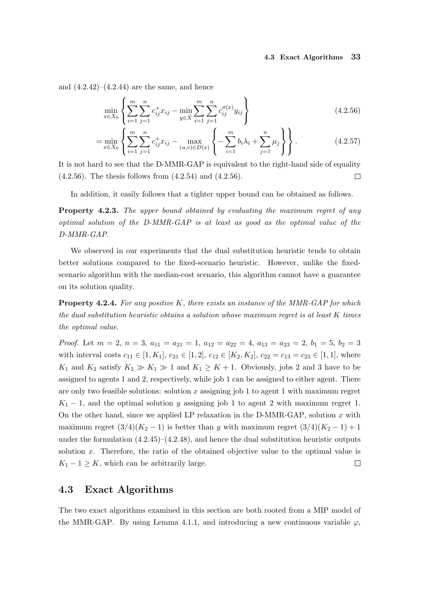and  $(4.2.42)$ – $(4.2.44)$  are the same, and hence

$$
\min_{x \in X_0} \left\{ \sum_{i=1}^m \sum_{j=1}^n c_{ij}^+ x_{ij} - \min_{y \in \hat{X}} \sum_{i=1}^m \sum_{j=1}^n c_{ij}^{\sigma(x)} y_{ij} \right\} \tag{4.2.56}
$$

$$
= \min_{x \in X_0} \left\{ \sum_{i=1}^m \sum_{j=1}^n c_{ij}^+ x_{ij} - \max_{(u,v) \in D(x)} \left\{ -\sum_{i=1}^m b_i \lambda_i + \sum_{j=1}^n \mu_j \right\} \right\}.
$$
 (4.2.57)

It is not hard to see that the D-MMR-GAP is equivalent to the right-hand side of equality  $(4.2.56)$ . The thesis follows from  $(4.2.54)$  and  $(4.2.56)$ .  $\Box$ 

In addition, it easily follows that a tighter upper bound can be obtained as follows.

Property 4.2.3. The upper bound obtained by evaluating the maximum regret of any optimal solution of the D-MMR-GAP is at least as good as the optimal value of the D-MMR-GAP.

We observed in our experiments that the dual substitution heuristic tends to obtain better solutions compared to the fixed-scenario heuristic. However, unlike the fixedscenario algorithm with the median-cost scenario, this algorithm cannot have a guarantee on its solution quality.

**Property 4.2.4.** For any positive K, there exists an instance of the MMR-GAP for which the dual substitution heuristic obtains a solution whose maximum regret is at least K times the optimal value.

*Proof.* Let  $m = 2$ ,  $n = 3$ ,  $a_{11} = a_{21} = 1$ ,  $a_{12} = a_{22} = 4$ ,  $a_{13} = a_{23} = 2$ ,  $b_1 = 5$ ,  $b_2 = 3$ with interval costs  $c_{11} \in [1, K_1]$ ,  $c_{21} \in [1, 2]$ ,  $c_{12} \in [K_2, K_2]$ ,  $c_{22} = c_{13} = c_{23} \in [1, 1]$ , where  $K_1$  and  $K_2$  satisfy  $K_2 \gg K_1 \gg 1$  and  $K_1 \geq K+1$ . Obviously, jobs 2 and 3 have to be assigned to agents 1 and 2, respectively, while job 1 can be assigned to either agent. There are only two feasible solutions: solution  $x$  assigning job 1 to agent 1 with maximum regret  $K_1 - 1$ , and the optimal solution y assigning job 1 to agent 2 with maximum regret 1. On the other hand, since we applied LP relaxation in the D-MMR-GAP, solution  $x$  with maximum regret  $(3/4)(K_2-1)$  is better than y with maximum regret  $(3/4)(K_2-1)+1$ under the formulation  $(4.2.45)$ – $(4.2.48)$ , and hence the dual substitution heuristic outputs solution  $x$ . Therefore, the ratio of the obtained objective value to the optimal value is  $K_1 - 1 \geq K$ , which can be arbitrarily large.  $\Box$ 

# 4.3 Exact Algorithms

The two exact algorithms examined in this section are both rooted from a MIP model of the MMR-GAP. By using Lemma 4.1.1, and introducing a new continuous variable  $\varphi$ ,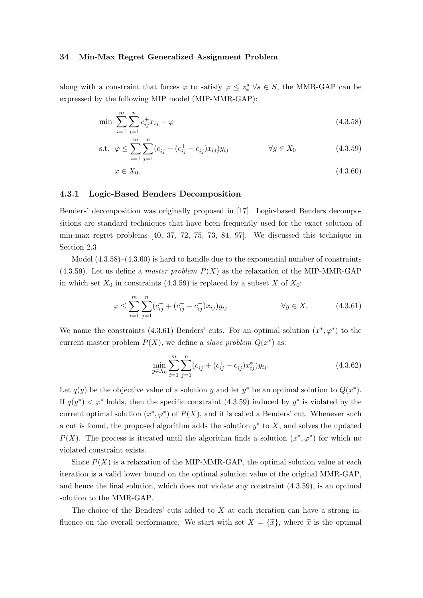along with a constraint that forces  $\varphi$  to satisfy  $\varphi \leq z_*^s \ \forall s \in S$ , the MMR-GAP can be expressed by the following MIP model (MIP-MMR-GAP):

$$
\min \sum_{i=1}^{m} \sum_{j=1}^{n} c_{ij}^{+} x_{ij} - \varphi \tag{4.3.58}
$$

s.t. 
$$
\varphi \le \sum_{i=1}^{m} \sum_{j=1}^{n} (c_{ij}^- + (c_{ij}^+ - c_{ij}^-) x_{ij}) y_{ij}
$$
  $\forall y \in X_0$  (4.3.59)

$$
x \in X_0. \tag{4.3.60}
$$

# 4.3.1 Logic-Based Benders Decomposition

Benders' decomposition was originally proposed in [17]. Logic-based Benders decompositions are standard techniques that have been frequently used for the exact solution of min-max regret problems [40, 37, 72, 75, 73, 84, 97]. We discussed this technique in Section 2.3

Model  $(4.3.58)$ – $(4.3.60)$  is hard to handle due to the exponential number of constraints  $(4.3.59)$ . Let us define a *master problem*  $P(X)$  as the relaxation of the MIP-MMR-GAP in which set  $X_0$  in constraints (4.3.59) is replaced by a subset X of  $X_0$ :

$$
\varphi \le \sum_{i=1}^{m} \sum_{j=1}^{n} (c_{ij}^- + (c_{ij}^+ - c_{ij}^-) x_{ij}) y_{ij} \qquad \forall y \in X.
$$
 (4.3.61)

We name the constraints (4.3.61) Benders' cuts. For an optimal solution  $(x^*,\varphi^*)$  to the current master problem  $P(X)$ , we define a *slave problem*  $Q(x^*)$  as:

$$
\min_{y \in X_0} \sum_{i=1}^m \sum_{j=1}^n (c_{ij}^- + (c_{ij}^+ - c_{ij}^-) x_{ij}^*) y_{ij}.
$$
\n(4.3.62)

Let  $q(y)$  be the objective value of a solution y and let  $y^*$  be an optimal solution to  $Q(x^*)$ . If  $q(y^*) < \varphi^*$  holds, then the specific constraint (4.3.59) induced by  $y^*$  is violated by the current optimal solution  $(x^*, \varphi^*)$  of  $P(X)$ , and it is called a Benders' cut. Whenever such a cut is found, the proposed algorithm adds the solution  $y^*$  to  $X$ , and solves the updated  $P(X)$ . The process is iterated until the algorithm finds a solution  $(x^*,\varphi^*)$  for which no violated constraint exists.

Since  $P(X)$  is a relaxation of the MIP-MMR-GAP, the optimal solution value at each iteration is a valid lower bound on the optimal solution value of the original MMR-GAP, and hence the final solution, which does not violate any constraint (4.3.59), is an optimal solution to the MMR-GAP.

The choice of the Benders' cuts added to  $X$  at each iteration can have a strong influence on the overall performance. We start with set  $X = {\tilde{x}}$ , where  $\tilde{x}$  is the optimal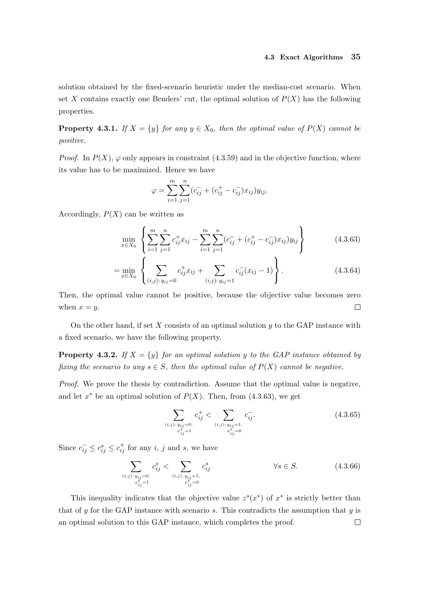solution obtained by the fixed-scenario heuristic under the median-cost scenario. When set X contains exactly one Benders' cut, the optimal solution of  $P(X)$  has the following properties.

**Property 4.3.1.** If  $X = \{y\}$  for any  $y \in X_0$ , then the optimal value of  $P(X)$  cannot be positive.

*Proof.* In  $P(X)$ ,  $\varphi$  only appears in constraint (4.3.59) and in the objective function, where its value has to be maximized. Hence we have

$$
\varphi = \sum_{i=1}^{m} \sum_{j=1}^{n} (c_{ij}^- + (c_{ij}^+ - c_{ij}^-) x_{ij}) y_{ij}.
$$

Accordingly,  $P(X)$  can be written as

$$
\min_{x \in X_0} \left\{ \sum_{i=1}^m \sum_{j=1}^n c_{ij}^+ x_{ij} - \sum_{i=1}^m \sum_{j=1}^n (c_{ij}^- + (c_{ij}^+ - c_{ij}^-) x_{ij}) y_{ij} \right\} \tag{4.3.63}
$$

$$
= \min_{x \in X_0} \left\{ \sum_{(i,j): y_{ij} = 0} c_{ij}^+ x_{ij} + \sum_{(i,j): y_{ij} = 1} c_{ij}^- (x_{ij} - 1) \right\}.
$$
 (4.3.64)

Then, the optimal value cannot be positive, because the objective value becomes zero when  $x = y$ .  $\Box$ 

On the other hand, if set  $X$  consists of an optimal solution  $y$  to the GAP instance with a fixed scenario, we have the following property.

**Property 4.3.2.** If  $X = \{y\}$  for an optimal solution y to the GAP instance obtained by fixing the scenario to any  $s \in S$ , then the optimal value of  $P(X)$  cannot be negative.

Proof. We prove the thesis by contradiction. Assume that the optimal value is negative, and let  $x^*$  be an optimal solution of  $P(X)$ . Then, from (4.3.63), we get

$$
\sum_{\substack{(i,j):\,y_{ij}=0,\\x_{ij}^*=1}}c_{ij}^+ < \sum_{\substack{(i,j):\,y_{ij}=1,\\x_{ij}^*=0}}c_{ij}^-.
$$
\n(4.3.65)

Since  $c_{ij}^- \leq c_{ij}^s \leq c_{ij}^+$  for any i, j and s, we have

$$
\sum_{\substack{(i,j): y_{ij}=0, \ x_{ij}^* = 1}} c_{ij}^s < \sum_{\substack{(i,j): y_{ij}=1, \ x_{ij}^* = 0}} c_{ij}^s & \forall s \in S. \tag{4.3.66}
$$

This inequality indicates that the objective value  $z<sup>s</sup>(x<sup>*</sup>)$  of  $x<sup>*</sup>$  is strictly better than that of y for the GAP instance with scenario s. This contradicts the assumption that  $y$  is an optimal solution to this GAP instance, which completes the proof. $\Box$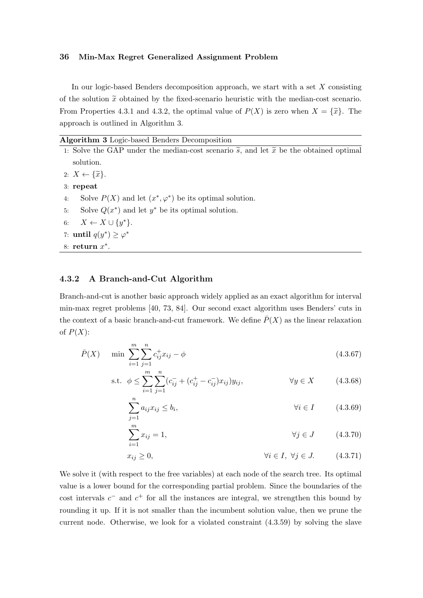In our logic-based Benders decomposition approach, we start with a set  $X$  consisting of the solution  $\tilde{x}$  obtained by the fixed-scenario heuristic with the median-cost scenario. From Properties 4.3.1 and 4.3.2, the optimal value of  $P(X)$  is zero when  $X = {\tilde{x}}$ . The approach is outlined in Algorithm 3.

|  |  |  |  | Algorithm 3 Logic-based Benders Decomposition |
|--|--|--|--|-----------------------------------------------|
|--|--|--|--|-----------------------------------------------|

1: Solve the GAP under the median-cost scenario  $\tilde{s}$ , and let  $\tilde{x}$  be the obtained optimal solution.

```
2: X \leftarrow {\widetilde{x}}.
```
3: repeat

- 4: Solve  $P(X)$  and let  $(x^*, \varphi^*)$  be its optimal solution.
- 5: Solve  $Q(x^*)$  and let  $y^*$  be its optimal solution.
- 6:  $X \leftarrow X \cup \{y^*\}.$
- 7: until  $q(y^*) \geq \varphi^*$
- 8: return  $x^*$ .

# 4.3.2 A Branch-and-Cut Algorithm

Branch-and-cut is another basic approach widely applied as an exact algorithm for interval min-max regret problems [40, 73, 84]. Our second exact algorithm uses Benders' cuts in the context of a basic branch-and-cut framework. We define  $\overline{P}(X)$  as the linear relaxation of  $P(X)$ :

$$
\bar{P}(X) \quad \min \sum_{i=1}^{m} \sum_{j=1}^{n} c_{ij}^{+} x_{ij} - \phi \tag{4.3.67}
$$

s.t. 
$$
\phi \le \sum_{i=1}^{m} \sum_{j=1}^{n} (c_{ij}^- + (c_{ij}^+ - c_{ij}^-) x_{ij}) y_{ij},
$$
  $\forall y \in X$  (4.3.68)

$$
\sum_{j=1}^{n} a_{ij} x_{ij} \le b_i, \qquad \forall i \in I \qquad (4.3.69)
$$

$$
\sum_{i=1}^{m} x_{ij} = 1, \qquad \forall j \in J \qquad (4.3.70)
$$

$$
x_{ij} \ge 0, \qquad \qquad \forall i \in I, \ \forall j \in J. \tag{4.3.71}
$$

We solve it (with respect to the free variables) at each node of the search tree. Its optimal value is a lower bound for the corresponding partial problem. Since the boundaries of the cost intervals  $c^-$  and  $c^+$  for all the instances are integral, we strengthen this bound by rounding it up. If it is not smaller than the incumbent solution value, then we prune the current node. Otherwise, we look for a violated constraint (4.3.59) by solving the slave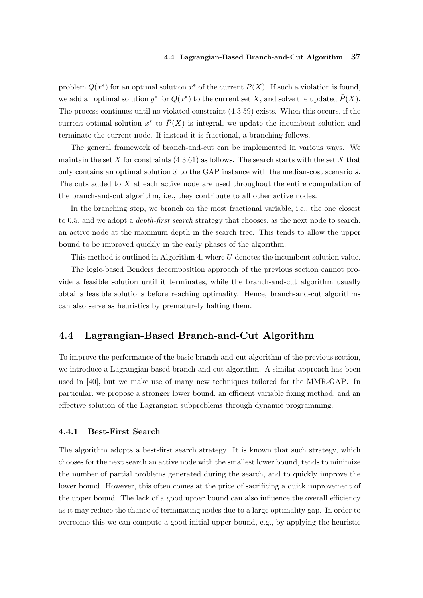problem  $Q(x^*)$  for an optimal solution  $x^*$  of the current  $\overline{P}(X)$ . If such a violation is found, we add an optimal solution  $y^*$  for  $Q(x^*)$  to the current set X, and solve the updated  $\bar{P}(X)$ . The process continues until no violated constraint (4.3.59) exists. When this occurs, if the current optimal solution  $x^*$  to  $\overline{P}(X)$  is integral, we update the incumbent solution and terminate the current node. If instead it is fractional, a branching follows.

The general framework of branch-and-cut can be implemented in various ways. We maintain the set  $X$  for constraints  $(4.3.61)$  as follows. The search starts with the set  $X$  that only contains an optimal solution  $\tilde{x}$  to the GAP instance with the median-cost scenario  $\tilde{s}$ . The cuts added to  $X$  at each active node are used throughout the entire computation of the branch-and-cut algorithm, i.e., they contribute to all other active nodes.

In the branching step, we branch on the most fractional variable, i.e., the one closest to 0.5, and we adopt a depth-first search strategy that chooses, as the next node to search, an active node at the maximum depth in the search tree. This tends to allow the upper bound to be improved quickly in the early phases of the algorithm.

This method is outlined in Algorithm 4, where U denotes the incumbent solution value. The logic-based Benders decomposition approach of the previous section cannot provide a feasible solution until it terminates, while the branch-and-cut algorithm usually obtains feasible solutions before reaching optimality. Hence, branch-and-cut algorithms can also serve as heuristics by prematurely halting them.

# 4.4 Lagrangian-Based Branch-and-Cut Algorithm

To improve the performance of the basic branch-and-cut algorithm of the previous section, we introduce a Lagrangian-based branch-and-cut algorithm. A similar approach has been used in [40], but we make use of many new techniques tailored for the MMR-GAP. In particular, we propose a stronger lower bound, an efficient variable fixing method, and an effective solution of the Lagrangian subproblems through dynamic programming.

# 4.4.1 Best-First Search

The algorithm adopts a best-first search strategy. It is known that such strategy, which chooses for the next search an active node with the smallest lower bound, tends to minimize the number of partial problems generated during the search, and to quickly improve the lower bound. However, this often comes at the price of sacrificing a quick improvement of the upper bound. The lack of a good upper bound can also influence the overall efficiency as it may reduce the chance of terminating nodes due to a large optimality gap. In order to overcome this we can compute a good initial upper bound, e.g., by applying the heuristic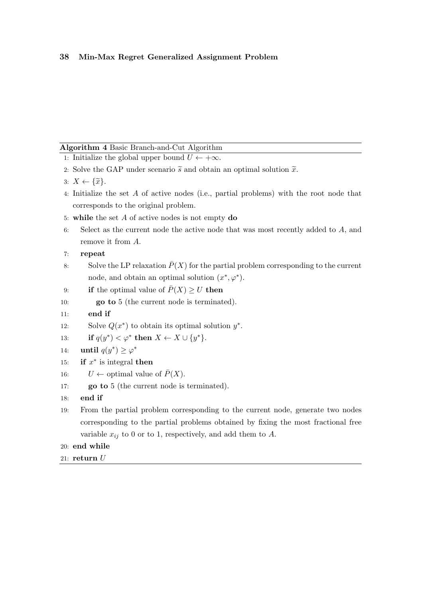# Algorithm 4 Basic Branch-and-Cut Algorithm

|                                    | $\mathbf{H}$ $\mathbf{S}$ $\mathbf{S}$ $\mathbf{H}$ $\mathbf{H}$ $\mathbf{H}$ $\mathbf{H}$ $\mathbf{H}$ $\mathbf{H}$ $\mathbf{H}$ $\mathbf{H}$ $\mathbf{H}$ $\mathbf{H}$ $\mathbf{H}$ $\mathbf{H}$ $\mathbf{H}$ $\mathbf{H}$ $\mathbf{H}$ $\mathbf{H}$ $\mathbf{H}$ $\mathbf{H}$ $\mathbf{H}$ $\mathbf{H}$ $\mathbf{H}$ $\mathbf{$ |
|------------------------------------|------------------------------------------------------------------------------------------------------------------------------------------------------------------------------------------------------------------------------------------------------------------------------------------------------------------------------------|
|                                    | 1: Initialize the global upper bound $U \leftarrow +\infty$ .                                                                                                                                                                                                                                                                      |
|                                    | 2. Solve the GAP under scenario $\tilde{s}$ and obtain an optimal solution $\tilde{x}$ .                                                                                                                                                                                                                                           |
| $3: X \leftarrow {\widetilde{x}}.$ |                                                                                                                                                                                                                                                                                                                                    |
|                                    | 4: Initialize the set A of active nodes (i.e., partial problems) with the root node that                                                                                                                                                                                                                                           |
|                                    | corresponds to the original problem.                                                                                                                                                                                                                                                                                               |
|                                    | 5: while the set $A$ of active nodes is not empty do                                                                                                                                                                                                                                                                               |
| 6:                                 | Select as the current node the active node that was most recently added to $A$ , and                                                                                                                                                                                                                                               |
|                                    | remove it from $A$ .                                                                                                                                                                                                                                                                                                               |
| 7:                                 | repeat                                                                                                                                                                                                                                                                                                                             |
| 8:                                 | Solve the LP relaxation $\overline{P}(X)$ for the partial problem corresponding to the current                                                                                                                                                                                                                                     |
|                                    | node, and obtain an optimal solution $(x^*, \varphi^*)$ .                                                                                                                                                                                                                                                                          |
| 9:                                 | if the optimal value of $P(X) \geq U$ then                                                                                                                                                                                                                                                                                         |
| 10:                                | <b>go to</b> 5 (the current node is terminated).                                                                                                                                                                                                                                                                                   |
| 11:                                | end if                                                                                                                                                                                                                                                                                                                             |
| 12:                                | Solve $Q(x^*)$ to obtain its optimal solution $y^*$ .                                                                                                                                                                                                                                                                              |
| 13:                                | if $q(y^*) < \varphi^*$ then $X \leftarrow X \cup \{y^*\}.$                                                                                                                                                                                                                                                                        |
| 14:                                | until $q(y^*) \geq \varphi^*$                                                                                                                                                                                                                                                                                                      |
| 15:                                | if $x^*$ is integral then                                                                                                                                                                                                                                                                                                          |
| 16:                                | $U \leftarrow$ optimal value of $\overline{P}(X)$ .                                                                                                                                                                                                                                                                                |
| 17:                                | go to 5 (the current node is terminated).                                                                                                                                                                                                                                                                                          |
| end if<br>18:                      |                                                                                                                                                                                                                                                                                                                                    |
| 19:                                | From the partial problem corresponding to the current node, generate two nodes                                                                                                                                                                                                                                                     |
|                                    | corresponding to the partial problems obtained by fixing the most fractional free                                                                                                                                                                                                                                                  |
|                                    | variable $x_{ij}$ to 0 or to 1, respectively, and add them to A.                                                                                                                                                                                                                                                                   |
| 20: end while                      |                                                                                                                                                                                                                                                                                                                                    |
| $21: \; \textbf{return} \; U$      |                                                                                                                                                                                                                                                                                                                                    |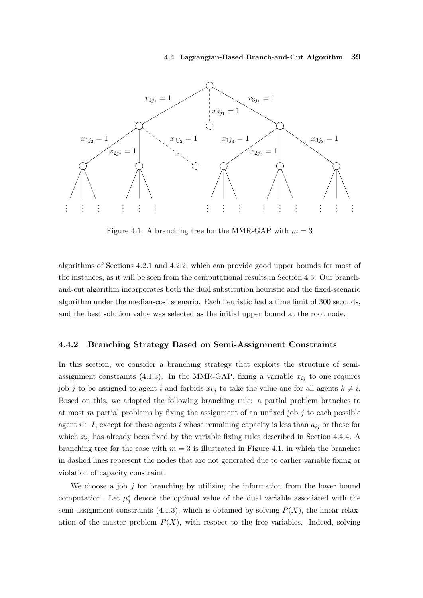#### 4.4 Lagrangian-Based Branch-and-Cut Algorithm 39



Figure 4.1: A branching tree for the MMR-GAP with  $m = 3$ 

algorithms of Sections 4.2.1 and 4.2.2, which can provide good upper bounds for most of the instances, as it will be seen from the computational results in Section 4.5. Our branchand-cut algorithm incorporates both the dual substitution heuristic and the fixed-scenario algorithm under the median-cost scenario. Each heuristic had a time limit of 300 seconds, and the best solution value was selected as the initial upper bound at the root node.

# 4.4.2 Branching Strategy Based on Semi-Assignment Constraints

In this section, we consider a branching strategy that exploits the structure of semiassignment constraints (4.1.3). In the MMR-GAP, fixing a variable  $x_{ij}$  to one requires job j to be assigned to agent i and forbids  $x_{kj}$  to take the value one for all agents  $k \neq i$ . Based on this, we adopted the following branching rule: a partial problem branches to at most m partial problems by fixing the assignment of an unfixed job  $j$  to each possible agent  $i \in I$ , except for those agents i whose remaining capacity is less than  $a_{ij}$  or those for which  $x_{ij}$  has already been fixed by the variable fixing rules described in Section 4.4.4. A branching tree for the case with  $m = 3$  is illustrated in Figure 4.1, in which the branches in dashed lines represent the nodes that are not generated due to earlier variable fixing or violation of capacity constraint.

We choose a job  $j$  for branching by utilizing the information from the lower bound computation. Let  $\mu_j^*$  denote the optimal value of the dual variable associated with the semi-assignment constraints (4.1.3), which is obtained by solving  $P(X)$ , the linear relaxation of the master problem  $P(X)$ , with respect to the free variables. Indeed, solving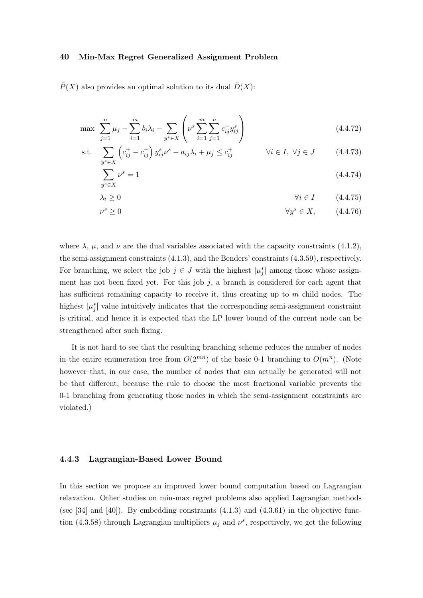$\overline{P}(X)$  also provides an optimal solution to its dual  $\overline{D}(X)$ :

$$
\max \sum_{j=1}^{n} \mu_j - \sum_{i=1}^{m} b_i \lambda_i - \sum_{y^s \in X} \left( \nu^s \sum_{i=1}^{m} \sum_{j=1}^{n} c_{ij}^{-} y_{ij}^s \right)
$$
\n(4.4.72)

s.t. 
$$
\sum_{y^s \in X} \left( c_{ij}^+ - c_{ij}^- \right) y_{ij}^s \nu^s - a_{ij} \lambda_i + \mu_j \le c_{ij}^+ \qquad \forall i \in I, \ \forall j \in J \qquad (4.4.73)
$$

$$
\sum_{y^s \in X} \nu^s = 1 \tag{4.4.74}
$$

$$
\lambda_i \ge 0 \qquad \qquad \forall i \in I \qquad (4.4.75)
$$

$$
\forall y^s \ge 0 \qquad \qquad \forall y^s \in X, \qquad (4.4.76)
$$

where  $\lambda$ ,  $\mu$ , and  $\nu$  are the dual variables associated with the capacity constraints (4.1.2), the semi-assignment constraints (4.1.3), and the Benders' constraints (4.3.59), respectively. For branching, we select the job  $j \in J$  with the highest  $|\mu_j^*|$  among those whose assignment has not been fixed yet. For this job  $j$ , a branch is considered for each agent that has sufficient remaining capacity to receive it, thus creating up to  $m$  child nodes. The highest  $|\mu_j^*|$  value intuitively indicates that the corresponding semi-assignment constraint is critical, and hence it is expected that the LP lower bound of the current node can be strengthened after such fixing.

It is not hard to see that the resulting branching scheme reduces the number of nodes in the entire enumeration tree from  $O(2^{mn})$  of the basic 0-1 branching to  $O(m^n)$ . (Note however that, in our case, the number of nodes that can actually be generated will not be that different, because the rule to choose the most fractional variable prevents the 0-1 branching from generating those nodes in which the semi-assignment constraints are violated.)

# 4.4.3 Lagrangian-Based Lower Bound

In this section we propose an improved lower bound computation based on Lagrangian relaxation. Other studies on min-max regret problems also applied Lagrangian methods (see [34] and [40]). By embedding constraints  $(4.1.3)$  and  $(4.3.61)$  in the objective function (4.3.58) through Lagrangian multipliers  $\mu_j$  and  $\nu^s$ , respectively, we get the following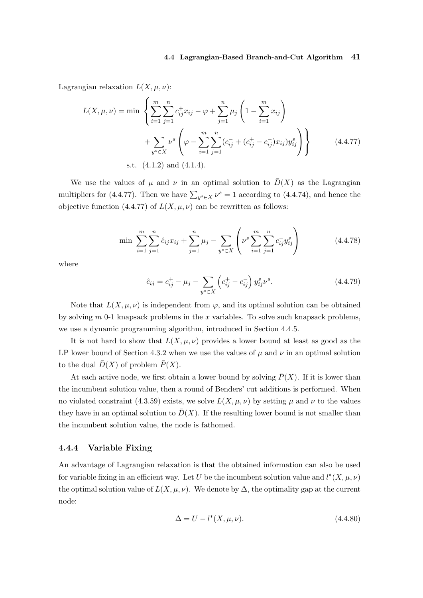#### 4.4 Lagrangian-Based Branch-and-Cut Algorithm 41

Lagrangian relaxation  $L(X, \mu, \nu)$ :

$$
L(X, \mu, \nu) = \min \left\{ \sum_{i=1}^{m} \sum_{j=1}^{n} c_{ij}^{+} x_{ij} - \varphi + \sum_{j=1}^{n} \mu_{j} \left( 1 - \sum_{i=1}^{m} x_{ij} \right) + \sum_{y^{s} \in X} \nu^{s} \left( \varphi - \sum_{i=1}^{m} \sum_{j=1}^{n} (c_{ij}^{-} + (c_{ij}^{+} - c_{ij}^{-}) x_{ij}) y_{ij}^{s} \right) \right\}
$$
\n
$$
s.t. (4.1.2) and (4.1.4).
$$
\n(4.1.2)

We use the values of  $\mu$  and  $\nu$  in an optimal solution to  $\bar{D}(X)$  as the Lagrangian multipliers for (4.4.77). Then we have  $\sum_{y^s \in X} \nu^s = 1$  according to (4.4.74), and hence the objective function (4.4.77) of  $L(X, \mu, \nu)$  can be rewritten as follows:

$$
\min \sum_{i=1}^{m} \sum_{j=1}^{n} \hat{c}_{ij} x_{ij} + \sum_{j=1}^{n} \mu_j - \sum_{y^s \in X} \left( \nu^s \sum_{i=1}^{m} \sum_{j=1}^{n} c_{ij}^{-} y_{ij}^s \right) \tag{4.4.78}
$$

where

$$
\hat{c}_{ij} = c_{ij}^{+} - \mu_j - \sum_{y^s \in X} \left( c_{ij}^{+} - c_{ij}^{-} \right) y_{ij}^s \nu^s.
$$
\n(4.4.79)

Note that  $L(X, \mu, \nu)$  is independent from  $\varphi$ , and its optimal solution can be obtained by solving  $m$  0-1 knapsack problems in the x variables. To solve such knapsack problems, we use a dynamic programming algorithm, introduced in Section 4.4.5.

It is not hard to show that  $L(X, \mu, \nu)$  provides a lower bound at least as good as the LP lower bound of Section 4.3.2 when we use the values of  $\mu$  and  $\nu$  in an optimal solution to the dual  $\bar{D}(X)$  of problem  $\bar{P}(X)$ .

At each active node, we first obtain a lower bound by solving  $\bar{P}(X)$ . If it is lower than the incumbent solution value, then a round of Benders' cut additions is performed. When no violated constraint (4.3.59) exists, we solve  $L(X, \mu, \nu)$  by setting  $\mu$  and  $\nu$  to the values they have in an optimal solution to  $\overline{D}(X)$ . If the resulting lower bound is not smaller than the incumbent solution value, the node is fathomed.

# 4.4.4 Variable Fixing

An advantage of Lagrangian relaxation is that the obtained information can also be used for variable fixing in an efficient way. Let U be the incumbent solution value and  $l^*(X, \mu, \nu)$ the optimal solution value of  $L(X, \mu, \nu)$ . We denote by  $\Delta$ , the optimality gap at the current node:

$$
\Delta = U - l^*(X, \mu, \nu). \tag{4.4.80}
$$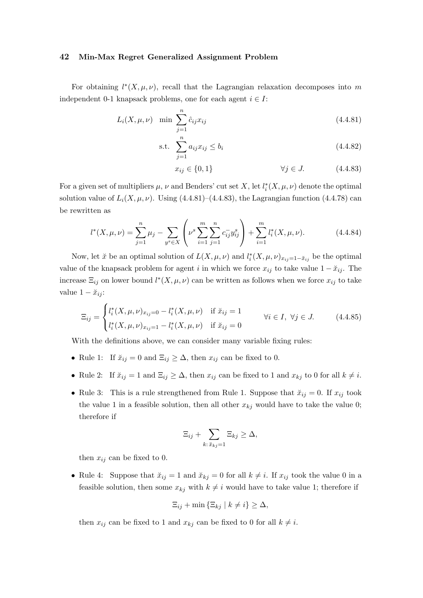For obtaining  $l^*(X, \mu, \nu)$ , recall that the Lagrangian relaxation decomposes into m independent 0-1 knapsack problems, one for each agent  $i \in I$ :

$$
L_i(X, \mu, \nu) \min \sum_{j=1}^n \hat{c}_{ij} x_{ij}
$$
 (4.4.81)

s.t. 
$$
\sum_{j=1}^{n} a_{ij} x_{ij} \le b_i
$$
 (4.4.82)

$$
x_{ij} \in \{0, 1\} \qquad \forall j \in J. \tag{4.4.83}
$$

For a given set of multipliers  $\mu$ ,  $\nu$  and Benders' cut set X, let  $l_i^*(X, \mu, \nu)$  denote the optimal solution value of  $L<sub>i</sub>(X, \mu, \nu)$ . Using (4.4.81)–(4.4.83), the Lagrangian function (4.4.78) can be rewritten as

$$
l^*(X, \mu, \nu) = \sum_{j=1}^n \mu_j - \sum_{y^s \in X} \left( \nu^s \sum_{i=1}^m \sum_{j=1}^n c_{ij}^- y_{ij}^s \right) + \sum_{i=1}^m l_i^*(X, \mu, \nu).
$$
 (4.4.84)

Now, let  $\check{x}$  be an optimal solution of  $L(X, \mu, \nu)$  and  $l_i^*(X, \mu, \nu)_{x_{ij}=1-\check{x}_{ij}}$  be the optimal value of the knapsack problem for agent i in which we force  $x_{ij}$  to take value  $1 - \breve{x}_{ij}$ . The increase  $\Xi_{ij}$  on lower bound  $l^*(X, \mu, \nu)$  can be written as follows when we force  $x_{ij}$  to take value  $1 - \breve{x}_{ij}$ :

$$
\Xi_{ij} = \begin{cases}\n l_i^*(X, \mu, \nu)_{x_{ij}=0} - l_i^*(X, \mu, \nu) & \text{if } \check{x}_{ij} = 1 \\
l_i^*(X, \mu, \nu)_{x_{ij}=1} - l_i^*(X, \mu, \nu) & \text{if } \check{x}_{ij} = 0\n\end{cases} \quad \forall i \in I, \ \forall j \in J.
$$
\n(4.4.85)

With the definitions above, we can consider many variable fixing rules:

- Rule 1: If  $\breve{x}_{ij} = 0$  and  $\Xi_{ij} \geq \Delta$ , then  $x_{ij}$  can be fixed to 0.
- Rule 2: If  $\tilde{x}_{ij} = 1$  and  $\Xi_{ij} \geq \Delta$ , then  $x_{ij}$  can be fixed to 1 and  $x_{kj}$  to 0 for all  $k \neq i$ .
- Rule 3: This is a rule strengthened from Rule 1. Suppose that  $\tilde{x}_{ij} = 0$ . If  $x_{ij}$  took the value 1 in a feasible solution, then all other  $x_{kj}$  would have to take the value 0; therefore if

$$
\Xi_{ij} + \sum_{k:\, \breve{x}_{kj}=1} \Xi_{kj} \geq \Delta,
$$

then  $x_{ij}$  can be fixed to 0.

• Rule 4: Suppose that  $\breve{x}_{ij} = 1$  and  $\breve{x}_{kj} = 0$  for all  $k \neq i$ . If  $x_{ij}$  took the value 0 in a feasible solution, then some  $x_{ki}$  with  $k \neq i$  would have to take value 1; therefore if

$$
\Xi_{ij} + \min\left\{ \Xi_{kj} \mid k \neq i \right\} \geq \Delta,
$$

then  $x_{ij}$  can be fixed to 1 and  $x_{kj}$  can be fixed to 0 for all  $k \neq i$ .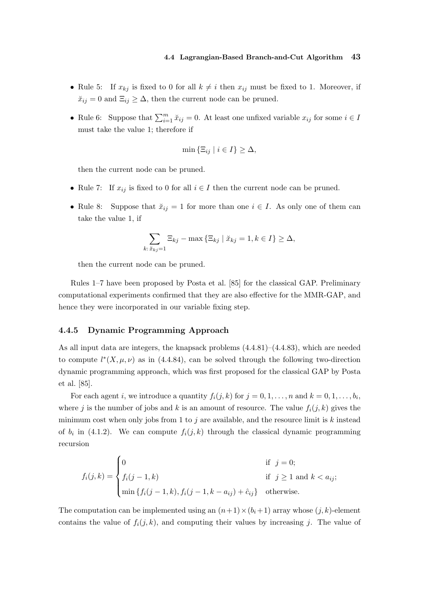- Rule 5: If  $x_{kj}$  is fixed to 0 for all  $k \neq i$  then  $x_{ij}$  must be fixed to 1. Moreover, if  $\breve{x}_{ij} = 0$  and  $\Xi_{ij} \geq \Delta$ , then the current node can be pruned.
- Rule 6: Suppose that  $\sum_{i=1}^{m} x_{ij} = 0$ . At least one unfixed variable  $x_{ij}$  for some  $i \in I$ must take the value 1; therefore if

$$
\min\left\{ \Xi_{ij} \mid i \in I\right\} \geq \Delta,
$$

then the current node can be pruned.

- Rule 7: If  $x_{ij}$  is fixed to 0 for all  $i \in I$  then the current node can be pruned.
- Rule 8: Suppose that  $\breve{x}_{ij} = 1$  for more than one  $i \in I$ . As only one of them can take the value 1, if

$$
\sum_{k:\tilde{x}_{kj}=1} \Xi_{kj} - \max\left\{\Xi_{kj} \mid \tilde{x}_{kj}=1, k \in I\right\} \geq \Delta,
$$

then the current node can be pruned.

Rules 1–7 have been proposed by Posta et al. [85] for the classical GAP. Preliminary computational experiments confirmed that they are also effective for the MMR-GAP, and hence they were incorporated in our variable fixing step.

# 4.4.5 Dynamic Programming Approach

As all input data are integers, the knapsack problems (4.4.81)–(4.4.83), which are needed to compute  $l^*(X, \mu, \nu)$  as in (4.4.84), can be solved through the following two-direction dynamic programming approach, which was first proposed for the classical GAP by Posta et al. [85].

For each agent *i*, we introduce a quantity  $f_i(j, k)$  for  $j = 0, 1, ..., n$  and  $k = 0, 1, ..., b_i$ , where j is the number of jobs and k is an amount of resource. The value  $f_i(j, k)$  gives the minimum cost when only jobs from 1 to j are available, and the resource limit is  $k$  instead of  $b_i$  in (4.1.2). We can compute  $f_i(j,k)$  through the classical dynamic programming recursion

$$
f_i(j,k) = \begin{cases} 0 & \text{if } j = 0; \\ f_i(j-1,k) & \text{if } j \ge 1 \text{ and } k < a_{ij}; \\ \min \{ f_i(j-1,k), f_i(j-1,k-a_{ij}) + \hat{c}_{ij} \} & \text{otherwise.} \end{cases}
$$

The computation can be implemented using an  $(n+1)\times(b_i+1)$  array whose  $(j, k)$ -element contains the value of  $f_i(j, k)$ , and computing their values by increasing j. The value of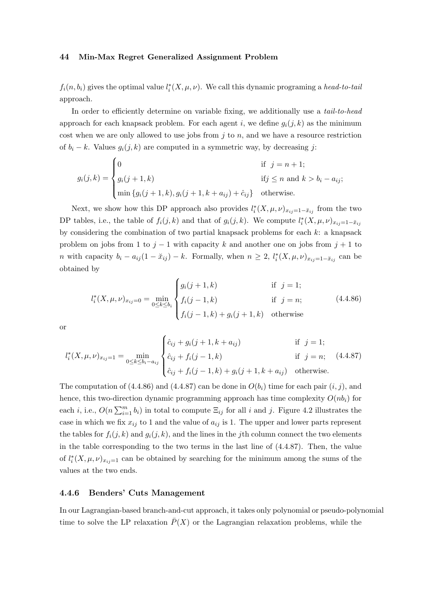$f_i(n, b_i)$  gives the optimal value  $l_i^*(X, \mu, \nu)$ . We call this dynamic programing a head-to-tail approach.

In order to efficiently determine on variable fixing, we additionally use a *tail-to-head* approach for each knapsack problem. For each agent i, we define  $q_i(j, k)$  as the minimum cost when we are only allowed to use jobs from  $j$  to  $n$ , and we have a resource restriction of  $b_i - k$ . Values  $g_i(j, k)$  are computed in a symmetric way, by decreasing j:

$$
g_i(j,k) = \begin{cases} 0 & \text{if } j = n+1; \\ g_i(j+1,k) & \text{if } j \le n \text{ and } k > b_i - a_{ij}; \\ \min\{g_i(j+1,k), g_i(j+1,k+a_{ij}) + \hat{c}_{ij}\} & \text{otherwise.} \end{cases}
$$

Next, we show how this DP approach also provides  $l_i^*(X, \mu, \nu)_{x_{ij}=1-\tilde{x}_{ij}}$  from the two DP tables, i.e., the table of  $f_i(j,k)$  and that of  $g_i(j,k)$ . We compute  $l_i^*(X,\mu,\nu)_{x_{ij}=1-\tilde{x}_{ij}}$ by considering the combination of two partial knapsack problems for each  $k$ : a knapsack problem on jobs from 1 to  $j-1$  with capacity k and another one on jobs from  $j+1$  to *n* with capacity  $b_i - a_{ij}(1 - \tilde{x}_{ij}) - k$ . Formally, when  $n \geq 2$ ,  $l_i^*(X, \mu, \nu)_{x_{ij}=1-\tilde{x}_{ij}}$  can be obtained by

$$
l_i^*(X, \mu, \nu)_{x_{ij}=0} = \min_{0 \le k \le b_i} \begin{cases} g_i(j+1,k) & \text{if } j=1; \\ f_i(j-1,k) & \text{if } j=n; \\ f_i(j-1,k) + g_i(j+1,k) & \text{otherwise} \end{cases}
$$
(4.4.86)

or

$$
l_i^*(X, \mu, \nu)_{x_{ij}=1} = \min_{0 \le k \le b_i - a_{ij}} \begin{cases} \hat{c}_{ij} + g_i(j+1, k+a_{ij}) & \text{if } j = 1; \\ \hat{c}_{ij} + f_i(j-1, k) & \text{if } j = n; \\ \hat{c}_{ij} + f_i(j-1, k) + g_i(j+1, k+a_{ij}) & \text{otherwise.} \end{cases}
$$
(4.4.87)

The computation of  $(4.4.86)$  and  $(4.4.87)$  can be done in  $O(b_i)$  time for each pair  $(i, j)$ , and hence, this two-direction dynamic programming approach has time complexity  $O(nb<sub>i</sub>)$  for each *i*, i.e.,  $O(n \sum_{i=1}^{m} b_i)$  in total to compute  $\Xi_{ij}$  for all *i* and *j*. Figure 4.2 illustrates the case in which we fix  $x_{ij}$  to 1 and the value of  $a_{ij}$  is 1. The upper and lower parts represent the tables for  $f_i(j, k)$  and  $g_i(j, k)$ , and the lines in the jth column connect the two elements in the table corresponding to the two terms in the last line of (4.4.87). Then, the value of  $l_i^*(X, \mu, \nu)_{x_{ij}=1}$  can be obtained by searching for the minimum among the sums of the values at the two ends.

# 4.4.6 Benders' Cuts Management

In our Lagrangian-based branch-and-cut approach, it takes only polynomial or pseudo-polynomial time to solve the LP relaxation  $\overline{P}(X)$  or the Lagrangian relaxation problems, while the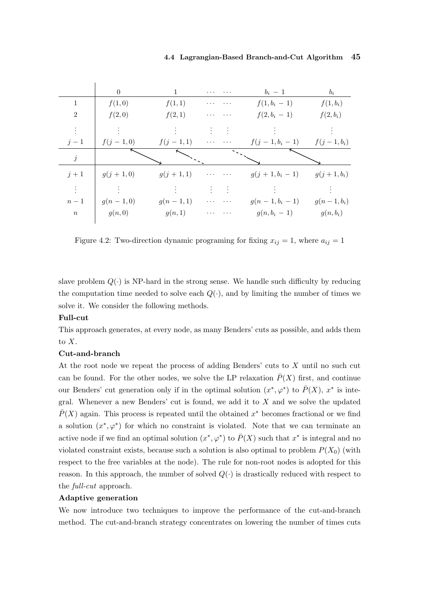# 4.4 Lagrangian-Based Branch-and-Cut Algorithm 45

|              | $\overline{0}$ | $\mathbf{1}$ | $\cdots$<br>$\cdots$                                                         | $b_i-1$         | $b_i$        |
|--------------|----------------|--------------|------------------------------------------------------------------------------|-----------------|--------------|
| $\mathbf{1}$ | f(1,0)         | f(1,1)       | $\sim$ $\sim$ $\sim$<br>$\cdots$                                             | $f(1, b_i - 1)$ | $f(1,b_i)$   |
| 2            | f(2,0)         | f(2,1)       | $\cdots$                                                                     | $f(2, b_i - 1)$ | $f(2,b_i)$   |
|              |                |              |                                                                              |                 |              |
| $j-1$        | $f(j-1,0)$     | $f(j-1,1)$   | $\mathbf{r} \cdot \mathbf{r} = \mathbf{r} \cdot \mathbf{r} \cdot \mathbf{r}$ | $f(j-1,b_i-1)$  | $f(j-1,b_i)$ |
| $\dot{j}$    |                |              |                                                                              |                 |              |
| $j+1$        | $g(j + 1,0)$   | $g(j+1,1)$   | $\sim$ 100 km $^{-1}$ , 100 km s $^{-1}$                                     | $g(j+1,b_i-1)$  | $g(j+1,b_i)$ |
| $\vdots$     |                |              | Politika<br>Politika                                                         |                 |              |
| $n-1$        | $g(n-1,0)$     | $g(n-1,1)$   | $\cdots$                                                                     | $g(n-1,b_i-1)$  | $g(n-1,b_i)$ |
| $\,n$        | g(n,0)         | g(n,1)       | $\cdots$                                                                     | $g(n, b_i-1)$   | $g(n, b_i)$  |

Figure 4.2: Two-direction dynamic programing for fixing  $x_{ij} = 1$ , where  $a_{ij} = 1$ 

slave problem  $Q(\cdot)$  is NP-hard in the strong sense. We handle such difficulty by reducing the computation time needed to solve each  $Q(\cdot)$ , and by limiting the number of times we solve it. We consider the following methods.

# Full-cut

This approach generates, at every node, as many Benders' cuts as possible, and adds them to X.

# Cut-and-branch

At the root node we repeat the process of adding Benders' cuts to X until no such cut can be found. For the other nodes, we solve the LP relaxation  $\bar{P}(X)$  first, and continue our Benders' cut generation only if in the optimal solution  $(x^*,\varphi^*)$  to  $\bar{P}(X)$ ,  $x^*$  is integral. Whenever a new Benders' cut is found, we add it to  $X$  and we solve the updated  $\overline{P}(X)$  again. This process is repeated until the obtained  $x^*$  becomes fractional or we find a solution  $(x^*, \varphi^*)$  for which no constraint is violated. Note that we can terminate an active node if we find an optimal solution  $(x^*, \varphi^*)$  to  $\bar{P}(X)$  such that  $x^*$  is integral and no violated constraint exists, because such a solution is also optimal to problem  $P(X_0)$  (with respect to the free variables at the node). The rule for non-root nodes is adopted for this reason. In this approach, the number of solved  $Q(\cdot)$  is drastically reduced with respect to the full-cut approach.

#### Adaptive generation

We now introduce two techniques to improve the performance of the cut-and-branch method. The cut-and-branch strategy concentrates on lowering the number of times cuts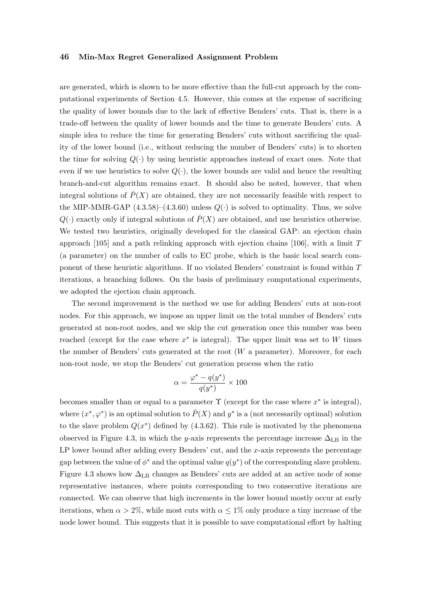are generated, which is shown to be more effective than the full-cut approach by the computational experiments of Section 4.5. However, this comes at the expense of sacrificing the quality of lower bounds due to the lack of effective Benders' cuts. That is, there is a trade-off between the quality of lower bounds and the time to generate Benders' cuts. A simple idea to reduce the time for generating Benders' cuts without sacrificing the quality of the lower bound (i.e., without reducing the number of Benders' cuts) is to shorten the time for solving  $Q(\cdot)$  by using heuristic approaches instead of exact ones. Note that even if we use heuristics to solve  $Q(\cdot)$ , the lower bounds are valid and hence the resulting branch-and-cut algorithm remains exact. It should also be noted, however, that when integral solutions of  $\overline{P}(X)$  are obtained, they are not necessarily feasible with respect to the MIP-MMR-GAP  $(4.3.58)$ – $(4.3.60)$  unless  $Q(\cdot)$  is solved to optimality. Thus, we solve  $Q(\cdot)$  exactly only if integral solutions of  $\overline{P}(X)$  are obtained, and use heuristics otherwise. We tested two heuristics, originally developed for the classical GAP: an ejection chain approach  $[105]$  and a path relinking approach with ejection chains  $[106]$ , with a limit T (a parameter) on the number of calls to EC probe, which is the basic local search component of these heuristic algorithms. If no violated Benders' constraint is found within T iterations, a branching follows. On the basis of preliminary computational experiments, we adopted the ejection chain approach.

The second improvement is the method we use for adding Benders' cuts at non-root nodes. For this approach, we impose an upper limit on the total number of Benders' cuts generated at non-root nodes, and we skip the cut generation once this number was been reached (except for the case where  $x^*$  is integral). The upper limit was set to W times the number of Benders' cuts generated at the root  $(W$  a parameter). Moreover, for each non-root node, we stop the Benders' cut generation process when the ratio

$$
\alpha = \frac{\varphi^* - q(y^*)}{q(y^*)} \times 100
$$

becomes smaller than or equal to a parameter  $\Upsilon$  (except for the case where  $x^*$  is integral), where  $(x^*, \varphi^*)$  is an optimal solution to  $\overline{P}(X)$  and  $y^*$  is a (not necessarily optimal) solution to the slave problem  $Q(x^*)$  defined by  $(4.3.62)$ . This rule is motivated by the phenomena observed in Figure 4.3, in which the y-axis represents the percentage increase  $\Delta_{\text{LB}}$  in the LP lower bound after adding every Benders' cut, and the  $x$ -axis represents the percentage gap between the value of  $\phi^*$  and the optimal value  $q(y^*)$  of the corresponding slave problem. Figure 4.3 shows how  $\Delta_{\text{LB}}$  changes as Benders' cuts are added at an active node of some representative instances, where points corresponding to two consecutive iterations are connected. We can observe that high increments in the lower bound mostly occur at early iterations, when  $\alpha > 2\%$ , while most cuts with  $\alpha \leq 1\%$  only produce a tiny increase of the node lower bound. This suggests that it is possible to save computational effort by halting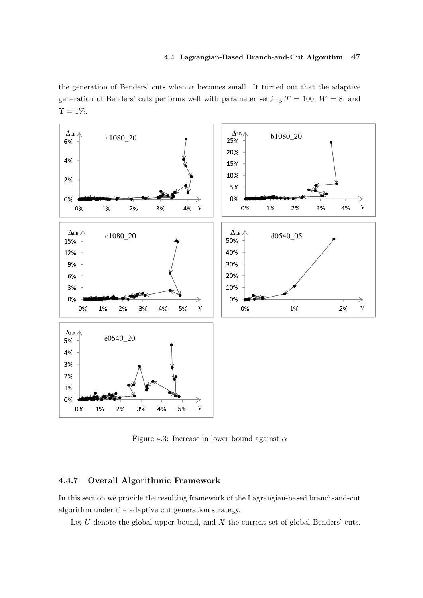the generation of Benders' cuts when  $\alpha$  becomes small. It turned out that the adaptive generation of Benders' cuts performs well with parameter setting  $T = 100, W = 8$ , and  $\Upsilon = 1\%.$ 



Figure 4.3: Increase in lower bound against  $\alpha$ 

# 4.4.7 Overall Algorithmic Framework

In this section we provide the resulting framework of the Lagrangian-based branch-and-cut algorithm under the adaptive cut generation strategy.

Let  $U$  denote the global upper bound, and  $X$  the current set of global Benders' cuts.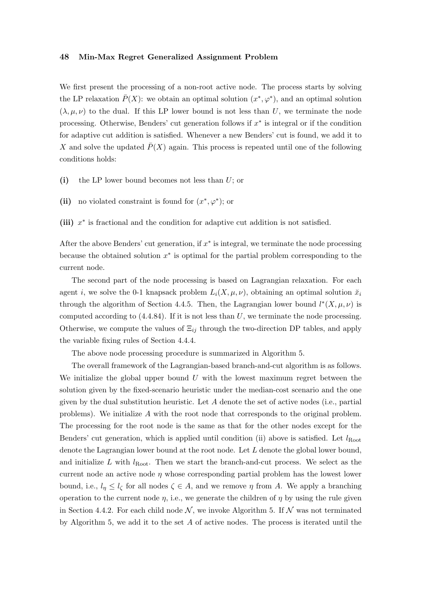We first present the processing of a non-root active node. The process starts by solving the LP relaxation  $\bar{P}(X)$ : we obtain an optimal solution  $(x^*, \varphi^*)$ , and an optimal solution  $(\lambda, \mu, \nu)$  to the dual. If this LP lower bound is not less than U, we terminate the node processing. Otherwise, Benders' cut generation follows if  $x^*$  is integral or if the condition for adaptive cut addition is satisfied. Whenever a new Benders' cut is found, we add it to X and solve the updated  $\overline{P}(X)$  again. This process is repeated until one of the following conditions holds:

- (i) the LP lower bound becomes not less than  $U$ ; or
- (ii) no violated constraint is found for  $(x^*, \varphi^*)$ ; or

(iii)  $x^*$  is fractional and the condition for adaptive cut addition is not satisfied.

After the above Benders' cut generation, if  $x^*$  is integral, we terminate the node processing because the obtained solution  $x^*$  is optimal for the partial problem corresponding to the current node.

The second part of the node processing is based on Lagrangian relaxation. For each agent i, we solve the 0-1 knapsack problem  $L_i(X, \mu, \nu)$ , obtaining an optimal solution  $\ddot{x}_i$ through the algorithm of Section 4.4.5. Then, the Lagrangian lower bound  $l^*(X, \mu, \nu)$  is computed according to  $(4.4.84)$ . If it is not less than U, we terminate the node processing. Otherwise, we compute the values of  $\Xi_{ij}$  through the two-direction DP tables, and apply the variable fixing rules of Section 4.4.4.

The above node processing procedure is summarized in Algorithm 5.

The overall framework of the Lagrangian-based branch-and-cut algorithm is as follows. We initialize the global upper bound  $U$  with the lowest maximum regret between the solution given by the fixed-scenario heuristic under the median-cost scenario and the one given by the dual substitution heuristic. Let  $A$  denote the set of active nodes (i.e., partial problems). We initialize A with the root node that corresponds to the original problem. The processing for the root node is the same as that for the other nodes except for the Benders' cut generation, which is applied until condition (ii) above is satisfied. Let  $l_{Root}$ denote the Lagrangian lower bound at the root node. Let L denote the global lower bound, and initialize L with  $l_{Root}$ . Then we start the branch-and-cut process. We select as the current node an active node  $\eta$  whose corresponding partial problem has the lowest lower bound, i.e.,  $l_n \leq l_{\zeta}$  for all nodes  $\zeta \in A$ , and we remove  $\eta$  from A. We apply a branching operation to the current node  $\eta$ , i.e., we generate the children of  $\eta$  by using the rule given in Section 4.4.2. For each child node  $\mathcal{N}$ , we invoke Algorithm 5. If  $\mathcal{N}$  was not terminated by Algorithm 5, we add it to the set  $A$  of active nodes. The process is iterated until the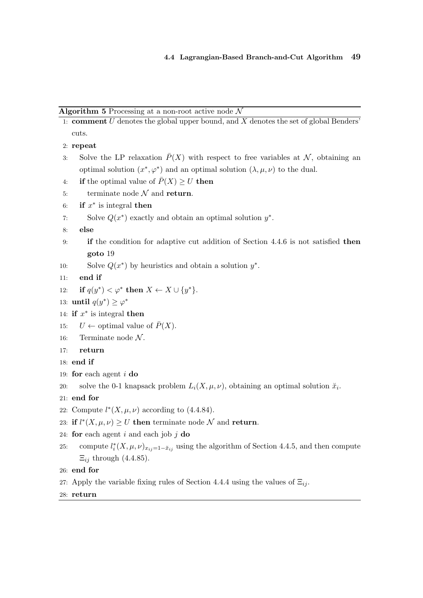```
Algorithm 5 Processing at a non-root active node \mathcal N
```
1: **comment**  $U$  denotes the global upper bound, and  $X$  denotes the set of global Benders' cuts.

```
2: repeat
```
- 3: Solve the LP relaxation  $\overline{P}(X)$  with respect to free variables at N, obtaining an optimal solution  $(x^*, \varphi^*)$  and an optimal solution  $(\lambda, \mu, \nu)$  to the dual.
- 4: if the optimal value of  $\overline{P}(X) \geq U$  then
- 5: terminate node  $N$  and return.
- 6: if  $x^*$  is integral then
- 7: Solve  $Q(x^*)$  exactly and obtain an optimal solution  $y^*$ .
- 8: else
- 9: if the condition for adaptive cut addition of Section 4.4.6 is not satisfied then goto 19
- 10: Solve  $Q(x^*)$  by heuristics and obtain a solution  $y^*$ .
- 11: end if
- 12: if  $q(y^*) < \varphi^*$  then  $X \leftarrow X \cup \{y^*\}.$
- 13: until  $q(y^*) \geq \varphi^*$
- 14: if  $x^*$  is integral then
- 15:  $U \leftarrow$  optimal value of  $\bar{P}(X)$ .
- 16: Terminate node  $N$ .
- 17: return
- 18: end if
- 19: for each agent  $i$  do
- 20: solve the 0-1 knapsack problem  $L_i(X, \mu, \nu)$ , obtaining an optimal solution  $\breve{x}_i$ .
- 21: end for
- 22: Compute  $l^*(X, \mu, \nu)$  according to (4.4.84).
- 23: if  $l^*(X, \mu, \nu) \geq U$  then terminate node N and return.
- 24: for each agent i and each job  $j$  do
- 25: compute  $l_i^*(X, \mu, \nu)_{x_{ij}=1-\tilde{x}_{ij}}$  using the algorithm of Section 4.4.5, and then compute  $\Xi_{ij}$  through (4.4.85).
- 26: end for
- 27: Apply the variable fixing rules of Section 4.4.4 using the values of  $\Xi_{ii}$ .
- 28: return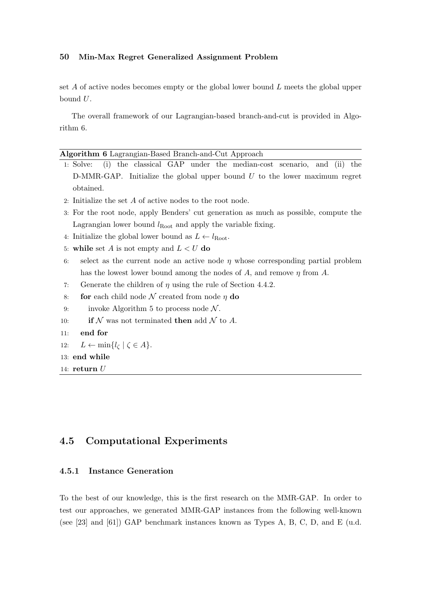set A of active nodes becomes empty or the global lower bound  $L$  meets the global upper bound  $U$ .

The overall framework of our Lagrangian-based branch-and-cut is provided in Algorithm 6.

| Algorithm 6 Lagrangian-Based Branch-and-Cut Approach |
|------------------------------------------------------|
|------------------------------------------------------|

- 1: Solve: (i) the classical GAP under the median-cost scenario, and (ii) the D-MMR-GAP. Initialize the global upper bound  $U$  to the lower maximum regret obtained.
- 2: Initialize the set A of active nodes to the root node.
- 3: For the root node, apply Benders' cut generation as much as possible, compute the Lagrangian lower bound  $l_{Root}$  and apply the variable fixing.
- 4: Initialize the global lower bound as  $L \leftarrow l_{Root}$ .
- 5: while set A is not empty and  $L < U$  do
- 6: select as the current node an active node  $\eta$  whose corresponding partial problem has the lowest lower bound among the nodes of A, and remove  $\eta$  from A.
- 7: Generate the children of  $\eta$  using the rule of Section 4.4.2.
- 8: **for** each child node  $N$  created from node  $\eta$  do
- 9: invoke Algorithm 5 to process node  $\mathcal N$ .
- 10: **if** N was not terminated **then** add N to A.
- 11: end for
- 12:  $L \leftarrow \min\{l_{\zeta} \mid \zeta \in A\}.$
- 13: end while
- 14:  $return U$

# 4.5 Computational Experiments

# 4.5.1 Instance Generation

To the best of our knowledge, this is the first research on the MMR-GAP. In order to test our approaches, we generated MMR-GAP instances from the following well-known (see [23] and  $[61]$ ) GAP benchmark instances known as Types A, B, C, D, and E (u.d.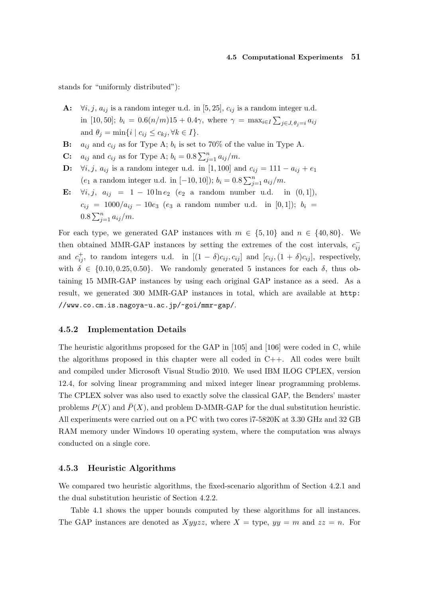# 4.5 Computational Experiments 51

stands for "uniformly distributed"):

- A:  $\forall i, j, a_{ij}$  is a random integer u.d. in [5, 25],  $c_{ij}$  is a random integer u.d. in [10, 50];  $b_i = 0.6(n/m)15 + 0.4\gamma$ , where  $\gamma = \max_{i \in I} \sum_{j \in J, \theta_j = i} a_{ij}$ and  $\theta_j = \min\{i \mid c_{ij} \leq c_{kj}, \forall k \in I\}.$
- **B:**  $a_{ij}$  and  $c_{ij}$  as for Type A;  $b_i$  is set to 70% of the value in Type A.
- C:  $a_{ij}$  and  $c_{ij}$  as for Type A;  $b_i = 0.8 \sum_{j=1}^n a_{ij}/m$ .
- D:  $\forall i, j, a_{ij}$  is a random integer u.d. in [1,100] and  $c_{ij} = 111 a_{ij} + e_1$ (e<sub>1</sub> a random integer u.d. in [-10, 10]);  $b_i = 0.8 \sum_{j=1}^n a_{ij}/m$ .
- E:  $\forall i, j, a_{ij} = 1 10 \ln e_2$  (e<sub>2</sub> a random number u.d. in (0, 1]),  $c_{ij}$  = 1000/ $a_{ij}$  - 10 $e_3$  ( $e_3$  a random number u.d. in [0,1]);  $b_i$  =  $0.8 \sum_{j=1}^{n} a_{ij}/m$ .

For each type, we generated GAP instances with  $m \in \{5, 10\}$  and  $n \in \{40, 80\}$ . We then obtained MMR-GAP instances by setting the extremes of the cost intervals,  $c_{ij}^$ and  $c_{ij}^+$ , to random integers u.d. in  $[(1 - \delta)c_{ij}, c_{ij}]$  and  $[c_{ij}, (1 + \delta)c_{ij}]$ , respectively, with  $\delta \in \{0.10, 0.25, 0.50\}$ . We randomly generated 5 instances for each  $\delta$ , thus obtaining 15 MMR-GAP instances by using each original GAP instance as a seed. As a result, we generated 300 MMR-GAP instances in total, which are available at http: //www.co.cm.is.nagoya-u.ac.jp/~goi/mmr-gap/.

# 4.5.2 Implementation Details

The heuristic algorithms proposed for the GAP in [105] and [106] were coded in C, while the algorithms proposed in this chapter were all coded in C++. All codes were built and compiled under Microsoft Visual Studio 2010. We used IBM ILOG CPLEX, version 12.4, for solving linear programming and mixed integer linear programming problems. The CPLEX solver was also used to exactly solve the classical GAP, the Benders' master problems  $P(X)$  and  $\overline{P}(X)$ , and problem D-MMR-GAP for the dual substitution heuristic. All experiments were carried out on a PC with two cores i7-5820K at 3.30 GHz and 32 GB RAM memory under Windows 10 operating system, where the computation was always conducted on a single core.

#### 4.5.3 Heuristic Algorithms

We compared two heuristic algorithms, the fixed-scenario algorithm of Section 4.2.1 and the dual substitution heuristic of Section 4.2.2.

Table 4.1 shows the upper bounds computed by these algorithms for all instances. The GAP instances are denoted as  $Xyyzz$ , where  $X =$  type,  $yy = m$  and  $zz = n$ . For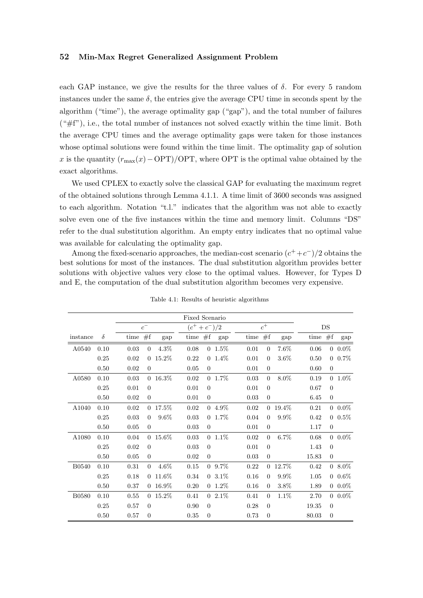each GAP instance, we give the results for the three values of  $\delta$ . For every 5 random instances under the same  $\delta$ , the entries give the average CPU time in seconds spent by the algorithm ("time"), the average optimality gap ("gap"), and the total number of failures  $(*#f$ "), i.e., the total number of instances not solved exactly within the time limit. Both the average CPU times and the average optimality gaps were taken for those instances whose optimal solutions were found within the time limit. The optimality gap of solution x is the quantity  $(r_{\text{max}}(x)-\text{OPT})/\text{OPT}$ , where OPT is the optimal value obtained by the exact algorithms.

We used CPLEX to exactly solve the classical GAP for evaluating the maximum regret of the obtained solutions through Lemma 4.1.1. A time limit of 3600 seconds was assigned to each algorithm. Notation "t.l." indicates that the algorithm was not able to exactly solve even one of the five instances within the time and memory limit. Columns "DS" refer to the dual substitution algorithm. An empty entry indicates that no optimal value was available for calculating the optimality gap.

Among the fixed-scenario approaches, the median-cost scenario  $(c^+ + c^-)/2$  obtains the best solutions for most of the instances. The dual substitution algorithm provides better solutions with objective values very close to the optimal values. However, for Types D and E, the computation of the dual substitution algorithm becomes very expensive.

|                   |          |      |                |                | Fixed Scenario  |                |               |      |                  |                |           |                |               |
|-------------------|----------|------|----------------|----------------|-----------------|----------------|---------------|------|------------------|----------------|-----------|----------------|---------------|
|                   |          |      | $c^-$          |                | $(c^+ + c^-)/2$ |                |               |      | $c^+$            |                |           | DS             |               |
| instance          | $\delta$ | time | #f             | gap            | time $#f$       |                | gap           | time | #f               | gap            | time $#f$ |                | gap           |
| A0540             | 0.10     | 0.03 | $\theta$       | $4.3\%$        | 0.08            |                | $0\;1.5\%$    | 0.01 | $\overline{0}$   | $7.6\%$        | 0.06      |                | $0.0\%$       |
|                   | 0.25     | 0.02 | $\Omega$       | 15.2%          | 0.22            |                | $0\;\;1.4\%$  | 0.01 | $\Omega$         | $3.6\%$        | 0.50      |                | $0.7\%$       |
|                   | 0.50     | 0.02 | $\theta$       |                | 0.05            | $\overline{0}$ |               | 0.01 | $\overline{0}$   |                | 0.60      | $\overline{0}$ |               |
| A0580             | 0.10     | 0.03 |                | $0\quad16.3\%$ | $\rm 0.02$      |                | $0\quad1.7\%$ | 0.03 | $\overline{0}$   | 8.0%           | 0.19      |                | $0\quad1.0\%$ |
|                   | 0.25     | 0.01 | $\Omega$       |                | 0.01            | $\Omega$       |               | 0.01 | $\Omega$         |                | 0.67      | $\Omega$       |               |
|                   | 0.50     | 0.02 | $\overline{0}$ |                | 0.01            | $\overline{0}$ |               | 0.03 | $\overline{0}$   |                | 6.45      | $\overline{0}$ |               |
| A <sub>1040</sub> | 0.10     | 0.02 |                | $0\quad17.5\%$ | 0.02            |                | $0\;\;4.9\%$  | 0.02 |                  | $0\quad19.4\%$ | 0.21      |                | $0.0\%$       |
|                   | 0.25     | 0.03 | $\Omega$       | $9.6\%$        | 0.03            |                | $0\;\;1.7\%$  | 0.04 | $\overline{0}$   | $9.9\%$        | 0.42      |                | $0.5\%$       |
|                   | $0.50\,$ | 0.05 | $\Omega$       |                | 0.03            | $\overline{0}$ |               | 0.01 | $\overline{0}$   |                | 1.17      | $\overline{0}$ |               |
| A1080             | 0.10     | 0.04 |                | $0.15.6\%$     | 0.03            |                | $0\;1.1\%$    | 0.02 | $\Omega$         | $6.7\%$        | 0.68      |                | $0.0\%$       |
|                   | 0.25     | 0.02 | $\Omega$       |                | 0.03            | $\Omega$       |               | 0.01 | $\Omega$         |                | 1.43      | $\Omega$       |               |
|                   | 0.50     | 0.05 | $\overline{0}$ |                | 0.02            | $\overline{0}$ |               | 0.03 | $\overline{0}$   |                | 15.83     | $\overline{0}$ |               |
| <b>B0540</b>      | 0.10     | 0.31 | $\Omega$       | 4.6%           | 0.15            |                | $0.9.7\%$     | 0.22 |                  | $0\quad12.7\%$ | 0.42      |                | $08.0\%$      |
|                   | 0.25     | 0.18 | $\Omega$       | 11.6\%         | 0.34            |                | $0\;\;3.1\%$  | 0.16 | $\overline{0}$   | $9.9\%$        | 1.05      |                | $0.6\%$       |
|                   | 0.50     | 0.37 | $\Omega$       | $16.9\%$       | 0.20            |                | $0\;1.2\%$    | 0.16 | $\Omega$         | $3.8\%$        | 1.89      |                | $0.0\%$       |
| <b>B0580</b>      | 0.10     | 0.55 |                | $0\quad15.2\%$ | 0.41            |                | $02.1\%$      | 0.41 | $\Omega$         | $1.1\%$        | 2.70      |                | $0.0\%$       |
|                   | 0.25     | 0.57 | $\Omega$       |                | 0.90            | $\Omega$       |               | 0.28 | $\Omega$         |                | 19.35     | $\Omega$       |               |
|                   | 0.50     | 0.57 | $\Omega$       |                | 0.35            | $\overline{0}$ |               | 0.73 | $\boldsymbol{0}$ |                | 80.03     | $\theta$       |               |

Table 4.1: Results of heuristic algorithms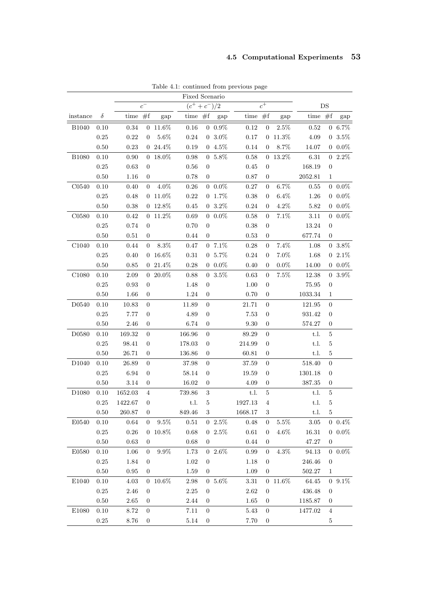| Fixed Scenario    |      |            |                                                |               |           |                  |                      |            |                  |                 |            |                  |                   |
|-------------------|------|------------|------------------------------------------------|---------------|-----------|------------------|----------------------|------------|------------------|-----------------|------------|------------------|-------------------|
|                   |      |            | $\overline{c^+}$<br>$(c^+ + c^-)/2$<br>$c^{-}$ |               |           |                  | DS                   |            |                  |                 |            |                  |                   |
| instance          | δ    | time $#f$  |                                                | gap           | time $#f$ |                  | gap                  | time $#f$  |                  | gap             | time $#f$  |                  | gap               |
| <b>B1040</b>      | 0.10 | $\rm 0.34$ |                                                | $0\ 11.6\%$   | $0.16\,$  |                  | $0\hphantom{1}0.9\%$ | $0.12\,$   | $\overline{0}$   | $2.5\%$         | $\rm 0.52$ |                  | $0 6.7\%$         |
|                   | 0.25 | 0.22       | $\overline{0}$                                 | $5.6\%$       | 0.24      |                  | $0.3.0\%$            | 0.17       |                  | $0\; 11.3\%$    | 4.09       |                  | $0\,3.5\%$        |
|                   | 0.50 | 0.23       | $\overline{0}$                                 | 24.4%         | 0.19      |                  | $04.5\%$             | 0.14       | $\theta$         | 8.7%            | 14.07      |                  | $0~0.0\%$         |
| <b>B1080</b>      | 0.10 | 0.90       | $\overline{0}$                                 | 18.0%         | 0.98      |                  | $0 5.8\%$            | 0.58       |                  | $0\quad 13.2\%$ | 6.31       |                  | $02.2\%$          |
|                   | 0.25 | 0.63       | $\theta$                                       |               | 0.56      | $\overline{0}$   |                      | 0.45       | $\overline{0}$   |                 | 168.19     | $\overline{0}$   |                   |
|                   | 0.50 | 1.16       | $\overline{0}$                                 |               | 0.78      | $\overline{0}$   |                      | 0.87       | $\mathbf{0}$     |                 | 2052.81    | 1                |                   |
| C0540             | 0.10 | 0.40       | $\overline{0}$                                 | $4.0\%$       | $0.26\,$  |                  | $0.0\%$              | 0.27       | $\overline{0}$   | $6.7\%$         | 0.55       |                  | $0\text{--}0.0\%$ |
|                   | 0.25 | 0.48       |                                                | $0 11.0\%$    | 0.22      |                  | $0\;\; 1.7\%$        | 0.38       | $\overline{0}$   | $6.4\%$         | 1.26       |                  | $0.0\%$           |
|                   | 0.50 | 0.38       |                                                | $0\ 12.8\%$   | 0.45      |                  | $0\;\;3.2\%$         | 0.24       | $\overline{0}$   | 4.2%            | 5.82       |                  | $0.0\%$           |
| C0580             | 0.10 | 0.42       | $\overline{0}$                                 | 11.2%         | $0.69\,$  |                  | $0\text{--}0.0\%$    | 0.58       | $\overline{0}$   | 7.1%            | 3.11       |                  | $0.0\%$           |
|                   | 0.25 | 0.74       | $\overline{0}$                                 |               | 0.70      | $\boldsymbol{0}$ |                      | 0.38       | $\overline{0}$   |                 | 13.24      | $\boldsymbol{0}$ |                   |
|                   | 0.50 | 0.51       | $\overline{0}$                                 |               | 0.44      | $\overline{0}$   |                      | 0.53       | $\mathbf{0}$     |                 | 677.74     | $\mathbf{0}$     |                   |
| C <sub>1040</sub> | 0.10 | 0.44       | $\theta$                                       | $8.3\%$       | 0.47      |                  | $07.1\%$             | 0.28       | $\overline{0}$   | $7.4\%$         | 1.08       |                  | $0\ \ 3.8\%$      |
|                   | 0.25 | 0.40       |                                                | $0 16.6\%$    | $0.31\,$  |                  | $0.5.7\%$            | 0.24       | $\overline{0}$   | $7.0\%$         | 1.68       |                  | $02.1\%$          |
|                   | 0.50 | 0.85       |                                                | $021.4\%$     | 0.28      |                  | $0.0\%$              | 0.40       | $\overline{0}$   | $0.0\%$         | 14.00      |                  | $0\text{--}0.0\%$ |
| C1080             | 0.10 | 2.09       | $\overline{0}$                                 | $20.0\%$      | 0.88      |                  | $0\;\; 3.5\%$        | 0.63       | $\overline{0}$   | $7.5\%$         | 12.38      |                  | $0\ \ 3.9\%$      |
|                   | 0.25 | 0.93       | $\boldsymbol{0}$                               |               | 1.48      | $\boldsymbol{0}$ |                      | 1.00       | $\boldsymbol{0}$ |                 | 75.95      | $\boldsymbol{0}$ |                   |
|                   | 0.50 | 1.66       | $\theta$                                       |               | 1.24      | 0                |                      | 0.70       | 0                |                 | 1033.34    | 1                |                   |
| D0540             | 0.10 | 10.83      | $\overline{0}$                                 |               | 11.89     | $\overline{0}$   |                      | 21.71      | $\overline{0}$   |                 | 121.95     | $\overline{0}$   |                   |
|                   | 0.25 | 7.77       | $\overline{0}$                                 |               | 4.89      | $\boldsymbol{0}$ |                      | 7.53       | $\boldsymbol{0}$ |                 | 931.42     | $\overline{0}$   |                   |
|                   | 0.50 | 2.46       | $\theta$                                       |               | 6.74      | 0                |                      | 9.30       | $\boldsymbol{0}$ |                 | 574.27     | $\boldsymbol{0}$ |                   |
| D0580             | 0.10 | 169.32     | $\boldsymbol{0}$                               |               | 166.96    | $\boldsymbol{0}$ |                      | 89.29      | $\overline{0}$   |                 | t.l.       | $\overline{5}$   |                   |
|                   | 0.25 | 98.41      | $\overline{0}$                                 |               | 178.03    | $\boldsymbol{0}$ |                      | 214.99     | $\overline{0}$   |                 | t.l.       | $\overline{5}$   |                   |
|                   | 0.50 | 26.71      | $\overline{0}$                                 |               | 136.86    | $\boldsymbol{0}$ |                      | 60.81      | $\boldsymbol{0}$ |                 | t.l.       | $\bf 5$          |                   |
| D1040             | 0.10 | 26.89      | $\overline{0}$                                 |               | 37.98     | $\boldsymbol{0}$ |                      | 37.59      | $\overline{0}$   |                 | 518.40     | $\overline{0}$   |                   |
|                   | 0.25 | 6.94       | $\overline{0}$                                 |               | 58.14     | $\boldsymbol{0}$ |                      | 19.59      | $\boldsymbol{0}$ |                 | 1301.18    | $\overline{0}$   |                   |
|                   | 0.50 | $3.14\,$   | $\theta$                                       |               | 16.02     | $\boldsymbol{0}$ |                      | 4.09       | $\boldsymbol{0}$ |                 | $387.35\,$ | $\boldsymbol{0}$ |                   |
| D <sub>1080</sub> | 0.10 | 1652.03    | 4                                              |               | 739.86    | $\sqrt{3}$       |                      | t.l.       | $\bf 5$          |                 | t.l.       | $\bf 5$          |                   |
|                   | 0.25 | 1422.67    | $\overline{0}$                                 |               | t.l.      | $\overline{5}$   |                      | 1927.13    | $\,4\,$          |                 | t.l.       | $\bf 5$          |                   |
|                   | 0.50 | 260.87     | $\overline{0}$                                 |               | 849.46    | 3                |                      | 1668.17    | 3                |                 | t.l.       | $\overline{5}$   |                   |
| E0540             | 0.10 | 0.64       | 0                                              | $9.5\%$       | $0.51\,$  |                  | $02.5\%$             | 0.48       | 0                | 5.5%            | 3.05       |                  | $0\;\;0.4\%$      |
|                   | 0.25 | $0.26\,$   | $\overline{0}$                                 | $10.8\%$      | 0.68      |                  | $02.5\%$             | $\,0.61\,$ | 0                | $4.6\%$         | 16.31      |                  | $0~0.0\%$         |
|                   | 0.50 | 0.63       | $\theta$                                       |               | 0.68      | $\overline{0}$   |                      | 0.44       | $\mathbf{0}$     |                 | 47.27      | $\mathbf{0}$     |                   |
| E0580             | 0.10 | 1.06       | $\overline{0}$                                 | $9.9\%$       | 1.73      |                  | $02.6\%$             | 0.99       | $\overline{0}$   | $4.3\%$         | $94.13\,$  |                  | $0~0.0\%$         |
|                   | 0.25 | 1.84       | $\overline{0}$                                 |               | 1.02      | $\overline{0}$   |                      | 1.18       | $\mathbf{0}$     |                 | 246.46     | $\mathbf{0}$     |                   |
|                   | 0.50 | 0.95       | $\theta$                                       |               | 1.59      | $\overline{0}$   |                      | 1.09       | $\theta$         |                 | 502.27     | 1                |                   |
| E1040             | 0.10 | $4.03\,$   |                                                | $0\ \ 10.6\%$ | $2.98\,$  |                  | $0\text{--}5.6\%$    | $3.31\,$   |                  | $0\ 11.6\%$     | 64.45      |                  | $0\ 9.1\%$        |
|                   | 0.25 | $2.46\,$   | $\overline{0}$                                 |               | 2.25      | $\overline{0}$   |                      | $2.62\,$   | $\mathbf{0}$     |                 | 436.48     | $\mathbf{0}$     |                   |
|                   | 0.50 | 2.65       | $\theta$                                       |               | 2.44      | $\theta$         |                      | 1.65       | $\theta$         |                 | 1185.87    | $\mathbf{0}$     |                   |
| E1080             | 0.10 | 8.72       | $\theta$                                       |               | 7.11      | $\overline{0}$   |                      | 5.43       | $\overline{0}$   |                 | 1477.02    | $\overline{4}$   |                   |
|                   | 0.25 | 8.76       | $\boldsymbol{0}$                               |               | $5.14\,$  | $\boldsymbol{0}$ |                      | 7.70       | $\boldsymbol{0}$ |                 |            | $\overline{5}$   |                   |

Table 4.1: continued from previous page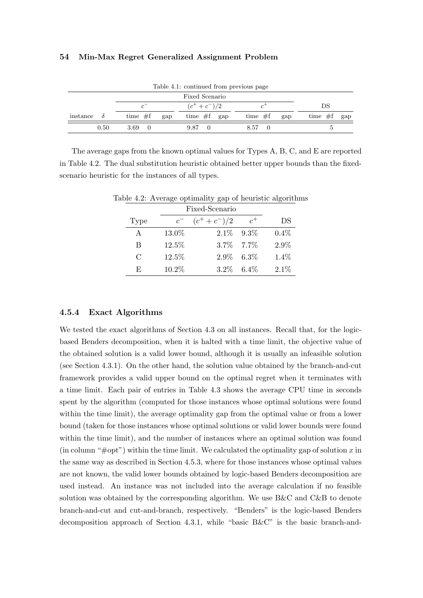| Table 4.1: continued from previous page |                                                       |               |                  |                  |  |  |  |  |
|-----------------------------------------|-------------------------------------------------------|---------------|------------------|------------------|--|--|--|--|
|                                         |                                                       |               |                  |                  |  |  |  |  |
|                                         | $(c^+ + c^-)/2$<br>$\mathcal{C}^{\top}$<br>$\epsilon$ |               | DS               |                  |  |  |  |  |
| instance<br>$\partial$                  | time $#f$<br>gap                                      | time $#f$ gap | time $#f$<br>gap | time $#f$<br>gap |  |  |  |  |
| 0.50                                    | 3.69                                                  | 9.87          | 8.57<br>$\Omega$ |                  |  |  |  |  |

The average gaps from the known optimal values for Types A, B, C, and E are reported in Table 4.2. The dual substitution heuristic obtained better upper bounds than the fixedscenario heuristic for the instances of all types.

|               |         | $\alpha$        |         |         |
|---------------|---------|-----------------|---------|---------|
|               |         |                 |         |         |
| Type          | $c^{-}$ | $(c^+ + c^-)/2$ | $c^{+}$ | DS      |
| A             | 13.0%   | $2.1\%$ $9.3\%$ |         | $0.4\%$ |
| B             | 12.5%   | 3.7\% 7.7\%     |         | 2.9%    |
| $\mathcal{C}$ | 12.5%   | $2.9\%$ 6.3%    |         | 1.4%    |
| F,            | 10.2%   | $3.2\%$         | $6.4\%$ | 2.1%    |

Table 4.2: Average optimality gap of heuristic algorithms

# 4.5.4 Exact Algorithms

We tested the exact algorithms of Section 4.3 on all instances. Recall that, for the logicbased Benders decomposition, when it is halted with a time limit, the objective value of the obtained solution is a valid lower bound, although it is usually an infeasible solution (see Section 4.3.1). On the other hand, the solution value obtained by the branch-and-cut framework provides a valid upper bound on the optimal regret when it terminates with a time limit. Each pair of entries in Table 4.3 shows the average CPU time in seconds spent by the algorithm (computed for those instances whose optimal solutions were found within the time limit), the average optimality gap from the optimal value or from a lower bound (taken for those instances whose optimal solutions or valid lower bounds were found within the time limit), and the number of instances where an optimal solution was found (in column " $\#$ opt") within the time limit. We calculated the optimality gap of solution x in the same way as described in Section 4.5.3, where for those instances whose optimal values are not known, the valid lower bounds obtained by logic-based Benders decomposition are used instead. An instance was not included into the average calculation if no feasible solution was obtained by the corresponding algorithm. We use B&C and C&B to denote branch-and-cut and cut-and-branch, respectively. "Benders" is the logic-based Benders decomposition approach of Section 4.3.1, while "basic B&C" is the basic branch-and-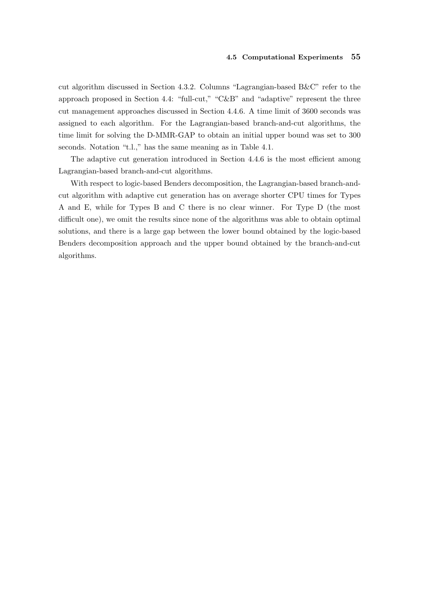#### 4.5 Computational Experiments 55

cut algorithm discussed in Section 4.3.2. Columns "Lagrangian-based B&C" refer to the approach proposed in Section 4.4: "full-cut," "C&B" and "adaptive" represent the three cut management approaches discussed in Section 4.4.6. A time limit of 3600 seconds was assigned to each algorithm. For the Lagrangian-based branch-and-cut algorithms, the time limit for solving the D-MMR-GAP to obtain an initial upper bound was set to 300 seconds. Notation "t.l.," has the same meaning as in Table 4.1.

The adaptive cut generation introduced in Section 4.4.6 is the most efficient among Lagrangian-based branch-and-cut algorithms.

With respect to logic-based Benders decomposition, the Lagrangian-based branch-andcut algorithm with adaptive cut generation has on average shorter CPU times for Types A and E, while for Types B and C there is no clear winner. For Type D (the most difficult one), we omit the results since none of the algorithms was able to obtain optimal solutions, and there is a large gap between the lower bound obtained by the logic-based Benders decomposition approach and the upper bound obtained by the branch-and-cut algorithms.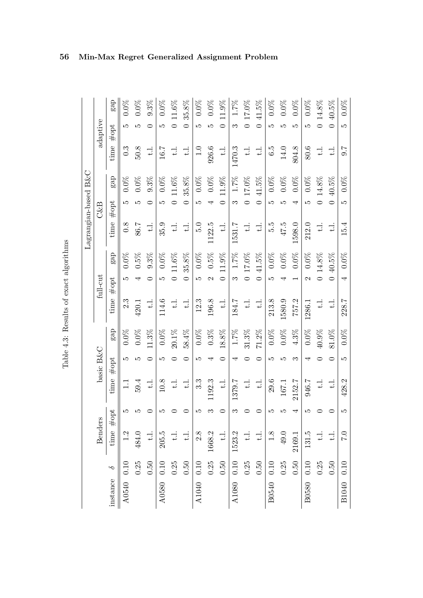| S<br>S<br>.<br>?<br>?           |
|---------------------------------|
| <b>DRXC</b>                     |
| ۲<br>$\frac{1}{2}$              |
| ſ<br>$\vdots$<br>$\mathfrak{c}$ |
| $\frac{1}{\sqrt{2}}$<br>J       |

|          |          |                          |     |                      |           |          |            |                   |            | Lagrangian-based B&C     |                          |            |                          |                          |         |
|----------|----------|--------------------------|-----|----------------------|-----------|----------|------------|-------------------|------------|--------------------------|--------------------------|------------|--------------------------|--------------------------|---------|
|          |          | <b>Benders</b>           |     |                      | basic B&C |          |            | full-cut          |            |                          | $C\&B$                   |            |                          | adaptive                 |         |
| instance | ç        | #<br>time                | opt | time                 | #opt      | gap      | time       | #opt              | gap        | time                     | #opt                     | gap        | time                     | #opt                     | gap     |
| A0540    | 0.10     | 1.2                      | IJ  | $\frac{1}{1}$        | IJ        | $0.0\%$  | 2.3        | LO                | $0.0\%$    | 0.8                      | LO                       | $0.0\%$    | $0.\overline{3}$         | Ľ                        | $0.0\%$ |
|          | 0.25     | 484.0                    | Ľ   | 59.4                 | ທ         | $0.0\%$  | 420.1      |                   | $0.5\%$    | 86.7                     | ١O                       | $0.0\%$    | 50.8                     | Ľ                        | $0.0\%$ |
|          | 0.50     | $\exists$                | 0   | $\frac{1}{\sqrt{2}}$ | ⊂         | 11.3%    | $\exists$  |                   | 9.3%       | $\frac{1}{4}$            |                          | $9.3\%$    | $\exists$                | ⊂                        | 9.3%    |
| A0580    | $0.10\,$ | 205.5                    | Ľ   | $10.8\,$             | Ľ         | $0.0\%$  | 114.6      | Ľ                 | $0.0\%$    | 35.9                     | Ľ                        | $0.0\%$    | 16.7                     | LO                       | $0.0\%$ |
|          | 0.25     | $\overline{\phantom{a}}$ |     | $\pm \,$             |           | $20.1\%$ | $\div$     |                   | $11.6\%$   | $\exists$                |                          | $11.6\%$   | ₹                        | $\circ$                  | 11.6%   |
|          | 0.50     | だ                        | ⊂   | $\pm$                |           | 58.4%    | $\exists$  | $\subset$         | 35.8%      | $\exists$                | $\overline{\phantom{0}}$ | 35.8%      | $\exists$                | $\overline{\phantom{a}}$ | 35.8%   |
| A1040    | $0.10\,$ | 2.8                      | IJ  | $3.\overline{3}$     | LC.       | $0.0\%$  | 12.3       | LQ.               | $0.0\%$    | $\frac{5}{2}$            | LQ                       | $0.0\%$    | 1.0                      | LQ.                      | $0.0\%$ |
|          | 0.25     | 1668.2                   | ಣ   | 1192.3               |           | $0.3\%$  | 196.8      | $\mathcal{C}$     | $0.5\%$    | 1122.5                   | 4                        | $0.0\%$    | 926.6                    | Ľ                        | $0.0\%$ |
|          | 0.50     | $\frac{1}{2}$            | ⊂   | $\exists$            | ▭         | $18.8\%$ | $\exists$  | $\circ$           | 11.9%      | $\exists$                | $\circ$                  | $11.9\%$   | $\exists$                | $\circ$                  | 11.9%   |
| A1080    | $0.10\,$ | 1523.2                   | S   | 1379.7               | ↤         | $1.7\%$  | 184.7      | S                 | $1.7\%$    | 1531.7                   | က                        | $1.7\%$    | 1470.3                   | က                        | $1.7\%$ |
|          | 0.25     | $\exists$                |     | $\pm 1$              |           | $31.3\%$ | $\exists$  |                   | $0.17.0\%$ | $\exists$                |                          | $0.17.0\%$ | $\exists$                | $\circ$                  | 17.0%   |
|          | 0.50     | $\frac{1}{2}$            | 0   | $\exists$            |           | $71.2\%$ | $\exists$  | $\subset$         | 41.5%      | $\exists$                | $\overline{C}$           | $41.5\%$   | $\overline{\phantom{a}}$ | $\subset$                | 41.5%   |
| B0540    | 0.10     | $1.8$                    | LC. | 29.6                 | LC.       | $0.0\%$  | 213.8      | LC.               | $0.0\%$    | 5.5                      | Ľ                        | $0.0\%$    | 6.5                      | LC.                      | $0.0\%$ |
|          | 0.25     | 49.0                     | Ľ   | 167.1                | r         | $0.0\%$  | 1580.9     |                   | $0.0\%$    | 47.5                     | مد                       | $0.0\%$    | 14.0                     | Ľ                        | $0.0\%$ |
|          | 0.50     | 2169.1                   |     | 2152.7               | ಌ         | $4.3\%$  | 757.2      |                   | $0.0\%$    | 1598.0                   | 4                        | $0.0\%$    | 804.8                    | Ľ                        | $0.0\%$ |
| B0580    | 0.10     | 131.5                    | LC. | 946.7                | ↤         | $0.0\%$  | 1286.1     | $\mathbf{\Omega}$ | $0.0\%$    | 212.0                    | LC.                      | $0.0\%$    | 80.6                     | LC.                      | $0.0\%$ |
|          | 0.25     | $\frac{1}{2}$            |     | $\div$               |           | 40.9%    | $\ddot{=}$ |                   | $0.14.8\%$ | $\overline{\phantom{a}}$ |                          | $0.14.8\%$ | $\exists$                | $\circ$                  | 14.8%   |
|          | 0.50     | $\Xi$                    | ○   | $\frac{1}{1}$        |           | $81.0\%$ | $\exists$  |                   | $40.5\%$   | $\exists$                |                          | $40.5\%$   | $\exists$                | $\circ$                  | 40.5%   |
| B1040    | 0.10     | 0.7                      | LΩ  | 428.2                | LC.       | $0.0\%$  | 228.7      | 4                 | $0.0\%$    | 15.4                     | LО                       | $0.0\%$    | 0.7                      | LО                       | $0.0\%$ |

# 56 Min-Max Regret Generalized Assignment Problem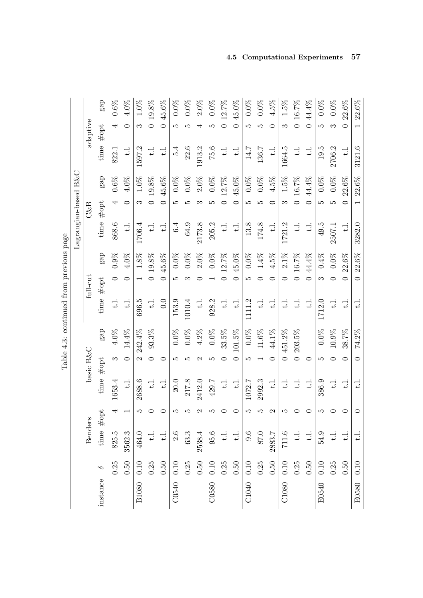|              |          |                          |               |                          |                       |           |                      |                          |          | Lagrangian-based B&C |                          |          |           |                          |          |
|--------------|----------|--------------------------|---------------|--------------------------|-----------------------|-----------|----------------------|--------------------------|----------|----------------------|--------------------------|----------|-----------|--------------------------|----------|
|              |          | <b>Benders</b>           |               |                          | basic B&C             |           |                      | $\mbox{full-cut}$        |          |                      | $C\&B$                   |          |           | adaptive                 |          |
| instance     | $\sim$   | time                     | #opt          | time                     | #opt                  | gap       | time                 | #opt                     | gap      | time                 | #opt                     | gap      | time      | $#$ opt                  | gap      |
|              | 0.25     | 825.5                    | 4             | 1653.4                   | က                     | $4.0\%$   | $\pm$                |                          | 0.9%     | 868.6                | 4                        | $0.6\%$  | 822.1     | 4                        | $0.6\%$  |
|              | 0.50     | 3562.3                   |               | $\frac{1}{1}$            | $\subset$             | $14.4\%$  | $\frac{1}{2}$        | 0                        | $4.0\%$  | $\ddot{=}$           | $\circ$                  | 4.0%     | $\exists$ | 0                        | $4.0\%$  |
| <b>B1080</b> | 0.10     | 464.0                    | ГŰ            | 2688.6                   | $\mathcal{C}$         | 242.4%    | 696.5                |                          | $1.8\%$  | 1706.4               | S                        | $1.0\%$  | 1597.2    | S                        | $1.0\%$  |
|              | 0.25     | $\frac{1}{1}$            |               | $\pm$                    |                       | 93.3%     | $\frac{1}{1}$        |                          | 19.8%    | $\exists$            | $\circ$                  | 19.8%    | $\Xi$     | $\circ$                  | $19.8\%$ |
|              | 0.50     | $\frac{1}{2}$            |               | $\exists$                |                       |           | 0.0                  | $\subset$                | 45.6%    | $\Xi$                | $\subset$                | 45.6%    | $\Xi$     | $\overline{\phantom{0}}$ | $45.6\%$ |
| C0540        | 0.10     | 2.6                      | LC.           | 20.0                     | Ľ                     | $0.0\%$   | 153.9                | Ľ                        | $0.0\%$  | 6.4                  | <b>LC</b>                | $0.0\%$  | 5.4       | Ľ                        | $0.0\%$  |
|              | 0.25     | 63.3                     | ١O            | 217.8                    | ١O                    | $0.0\%$   | 1010.4               |                          | $0.0\%$  | 64.9                 | ທ                        | $0.0\%$  | 22.6      | Ω۵                       | $0.0\%$  |
|              | 0.50     | 2538.4                   | $\mathcal{C}$ | 2412.0                   | $\mathbf{\mathsf{C}}$ | $4.2\%$   | $\exists$            |                          | $2.0\%$  | 2173.8               | ౧                        | $2.0\%$  | 1913.2    |                          | $2.0\%$  |
| C0580        | 0.10     | 95.6                     | S             | 429.7                    | Ľ                     | $0.0\%$   | 928.2                |                          | $0.0\%$  | 205.2                | Ľ                        | $0.0\%$  | 75.6      | JΩ                       | $0.0\%$  |
|              | 0.25     | $\overrightarrow{L}$     |               | $\exists$                | ⊂                     | $33.5\%$  | $\ddot{t}$ .         |                          | $12.7\%$ | $\exists$            | $\circ$                  | $12.7\%$ | $\exists$ | $\overline{\phantom{0}}$ | 12.7%    |
|              | 0.50     | $\overline{\phantom{a}}$ | 0             | $\exists$                |                       | 101.5%    | $\exists$            | 0                        | 45.0%    | $\exists$            | 0                        | 45.0%    | $\exists$ | $\circ$                  | 45.0%    |
| C1040        | 0.10     | 9.6                      | LC.           | 1072.7                   | Ľ                     | $0.0\%$   | 1111.2               | LО                       | $0.0\%$  | 13.8                 | LО                       | $0.0\%$  | 14.7      | LО                       | $0.0\%$  |
|              | 0.25     | 87.0                     |               | 2992.3                   |                       | $11.6\%$  | $\pm$                |                          | $1.4\%$  | 174.8                |                          | $0.0\%$  | 136.7     |                          | $0.0\%$  |
|              | 0.50     | 2883.7                   |               | $\overline{\phantom{a}}$ |                       | 44.1%     | $\frac{1}{1}$        |                          | $4.5\%$  | $\exists$            |                          | $4.5\%$  | $\exists$ | ⊂                        | $4.5\%$  |
| C1080        | 0.10     | 711.6                    | S             | $\overline{\phantom{a}}$ |                       | 451.2%    | $\exists$            |                          | $2.1\%$  | 1721.2               | S                        | $1.5\%$  | 1664.5    | S                        | $1.5\%$  |
|              | 0.25     | $\overline{\phantom{a}}$ |               | $\pm 1$                  |                       | $203.5\%$ | $\overrightarrow{L}$ |                          | 0 16.7%  | $\exists$            |                          | 0 16.7%  | $\exists$ |                          | 0 16.7%  |
|              | 0.50     | $\exists$                | 0             | $\overline{\phantom{a}}$ |                       |           | $\ddot{t}$ .         | $\overline{\phantom{0}}$ | 44.4%    | $\exists$            | $\subset$                | 44.4%    | $\exists$ | $\overline{\phantom{0}}$ | $44.4\%$ |
| E0540        | 0.10     | 54.9                     | ഹ             | 386.9                    | ω                     | $0.0\%$   | 1712.0               | S                        | 0.4%     | 49.5                 | 5                        | $0.0\%$  | 19.5      | S                        | $0.0\%$  |
|              | 0.25     | $\overline{\phantom{a}}$ |               | $\frac{1}{1}$            |                       | $10.9\%$  | $\pm$                |                          | $0.0\%$  | 2507.1               | Ľ                        | $0.0\%$  | 2706.2    | ౧                        | $0.0\%$  |
|              | 0.50     | $\overrightarrow{L}$     | $\circ$       | $\exists$                |                       | 38.7%     | $\exists$            | $\overline{\mathsf{C}}$  | $22.6\%$ | $\pm$                | $\overline{\phantom{0}}$ | $22.6\%$ | $\exists$ | $\overline{\phantom{0}}$ | 22.6%    |
| E0580        | $0.10\,$ | $\overline{\phantom{a}}$ | $\circ$       | $\exists$                | $\circ$               | 74.2%     | ≓                    | $\circ$                  | 22.6%    | 3282.0               |                          | $22.6\%$ | 3121.6    |                          | $22.6\%$ |

Table 4.3: continued from previous page Table 4.3: continued from previous page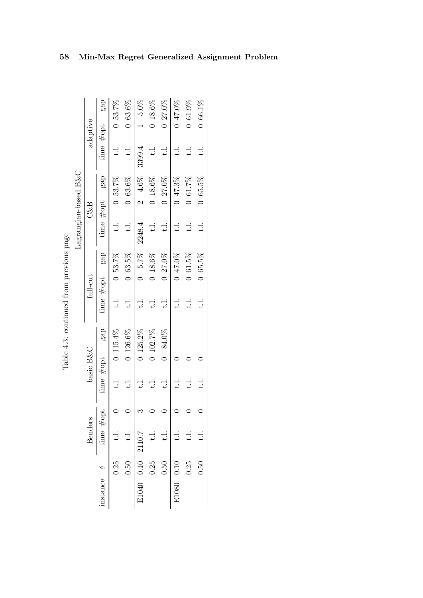|                                         |                         |                | gap                 | 0,53.7%    | $0,63.6\%$  | $5.0\%$           | $0.18.6\%$    | $0.27.0\%$    | $0.47.0\%$ | 0 61.9%       | $0,66.1\%$    |
|-----------------------------------------|-------------------------|----------------|---------------------|------------|-------------|-------------------|---------------|---------------|------------|---------------|---------------|
|                                         |                         | adaptive       |                     |            |             |                   |               |               |            |               |               |
|                                         |                         |                | time $\#\text{opt}$ | ≓          | $\exists$   | 3399.4            | $\exists$     | : بــا        | $\exists$  | $\ddot{ }$    | $\pm$         |
|                                         |                         |                | gap                 | $0,53.7\%$ | 0.63.6%     | $24.6\%$          | 0.18.6%       | $0.27.0\%$    | 047.3%     | 0 61.7%       | $0,65.5\%$    |
|                                         |                         | $C\&B$         | time $#opt$         |            |             |                   |               |               |            |               |               |
|                                         | $Lagrangian-based B\&C$ |                |                     | : با<br>ب  | $\pm$       | 2248.4            | $\exists$     | $\exists$     | $\exists$  | $\frac{1}{1}$ | $\frac{1}{t}$ |
|                                         |                         |                | gap                 | $0,53.7\%$ | 0.63.5%     | $5.7\%$           | 0.18.6%       | $0.27.0\%$    | 0 47.0%    | 0 61.5%       | $0,65.5\%$    |
|                                         |                         | full-cut       | time $#opt$         |            |             |                   |               |               |            |               |               |
|                                         |                         |                |                     |            | $\vdots$    | : با<br>ب         | $\frac{1}{t}$ | $\frac{1}{2}$ | : بــ<br>ب | $\pm$         | $\ddot{ }$    |
| Table 4.3: continued from previous page |                         |                | gap                 | 0.115.4%   | $0.126.6\%$ | $0$ 125.2%        | $0$ 102.7%    | $0.84.0\%$    |            |               |               |
|                                         |                         | basic B&C      |                     |            |             |                   |               |               |            |               |               |
|                                         |                         |                | time #opt           |            | $\exists$   |                   | $\frac{1}{1}$ | $\exists$     | : بــ      | $\pm 1$ .     | : بــ<br>ب    |
|                                         |                         |                | opt                 |            |             |                   |               |               |            |               |               |
|                                         |                         | <b>Benders</b> | time $\#$           |            |             |                   | $\frac{1}{2}$ | $\frac{1}{2}$ |            |               |               |
|                                         |                         |                |                     | 0.25       | 0.50        |                   | 0.25          | $0.50\,$      |            | 0.25          | 0.50          |
|                                         |                         |                | nstance $\delta$    |            |             | E1040 0.10 2110.7 |               |               | E1080 0.10 |               |               |

Table 4.3: continued from previous page

# 58 Min-Max Regret Generalized Assignment Problem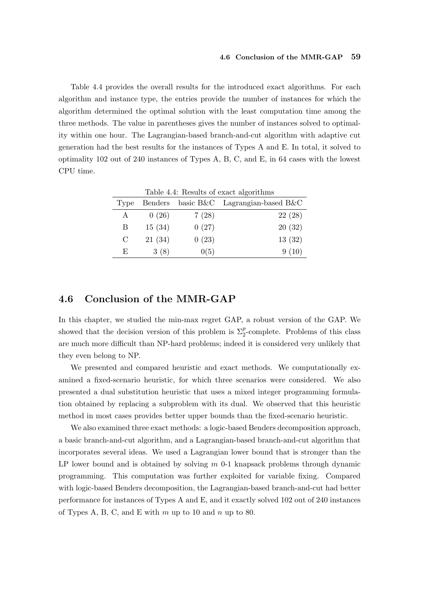Table 4.4 provides the overall results for the introduced exact algorithms. For each algorithm and instance type, the entries provide the number of instances for which the algorithm determined the optimal solution with the least computation time among the three methods. The value in parentheses gives the number of instances solved to optimality within one hour. The Lagrangian-based branch-and-cut algorithm with adaptive cut generation had the best results for the instances of Types A and E. In total, it solved to optimality 102 out of 240 instances of Types A, B, C, and E, in 64 cases with the lowest CPU time.

|               |         |       | Table 4.4: Results of exact algorithms |
|---------------|---------|-------|----------------------------------------|
| Type          | Benders |       | basic B&C Lagrangian-based B&C         |
| А             | 0(26)   | 7(28) | 22(28)                                 |
| В             | 15(34)  | 0(27) | 20(32)                                 |
| $\mathcal{C}$ | 21(34)  | 0(23) | 13(32)                                 |
| E,            | 3(8)    | 0(5)  | 9(10)                                  |

# 4.6 Conclusion of the MMR-GAP

In this chapter, we studied the min-max regret GAP, a robust version of the GAP. We showed that the decision version of this problem is  $\Sigma_2^p$ -complete. Problems of this class are much more difficult than NP-hard problems; indeed it is considered very unlikely that they even belong to NP.

We presented and compared heuristic and exact methods. We computationally examined a fixed-scenario heuristic, for which three scenarios were considered. We also presented a dual substitution heuristic that uses a mixed integer programming formulation obtained by replacing a subproblem with its dual. We observed that this heuristic method in most cases provides better upper bounds than the fixed-scenario heuristic.

We also examined three exact methods: a logic-based Benders decomposition approach, a basic branch-and-cut algorithm, and a Lagrangian-based branch-and-cut algorithm that incorporates several ideas. We used a Lagrangian lower bound that is stronger than the LP lower bound and is obtained by solving  $m$  0-1 knapsack problems through dynamic programming. This computation was further exploited for variable fixing. Compared with logic-based Benders decomposition, the Lagrangian-based branch-and-cut had better performance for instances of Types A and E, and it exactly solved 102 out of 240 instances of Types A, B, C, and E with  $m$  up to 10 and  $n$  up to 80.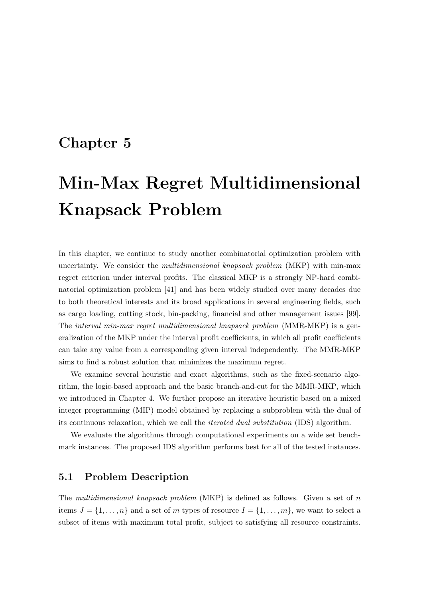# Chapter 5

# Min-Max Regret Multidimensional Knapsack Problem

In this chapter, we continue to study another combinatorial optimization problem with uncertainty. We consider the *multidimensional knapsack problem* (MKP) with min-max regret criterion under interval profits. The classical MKP is a strongly NP-hard combinatorial optimization problem [41] and has been widely studied over many decades due to both theoretical interests and its broad applications in several engineering fields, such as cargo loading, cutting stock, bin-packing, financial and other management issues [99]. The interval min-max regret multidimensional knapsack problem (MMR-MKP) is a generalization of the MKP under the interval profit coefficients, in which all profit coefficients can take any value from a corresponding given interval independently. The MMR-MKP aims to find a robust solution that minimizes the maximum regret.

We examine several heuristic and exact algorithms, such as the fixed-scenario algorithm, the logic-based approach and the basic branch-and-cut for the MMR-MKP, which we introduced in Chapter 4. We further propose an iterative heuristic based on a mixed integer programming (MIP) model obtained by replacing a subproblem with the dual of its continuous relaxation, which we call the iterated dual substitution (IDS) algorithm.

We evaluate the algorithms through computational experiments on a wide set benchmark instances. The proposed IDS algorithm performs best for all of the tested instances.

## 5.1 Problem Description

The multidimensional knapsack problem  $(MKP)$  is defined as follows. Given a set of n items  $J = \{1, \ldots, n\}$  and a set of m types of resource  $I = \{1, \ldots, m\}$ , we want to select a subset of items with maximum total profit, subject to satisfying all resource constraints.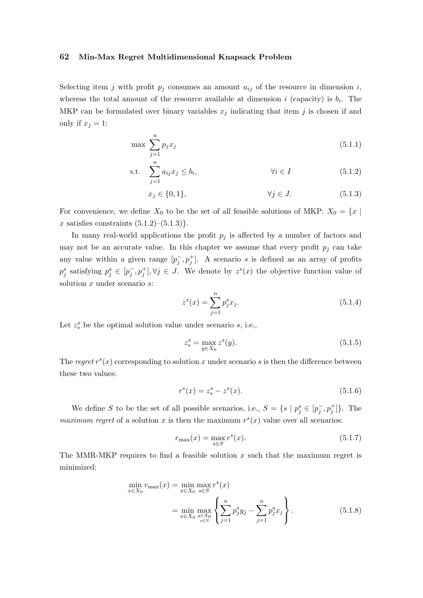#### 62 Min-Max Regret Multidimensional Knapsack Problem

Selecting item j with profit  $p_j$  consumes an amount  $a_{ij}$  of the resource in dimension i, whereas the total amount of the resource available at dimension i (capacity) is  $b_i$ . The MKP can be formulated over binary variables  $x_j$  indicating that item j is chosen if and only if  $x_j = 1$ :

$$
\max \sum_{j=1}^{n} p_j x_j \tag{5.1.1}
$$

$$
\text{s.t.} \quad \sum_{j=1}^{n} a_{ij} x_j \le b_i, \qquad \qquad \forall i \in I \tag{5.1.2}
$$

$$
x_j \in \{0, 1\}, \qquad \forall j \in J. \tag{5.1.3}
$$

For convenience, we define  $X_0$  to be the set of all feasible solutions of MKP:  $X_0 = \{x \mid$ x satisfies constraints  $(5.1.2)$ – $(5.1.3)$ .

In many real-world applications the profit  $p_j$  is affected by a number of factors and may not be an accurate value. In this chapter we assume that every profit  $p_i$  can take any value within a given range  $[p_j^-, p_j^+]$ . A scenario s is defined as an array of profits  $p_j^s$  satisfying  $p_j^s \in [p_j^-, p_j^+]$ ,  $\forall j \in J$ . We denote by  $z^s(x)$  the objective function value of solution  $x$  under scenario  $s$ :

$$
z^{s}(x) = \sum_{j=1}^{n} p_{j}^{s} x_{j}.
$$
\n(5.1.4)

Let  $z_*^s$  be the optimal solution value under scenario  $s$ , i.e.,

$$
z_*^s = \max_{y \in X_0} z^s(y). \tag{5.1.5}
$$

The regret  $r<sup>s</sup>(x)$  corresponding to solution x under scenario s is then the difference between these two values:

$$
r^{s}(x) = z_{*}^{s} - z^{s}(x). \tag{5.1.6}
$$

We define S to be the set of all possible scenarios, i.e.,  $S = \{s \mid p_j^s \in [p_j^-, p_j^+]\}.$  The maximum regret of a solution x is then the maximum  $r<sup>s</sup>(x)$  value over all scenarios:

$$
r_{\max}(x) = \max_{s \in S} r^s(x).
$$
 (5.1.7)

The MMR-MKP requires to find a feasible solution  $x$  such that the maximum regret is minimized:

$$
\min_{x \in X_0} r_{\max}(x) = \min_{x \in X_0} \max_{s \in S} r^s(x)
$$
\n
$$
= \min_{x \in X_0} \max_{\substack{y \in X_0 \\ s \in S}} \left\{ \sum_{j=1}^n p_j^s y_j - \sum_{j=1}^n p_j^s x_j \right\}.
$$
\n(5.1.8)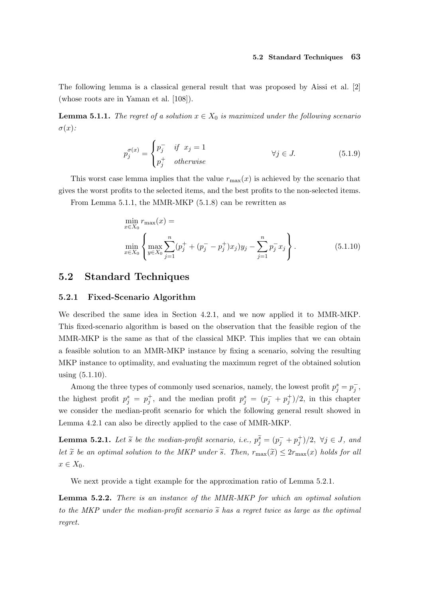#### 5.2 Standard Techniques 63

The following lemma is a classical general result that was proposed by Aissi et al. [2] (whose roots are in Yaman et al. [108]).

**Lemma 5.1.1.** The regret of a solution  $x \in X_0$  is maximized under the following scenario  $\sigma(x)$ :

$$
p_j^{\sigma(x)} = \begin{cases} p_j^- & \text{if } x_j = 1 \\ p_j^+ & \text{otherwise} \end{cases} \qquad \forall j \in J. \tag{5.1.9}
$$

This worst case lemma implies that the value  $r_{\text{max}}(x)$  is achieved by the scenario that gives the worst profits to the selected items, and the best profits to the non-selected items.

From Lemma 5.1.1, the MMR-MKP (5.1.8) can be rewritten as

$$
\min_{x \in X_0} r_{\max}(x) = \n\min_{x \in X_0} \left\{ \max_{y \in X_0} \sum_{j=1}^n (p_j^+ + (p_j^- - p_j^+) x_j) y_j - \sum_{j=1}^n p_j^- x_j \right\}.
$$
\n(5.1.10)

## 5.2 Standard Techniques

#### 5.2.1 Fixed-Scenario Algorithm

We described the same idea in Section 4.2.1, and we now applied it to MMR-MKP. This fixed-scenario algorithm is based on the observation that the feasible region of the MMR-MKP is the same as that of the classical MKP. This implies that we can obtain a feasible solution to an MMR-MKP instance by fixing a scenario, solving the resulting MKP instance to optimality, and evaluating the maximum regret of the obtained solution using (5.1.10).

Among the three types of commonly used scenarios, namely, the lowest profit  $p_j^s = p_j^-$ , the highest profit  $p_j^s = p_j^+$ , and the median profit  $p_j^s = (p_j^- + p_j^+)/2$ , in this chapter we consider the median-profit scenario for which the following general result showed in Lemma 4.2.1 can also be directly applied to the case of MMR-MKP.

**Lemma 5.2.1.** Let  $\tilde{s}$  be the median-profit scenario, i.e.,  $p_j^{\tilde{s}} = (p_j^- + p_j^+)/2$ ,  $\forall j \in J$ , and let  $\tilde{x}$  be an optimal solution to the MKP under  $\tilde{s}$ . Then,  $r_{\text{max}}(\tilde{x}) \leq 2r_{\text{max}}(x)$  holds for all  $x \in X_0$ .

We next provide a tight example for the approximation ratio of Lemma 5.2.1.

Lemma 5.2.2. There is an instance of the MMR-MKP for which an optimal solution to the MKP under the median-profit scenario  $\tilde{s}$  has a regret twice as large as the optimal regret.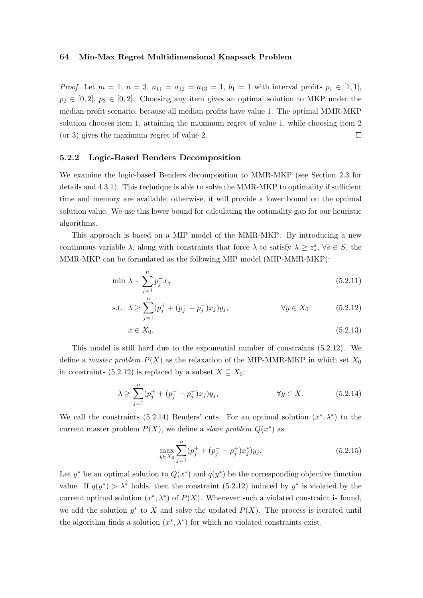#### 64 Min-Max Regret Multidimensional Knapsack Problem

*Proof.* Let  $m = 1$ ,  $n = 3$ ,  $a_{11} = a_{12} = a_{13} = 1$ ,  $b_1 = 1$  with interval profits  $p_1 \in [1, 1]$ ,  $p_2 \in [0,2], p_3 \in [0,2].$  Choosing any item gives an optimal solution to MKP under the median-profit scenario, because all median profits have value 1. The optimal MMR-MKP solution chooses item 1, attaining the maximum regret of value 1, while choosing item 2 (or 3) gives the maximum regret of value 2.  $\Box$ 

#### 5.2.2 Logic-Based Benders Decomposition

We examine the logic-based Benders decomposition to MMR-MKP (see Section 2.3 for details and 4.3.1). This technique is able to solve the MMR-MKP to optimality if sufficient time and memory are available; otherwise, it will provide a lower bound on the optimal solution value. We use this lower bound for calculating the optimality gap for our heuristic algorithms.

This approach is based on a MIP model of the MMR-MKP. By introducing a new continuous variable  $\lambda$ , along with constraints that force  $\lambda$  to satisfy  $\lambda \geq z_*^s$ ,  $\forall s \in S$ , the MMR-MKP can be formulated as the following MIP model (MIP-MMR-MKP):

$$
\min \lambda - \sum_{j=1}^{n} p_j^{-} x_j \tag{5.2.11}
$$

s.t. 
$$
\lambda \ge \sum_{j=1}^{n} (p_j^+ + (p_j^- - p_j^+) x_j) y_j,
$$
  $\forall y \in X_0$  (5.2.12)

$$
x \in X_0. \tag{5.2.13}
$$

This model is still hard due to the exponential number of constraints (5.2.12). We define a master problem  $P(X)$  as the relaxation of the MIP-MMR-MKP in which set  $X_0$ in constraints (5.2.12) is replaced by a subset  $X \subseteq X_0$ :

$$
\lambda \ge \sum_{j=1}^{n} (p_j^+ + (p_j^- - p_j^+) x_j) y_j, \qquad \forall y \in X.
$$
 (5.2.14)

We call the constraints (5.2.14) Benders' cuts. For an optimal solution  $(x^*, \lambda^*)$  to the current master problem  $P(X)$ , we define a *slave problem*  $Q(x^*)$  as

$$
\max_{y \in X_0} \sum_{j=1}^n (p_j^+ + (p_j^- - p_j^+) x_j^*) y_j.
$$
\n(5.2.15)

Let y<sup>\*</sup> be an optimal solution to  $Q(x^*)$  and  $q(y^*)$  be the corresponding objective function value. If  $q(y^*) > \lambda^*$  holds, then the constraint (5.2.12) induced by  $y^*$  is violated by the current optimal solution  $(x^*, \lambda^*)$  of  $P(X)$ . Whenever such a violated constraint is found, we add the solution  $y^*$  to X and solve the updated  $P(X)$ . The process is iterated until the algorithm finds a solution  $(x^*, \lambda^*)$  for which no violated constraints exist.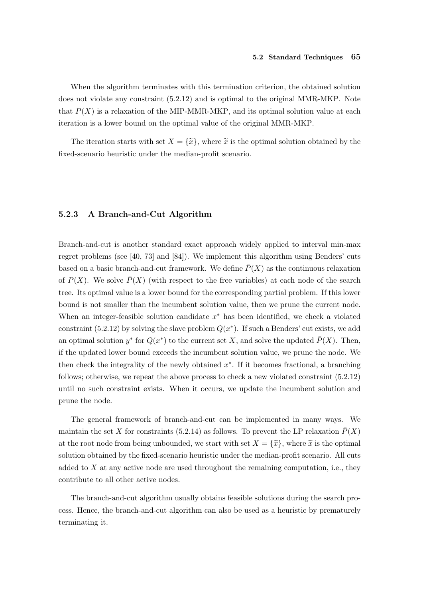When the algorithm terminates with this termination criterion, the obtained solution does not violate any constraint (5.2.12) and is optimal to the original MMR-MKP. Note that  $P(X)$  is a relaxation of the MIP-MMR-MKP, and its optimal solution value at each iteration is a lower bound on the optimal value of the original MMR-MKP.

The iteration starts with set  $X = {\{\tilde{x}\}}$ , where  $\tilde{x}$  is the optimal solution obtained by the fixed-scenario heuristic under the median-profit scenario.

#### 5.2.3 A Branch-and-Cut Algorithm

Branch-and-cut is another standard exact approach widely applied to interval min-max regret problems (see [40, 73] and [84]). We implement this algorithm using Benders' cuts based on a basic branch-and-cut framework. We define  $\overline{P}(X)$  as the continuous relaxation of  $P(X)$ . We solve  $\overline{P}(X)$  (with respect to the free variables) at each node of the search tree. Its optimal value is a lower bound for the corresponding partial problem. If this lower bound is not smaller than the incumbent solution value, then we prune the current node. When an integer-feasible solution candidate  $x^*$  has been identified, we check a violated constraint (5.2.12) by solving the slave problem  $Q(x^*)$ . If such a Benders' cut exists, we add an optimal solution  $y^*$  for  $Q(x^*)$  to the current set X, and solve the updated  $\bar{P}(X)$ . Then, if the updated lower bound exceeds the incumbent solution value, we prune the node. We then check the integrality of the newly obtained  $x^*$ . If it becomes fractional, a branching follows; otherwise, we repeat the above process to check a new violated constraint (5.2.12) until no such constraint exists. When it occurs, we update the incumbent solution and prune the node.

The general framework of branch-and-cut can be implemented in many ways. We maintain the set X for constraints (5.2.14) as follows. To prevent the LP relaxation  $\bar{P}(X)$ at the root node from being unbounded, we start with set  $X = {\tilde{x}}$ , where  $\tilde{x}$  is the optimal solution obtained by the fixed-scenario heuristic under the median-profit scenario. All cuts added to  $X$  at any active node are used throughout the remaining computation, i.e., they contribute to all other active nodes.

The branch-and-cut algorithm usually obtains feasible solutions during the search process. Hence, the branch-and-cut algorithm can also be used as a heuristic by prematurely terminating it.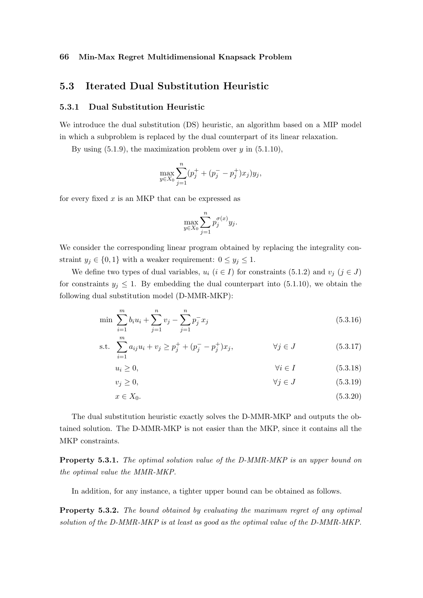#### 66 Min-Max Regret Multidimensional Knapsack Problem

# 5.3 Iterated Dual Substitution Heuristic

#### 5.3.1 Dual Substitution Heuristic

We introduce the dual substitution (DS) heuristic, an algorithm based on a MIP model in which a subproblem is replaced by the dual counterpart of its linear relaxation.

By using  $(5.1.9)$ , the maximization problem over y in  $(5.1.10)$ ,

$$
\max_{y \in X_0} \sum_{j=1}^n (p_j^+ + (p_j^- - p_j^+) x_j) y_j,
$$

for every fixed  $x$  is an MKP that can be expressed as

$$
\max_{y \in X_0} \sum_{j=1}^n p_j^{\sigma(x)} y_j.
$$

We consider the corresponding linear program obtained by replacing the integrality constraint  $y_j \in \{0,1\}$  with a weaker requirement:  $0 \le y_j \le 1$ .

We define two types of dual variables,  $u_i$  ( $i \in I$ ) for constraints (5.1.2) and  $v_j$  ( $j \in J$ ) for constraints  $y_j \leq 1$ . By embedding the dual counterpart into (5.1.10), we obtain the following dual substitution model (D-MMR-MKP):

$$
\min \sum_{i=1}^{m} b_i u_i + \sum_{j=1}^{n} v_j - \sum_{j=1}^{n} p_j^- x_j \tag{5.3.16}
$$

s.t. 
$$
\sum_{i=1}^{m} a_{ij} u_i + v_j \ge p_j^+ + (p_j^- - p_j^+) x_j, \qquad \forall j \in J
$$
 (5.3.17)

$$
u_i \ge 0, \qquad \qquad \forall i \in I \tag{5.3.18}
$$

$$
v_j \ge 0,\t\t \forall j \in J \t\t (5.3.19)
$$

$$
x \in X_0. \tag{5.3.20}
$$

The dual substitution heuristic exactly solves the D-MMR-MKP and outputs the obtained solution. The D-MMR-MKP is not easier than the MKP, since it contains all the MKP constraints.

Property 5.3.1. The optimal solution value of the D-MMR-MKP is an upper bound on the optimal value the MMR-MKP.

In addition, for any instance, a tighter upper bound can be obtained as follows.

Property 5.3.2. The bound obtained by evaluating the maximum regret of any optimal solution of the D-MMR-MKP is at least as good as the optimal value of the D-MMR-MKP.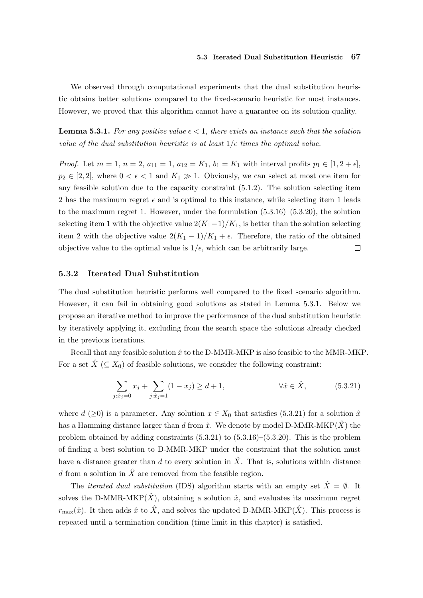We observed through computational experiments that the dual substitution heuristic obtains better solutions compared to the fixed-scenario heuristic for most instances. However, we proved that this algorithm cannot have a guarantee on its solution quality.

**Lemma 5.3.1.** For any positive value  $\epsilon < 1$ , there exists an instance such that the solution value of the dual substitution heuristic is at least  $1/\epsilon$  times the optimal value.

*Proof.* Let  $m = 1$ ,  $n = 2$ ,  $a_{11} = 1$ ,  $a_{12} = K_1$ ,  $b_1 = K_1$  with interval profits  $p_1 \in [1, 2 + \epsilon]$ ,  $p_2 \in [2, 2]$ , where  $0 < \epsilon < 1$  and  $K_1 \gg 1$ . Obviously, we can select at most one item for any feasible solution due to the capacity constraint (5.1.2). The solution selecting item 2 has the maximum regret  $\epsilon$  and is optimal to this instance, while selecting item 1 leads to the maximum regret 1. However, under the formulation  $(5.3.16)$ – $(5.3.20)$ , the solution selecting item 1 with the objective value  $2(K_1-1)/K_1$ , is better than the solution selecting item 2 with the objective value  $2(K_1 - 1)/K_1 + \epsilon$ . Therefore, the ratio of the obtained objective value to the optimal value is  $1/\epsilon$ , which can be arbitrarily large.  $\Box$ 

#### 5.3.2 Iterated Dual Substitution

The dual substitution heuristic performs well compared to the fixed scenario algorithm. However, it can fail in obtaining good solutions as stated in Lemma 5.3.1. Below we propose an iterative method to improve the performance of the dual substitution heuristic by iteratively applying it, excluding from the search space the solutions already checked in the previous iterations.

Recall that any feasible solution  $\hat{x}$  to the D-MMR-MKP is also feasible to the MMR-MKP. For a set  $\hat{X}$  ( $\subseteq X_0$ ) of feasible solutions, we consider the following constraint:

$$
\sum_{j:\hat{x}_j=0} x_j + \sum_{j:\hat{x}_j=1} (1 - x_j) \ge d + 1, \qquad \forall \hat{x} \in \hat{X}, \qquad (5.3.21)
$$

where  $d \geq 0$  is a parameter. Any solution  $x \in X_0$  that satisfies (5.3.21) for a solution  $\hat{x}$ has a Hamming distance larger than d from  $\hat{x}$ . We denote by model D-MMR-MKP( $\hat{X}$ ) the problem obtained by adding constraints  $(5.3.21)$  to  $(5.3.16)$ – $(5.3.20)$ . This is the problem of finding a best solution to D-MMR-MKP under the constraint that the solution must have a distance greater than d to every solution in  $\hat{X}$ . That is, solutions within distance d from a solution in  $\hat{X}$  are removed from the feasible region.

The *iterated dual substitution* (IDS) algorithm starts with an empty set  $\hat{X} = \emptyset$ . It solves the D-MMR-MKP $(\hat{X})$ , obtaining a solution  $\hat{x}$ , and evaluates its maximum regret  $r_{\text{max}}(\hat{x})$ . It then adds  $\hat{x}$  to  $\hat{X}$ , and solves the updated D-MMR-MKP( $\hat{X}$ ). This process is repeated until a termination condition (time limit in this chapter) is satisfied.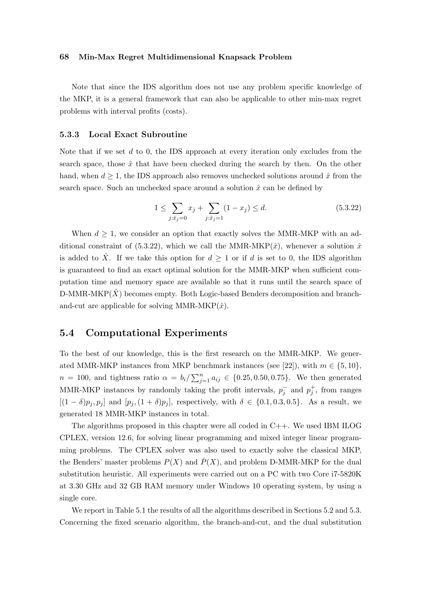#### 68 Min-Max Regret Multidimensional Knapsack Problem

Note that since the IDS algorithm does not use any problem specific knowledge of the MKP, it is a general framework that can also be applicable to other min-max regret problems with interval profits (costs).

#### 5.3.3 Local Exact Subroutine

Note that if we set  $d$  to 0, the IDS approach at every iteration only excludes from the search space, those  $\hat{x}$  that have been checked during the search by then. On the other hand, when  $d \geq 1$ , the IDS approach also removes unchecked solutions around  $\hat{x}$  from the search space. Such an unchecked space around a solution  $\hat{x}$  can be defined by

$$
1 \le \sum_{j:\hat{x}_j=0} x_j + \sum_{j:\hat{x}_j=1} (1 - x_j) \le d. \tag{5.3.22}
$$

When  $d \geq 1$ , we consider an option that exactly solves the MMR-MKP with an additional constraint of (5.3.22), which we call the MMR-MKP( $\hat{x}$ ), whenever a solution  $\hat{x}$ is added to  $\hat{X}$ . If we take this option for  $d \geq 1$  or if d is set to 0, the IDS algorithm is guaranteed to find an exact optimal solution for the MMR-MKP when sufficient computation time and memory space are available so that it runs until the search space of  $D-MMR-MKP(X)$  becomes empty. Both Logic-based Benders decomposition and branchand-cut are applicable for solving MMR-MKP $(\hat{x})$ .

# 5.4 Computational Experiments

To the best of our knowledge, this is the first research on the MMR-MKP. We generated MMR-MKP instances from MKP benchmark instances (see [22]), with  $m \in \{5, 10\}$ ,  $n = 100$ , and tightness ratio  $\alpha = b_i / \sum_{j=1}^n a_{ij} \in \{0.25, 0.50, 0.75\}$ . We then generated MMR-MKP instances by randomly taking the profit intervals,  $p_j^-$  and  $p_j^+$ , from ranges  $[(1 - \delta)p_j, p_j]$  and  $[p_j, (1 + \delta)p_j]$ , respectively, with  $\delta \in \{0.1, 0.3, 0.5\}$ . As a result, we generated 18 MMR-MKP instances in total.

The algorithms proposed in this chapter were all coded in C++. We used IBM ILOG CPLEX, version 12.6, for solving linear programming and mixed integer linear programming problems. The CPLEX solver was also used to exactly solve the classical MKP, the Benders' master problems  $P(X)$  and  $\overline{P}(X)$ , and problem D-MMR-MKP for the dual substitution heuristic. All experiments were carried out on a PC with two Core i7-5820K at 3.30 GHz and 32 GB RAM memory under Windows 10 operating system, by using a single core.

We report in Table 5.1 the results of all the algorithms described in Sections 5.2 and 5.3. Concerning the fixed scenario algorithm, the branch-and-cut, and the dual substitution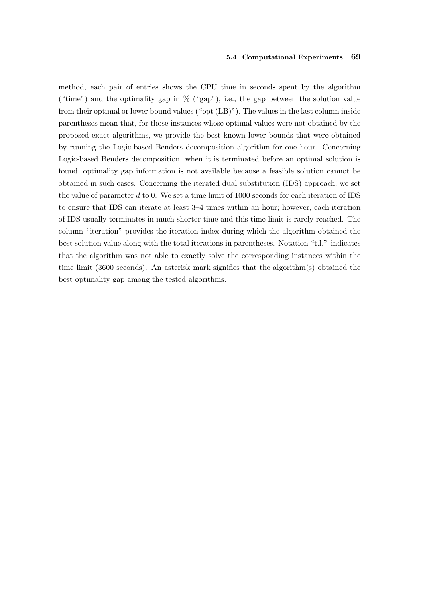method, each pair of entries shows the CPU time in seconds spent by the algorithm ("time") and the optimality gap in  $\%$  ("gap"), i.e., the gap between the solution value from their optimal or lower bound values ("opt (LB)"). The values in the last column inside parentheses mean that, for those instances whose optimal values were not obtained by the proposed exact algorithms, we provide the best known lower bounds that were obtained by running the Logic-based Benders decomposition algorithm for one hour. Concerning Logic-based Benders decomposition, when it is terminated before an optimal solution is found, optimality gap information is not available because a feasible solution cannot be obtained in such cases. Concerning the iterated dual substitution (IDS) approach, we set the value of parameter d to 0. We set a time limit of 1000 seconds for each iteration of IDS to ensure that IDS can iterate at least 3–4 times within an hour; however, each iteration of IDS usually terminates in much shorter time and this time limit is rarely reached. The column "iteration" provides the iteration index during which the algorithm obtained the best solution value along with the total iterations in parentheses. Notation "t.l." indicates that the algorithm was not able to exactly solve the corresponding instances within the time limit (3600 seconds). An asterisk mark signifies that the algorithm(s) obtained the best optimality gap among the tested algorithms.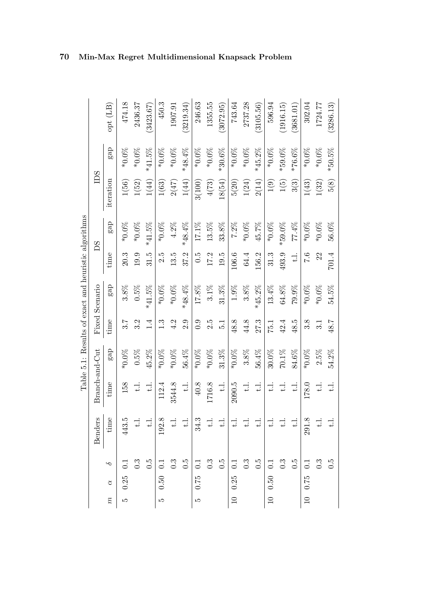|                 |             |                  |                       |               |                |               | Table 5.1: Results of exact and heuristic algorithms |              |           |           |           |           |
|-----------------|-------------|------------------|-----------------------|---------------|----------------|---------------|------------------------------------------------------|--------------|-----------|-----------|-----------|-----------|
|                 |             |                  | <b>Benders</b>        |               | Branch-and-Cut |               | Fixed Scenario                                       |              | BS        | DS        |           |           |
| $\widetilde{n}$ | $\alpha$    | $\sim$           | $\overline{Q}$<br>tim | time          | gap            | time          | gap                                                  | time         | gap       | iteration | gap       | opt (LB)  |
| ມລ              | 0.25        | $\overline{C}$   | LΩ                    | 158           | $*0.0\%$       | 3.7           | $3.8\%$                                              | 20.3         | $*0.0\%$  | $1(56)$   | $*0.0\%$  | 474.18    |
|                 |             | $0.\overline{3}$ |                       | $\pm$         | $0.5\%$        | 3.2           | $0.5\%$                                              | 19.9         | $*0.0\%$  | 1(52)     | $*0.0\%$  | 2436.37   |
|                 |             | $\ddot{0}$ .     |                       | $\exists$     | $45.2\%$       | 1.4           | $*41.5%$                                             | 31.5         | $*41.5\%$ | 1(44)     | $*41.5%$  | (3423.67) |
| LC)             | 0.50        | $\overline{C}$   | $\infty$              | 112.4         | $*0.0\%$       | 1.3           | $*0.0\%$                                             | 2.5          | $*0.0\%$  | 1(63)     | $*0.0\%$  | 450.3     |
|                 |             | $0.\overline{3}$ |                       | 3544.8        | $*0.0\%$       | 4.2           | $*0.0\%$                                             | 13.5         | $4.2\%$   | 2(47)     | $*0.0\%$  | 1907.91   |
|                 |             | $\ddot{0}$       | $\div$                | $\exists$     | $56.4\%$       | 2.9           | $*48.4%$                                             | 37.2         | *48.4%    | 1(44)     | $*48.4%$  | (3219.34) |
| S               | 0.75        | $\overline{0.1}$ | $\mathfrak{S}$<br>೫   | $40.8$        | $*0.0\%$       | 0.9           | $17.8\%$                                             | $\ddot{0}$ . | $17.1\%$  | 3(100)    | $*0.0\%$  | 246.63    |
|                 |             | 0.3              | $\div$                | 1716.8        | $*0.0\%$       | 2.5           | $3.1\%$                                              | 17.2         | $13.5\%$  | 4(73)     | $*0.0\%$  | 1355.55   |
|                 |             | $\ddot{0}$ .     | —∺ ।                  | $\pm$         | $31.3\%$       | $\frac{1}{2}$ | $31.3\%$                                             | 19.5         | 33.8%     | 18(54)    | $*30.6\%$ | (3072.95) |
|                 | 0.25        | $\overline{0}$ . | $\ddot{ }$            | 2090.5        | $*0.0\%$       | 48.8          | $1.9\%$                                              | 106.6        | $7.2\%$   | 5(20)     | $*0.0\%$  | 743.64    |
|                 |             | 0.3              |                       | $\ddot{t}$ .  | $3.8\%$        | 44.8          | $3.8\%$                                              | 64.4         | $*0.0\%$  | 1(24)     | $*0.0\%$  | 2737.28   |
|                 |             | $\ddot{0}$ .     | $\frac{1}{2}$         | $\pm$         | 56.4%          | 27.3          | $*45.2%$                                             | 156.2        | 45.7%     | 2(14)     | $*45.2%$  | (3105.56) |
|                 | $10 \t0.50$ | $\overline{C}$   |                       | $\ddot{=}$    | $30.0\%$       | 75.1          | $13.4\%$                                             | 31.3         | $*0.0\%$  | 1(9)      | $*0.0\%$  | 596.94    |
|                 |             | 0.3              |                       | $\exists$     | $70.1\%$       | 42.4          | $64.8\%$                                             | 493.9        | $*59.0\%$ | 1(5)      | $*59.0\%$ | (1916.15) |
|                 |             | $\ddot{0}$       |                       | $\exists$     | 84.6%          | 48.5          | $79.9\%$                                             | $\exists$    | 77.4%     | 3(3)      | $*76.6\%$ | (3681.01) |
|                 | 10 0.75     | $\overline{0}$   | $\infty$<br>291       | 178.0         | $*0.0\%$       | 3.8           | $*0.0\%$                                             | 0.7          | $*0.0\%$  | 1(43)     | $*0.0\%$  | 302.04    |
|                 |             |                  |                       | $\frac{1}{1}$ | 2.5%           | 3.1           | $*0.0\%$                                             | 22           | $*0.0\%$  | 1(32)     | $*0.0\%$  | 1724.77   |
|                 |             | $0.\overline{5}$ |                       | $\exists$     | $54.2\%$       | 48.7          | $54.5\%$                                             | 701.4        | $56.0\%$  | 5(8)      | $*50.5\%$ | (3286.13) |

70 Min-Max Regret Multidimensional Knapsack Problem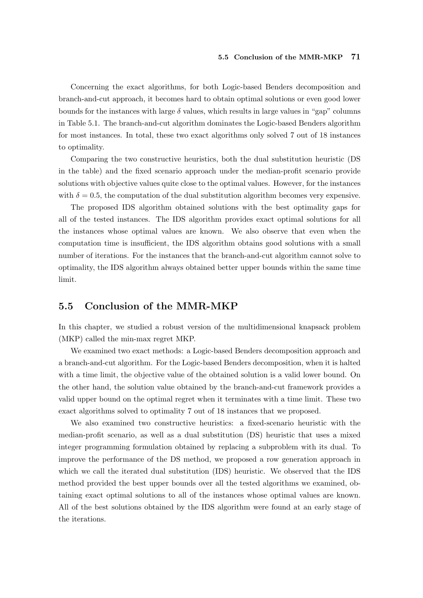#### 5.5 Conclusion of the MMR-MKP 71

Concerning the exact algorithms, for both Logic-based Benders decomposition and branch-and-cut approach, it becomes hard to obtain optimal solutions or even good lower bounds for the instances with large  $\delta$  values, which results in large values in "gap" columns in Table 5.1. The branch-and-cut algorithm dominates the Logic-based Benders algorithm for most instances. In total, these two exact algorithms only solved 7 out of 18 instances to optimality.

Comparing the two constructive heuristics, both the dual substitution heuristic (DS in the table) and the fixed scenario approach under the median-profit scenario provide solutions with objective values quite close to the optimal values. However, for the instances with  $\delta = 0.5$ , the computation of the dual substitution algorithm becomes very expensive.

The proposed IDS algorithm obtained solutions with the best optimality gaps for all of the tested instances. The IDS algorithm provides exact optimal solutions for all the instances whose optimal values are known. We also observe that even when the computation time is insufficient, the IDS algorithm obtains good solutions with a small number of iterations. For the instances that the branch-and-cut algorithm cannot solve to optimality, the IDS algorithm always obtained better upper bounds within the same time limit.

## 5.5 Conclusion of the MMR-MKP

In this chapter, we studied a robust version of the multidimensional knapsack problem (MKP) called the min-max regret MKP.

We examined two exact methods: a Logic-based Benders decomposition approach and a branch-and-cut algorithm. For the Logic-based Benders decomposition, when it is halted with a time limit, the objective value of the obtained solution is a valid lower bound. On the other hand, the solution value obtained by the branch-and-cut framework provides a valid upper bound on the optimal regret when it terminates with a time limit. These two exact algorithms solved to optimality 7 out of 18 instances that we proposed.

We also examined two constructive heuristics: a fixed-scenario heuristic with the median-profit scenario, as well as a dual substitution (DS) heuristic that uses a mixed integer programming formulation obtained by replacing a subproblem with its dual. To improve the performance of the DS method, we proposed a row generation approach in which we call the iterated dual substitution (IDS) heuristic. We observed that the IDS method provided the best upper bounds over all the tested algorithms we examined, obtaining exact optimal solutions to all of the instances whose optimal values are known. All of the best solutions obtained by the IDS algorithm were found at an early stage of the iterations.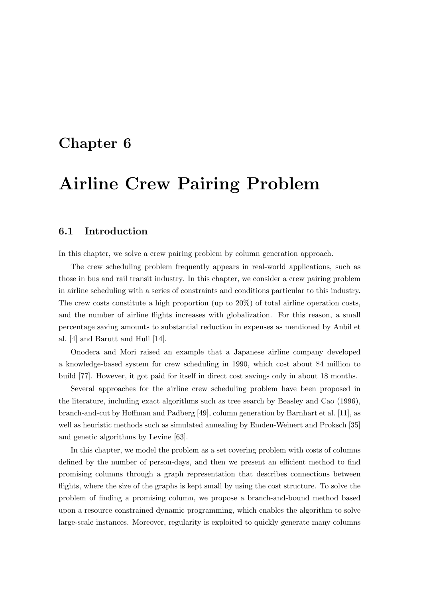# Chapter 6

# Airline Crew Pairing Problem

# 6.1 Introduction

In this chapter, we solve a crew pairing problem by column generation approach.

The crew scheduling problem frequently appears in real-world applications, such as those in bus and rail transit industry. In this chapter, we consider a crew pairing problem in airline scheduling with a series of constraints and conditions particular to this industry. The crew costs constitute a high proportion (up to 20%) of total airline operation costs, and the number of airline flights increases with globalization. For this reason, a small percentage saving amounts to substantial reduction in expenses as mentioned by Anbil et al. [4] and Barutt and Hull [14].

Onodera and Mori raised an example that a Japanese airline company developed a knowledge-based system for crew scheduling in 1990, which cost about \$4 million to build [77]. However, it got paid for itself in direct cost savings only in about 18 months.

Several approaches for the airline crew scheduling problem have been proposed in the literature, including exact algorithms such as tree search by Beasley and Cao (1996), branch-and-cut by Hoffman and Padberg [49], column generation by Barnhart et al. [11], as well as heuristic methods such as simulated annealing by Emden-Weinert and Proksch [35] and genetic algorithms by Levine [63].

In this chapter, we model the problem as a set covering problem with costs of columns defined by the number of person-days, and then we present an efficient method to find promising columns through a graph representation that describes connections between flights, where the size of the graphs is kept small by using the cost structure. To solve the problem of finding a promising column, we propose a branch-and-bound method based upon a resource constrained dynamic programming, which enables the algorithm to solve large-scale instances. Moreover, regularity is exploited to quickly generate many columns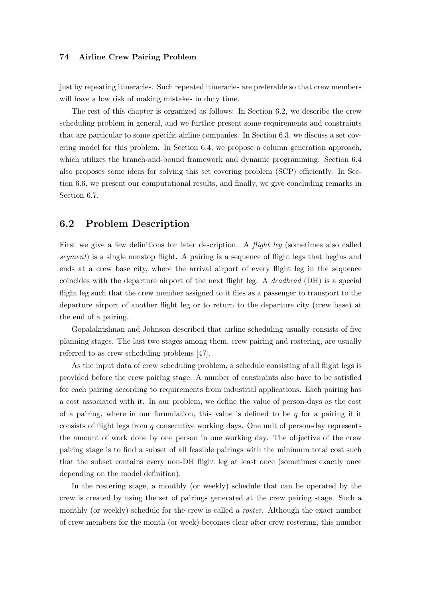just by repeating itineraries. Such repeated itineraries are preferable so that crew members will have a low risk of making mistakes in duty time.

The rest of this chapter is organized as follows: In Section 6.2, we describe the crew scheduling problem in general, and we further present some requirements and constraints that are particular to some specific airline companies. In Section 6.3, we discuss a set covering model for this problem. In Section 6.4, we propose a column generation approach, which utilizes the branch-and-bound framework and dynamic programming. Section 6.4 also proposes some ideas for solving this set covering problem (SCP) efficiently. In Section 6.6, we present our computational results, and finally, we give concluding remarks in Section 6.7.

# 6.2 Problem Description

First we give a few definitions for later description. A *flight leg* (sometimes also called segment) is a single nonstop flight. A pairing is a sequence of flight legs that begins and ends at a crew base city, where the arrival airport of every flight leg in the sequence coincides with the departure airport of the next flight leg. A deadhead (DH) is a special flight leg such that the crew member assigned to it flies as a passenger to transport to the departure airport of another flight leg or to return to the departure city (crew base) at the end of a pairing.

Gopalakrishnan and Johnson described that airline scheduling usually consists of five planning stages. The last two stages among them, crew pairing and rostering, are usually referred to as crew scheduling problems [47].

As the input data of crew scheduling problem, a schedule consisting of all flight legs is provided before the crew pairing stage. A number of constraints also have to be satisfied for each pairing according to requirements from industrial applications. Each pairing has a cost associated with it. In our problem, we define the value of person-days as the cost of a pairing, where in our formulation, this value is defined to be  $q$  for a pairing if it consists of flight legs from q consecutive working days. One unit of person-day represents the amount of work done by one person in one working day. The objective of the crew pairing stage is to find a subset of all feasible pairings with the minimum total cost such that the subset contains every non-DH flight leg at least once (sometimes exactly once depending on the model definition).

In the rostering stage, a monthly (or weekly) schedule that can be operated by the crew is created by using the set of pairings generated at the crew pairing stage. Such a monthly (or weekly) schedule for the crew is called a *roster*. Although the exact number of crew members for the month (or week) becomes clear after crew rostering, this number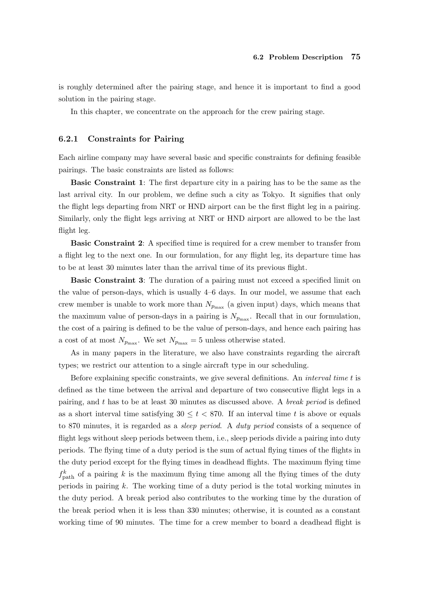is roughly determined after the pairing stage, and hence it is important to find a good solution in the pairing stage.

In this chapter, we concentrate on the approach for the crew pairing stage.

#### 6.2.1 Constraints for Pairing

Each airline company may have several basic and specific constraints for defining feasible pairings. The basic constraints are listed as follows:

Basic Constraint 1: The first departure city in a pairing has to be the same as the last arrival city. In our problem, we define such a city as Tokyo. It signifies that only the flight legs departing from NRT or HND airport can be the first flight leg in a pairing. Similarly, only the flight legs arriving at NRT or HND airport are allowed to be the last flight leg.

Basic Constraint 2: A specified time is required for a crew member to transfer from a flight leg to the next one. In our formulation, for any flight leg, its departure time has to be at least 30 minutes later than the arrival time of its previous flight.

Basic Constraint 3: The duration of a pairing must not exceed a specified limit on the value of person-days, which is usually 4–6 days. In our model, we assume that each crew member is unable to work more than  $N_{p_{\text{max}}}$  (a given input) days, which means that the maximum value of person-days in a pairing is  $N_{p_{\text{max}}}$ . Recall that in our formulation, the cost of a pairing is defined to be the value of person-days, and hence each pairing has a cost of at most  $N_{p_{\text{max}}}$ . We set  $N_{p_{\text{max}}} = 5$  unless otherwise stated.

As in many papers in the literature, we also have constraints regarding the aircraft types; we restrict our attention to a single aircraft type in our scheduling.

Before explaining specific constraints, we give several definitions. An interval time t is defined as the time between the arrival and departure of two consecutive flight legs in a pairing, and t has to be at least 30 minutes as discussed above. A *break period* is defined as a short interval time satisfying  $30 \le t < 870$ . If an interval time t is above or equals to 870 minutes, it is regarded as a *sleep period*. A *duty period* consists of a sequence of flight legs without sleep periods between them, i.e., sleep periods divide a pairing into duty periods. The flying time of a duty period is the sum of actual flying times of the flights in the duty period except for the flying times in deadhead flights. The maximum flying time  $f_{\text{path}}^k$  of a pairing k is the maximum flying time among all the flying times of the duty periods in pairing k. The working time of a duty period is the total working minutes in the duty period. A break period also contributes to the working time by the duration of the break period when it is less than 330 minutes; otherwise, it is counted as a constant working time of 90 minutes. The time for a crew member to board a deadhead flight is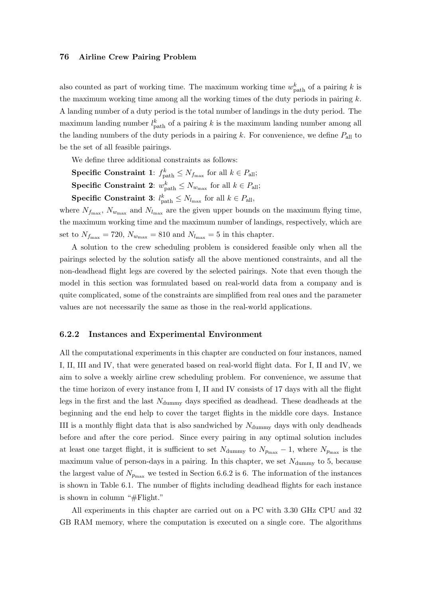also counted as part of working time. The maximum working time  $w_{\text{path}}^k$  of a pairing k is the maximum working time among all the working times of the duty periods in pairing  $k$ . A landing number of a duty period is the total number of landings in the duty period. The maximum landing number  $l_{\text{path}}^k$  of a pairing k is the maximum landing number among all the landing numbers of the duty periods in a pairing  $k$ . For convenience, we define  $P_{all}$  to be the set of all feasible pairings.

We define three additional constraints as follows:

**Specific Constraint 1:**  $f_{\text{path}}^k \leq N_{f_{\text{max}}}$  for all  $k \in P_{\text{all}}$ ; **Specific Constraint 2:**  $w_{\text{path}}^k \leq N_{w_{\text{max}}}$  for all  $k \in P_{\text{all}}$ ;

**Specific Constraint 3:**  $l_{\text{path}}^k \leq N_{l_{\text{max}}}$  for all  $k \in P_{\text{all}}$ ,

where  $N_{f_{\text{max}}}$ ,  $N_{w_{\text{max}}}$  and  $N_{l_{\text{max}}}$  are the given upper bounds on the maximum flying time, the maximum working time and the maximum number of landings, respectively, which are set to  $N_{f_{\text{max}}} = 720$ ,  $N_{w_{\text{max}}} = 810$  and  $N_{l_{\text{max}}} = 5$  in this chapter.

A solution to the crew scheduling problem is considered feasible only when all the pairings selected by the solution satisfy all the above mentioned constraints, and all the non-deadhead flight legs are covered by the selected pairings. Note that even though the model in this section was formulated based on real-world data from a company and is quite complicated, some of the constraints are simplified from real ones and the parameter values are not necessarily the same as those in the real-world applications.

#### 6.2.2 Instances and Experimental Environment

All the computational experiments in this chapter are conducted on four instances, named I, II, III and IV, that were generated based on real-world flight data. For I, II and IV, we aim to solve a weekly airline crew scheduling problem. For convenience, we assume that the time horizon of every instance from I, II and IV consists of 17 days with all the flight legs in the first and the last  $N_{\text{dummy}}$  days specified as deadhead. These deadheads at the beginning and the end help to cover the target flights in the middle core days. Instance III is a monthly flight data that is also sandwiched by  $N_{\text{dummy}}$  days with only deadheads before and after the core period. Since every pairing in any optimal solution includes at least one target flight, it is sufficient to set  $N_{\text{dummy}}$  to  $N_{p_{\text{max}}} - 1$ , where  $N_{p_{\text{max}}}$  is the maximum value of person-days in a pairing. In this chapter, we set  $N_{\text{dummy}}$  to 5, because the largest value of  $N_{p_{\text{max}}}$  we tested in Section 6.6.2 is 6. The information of the instances is shown in Table 6.1. The number of flights including deadhead flights for each instance is shown in column "#Flight."

All experiments in this chapter are carried out on a PC with 3.30 GHz CPU and 32 GB RAM memory, where the computation is executed on a single core. The algorithms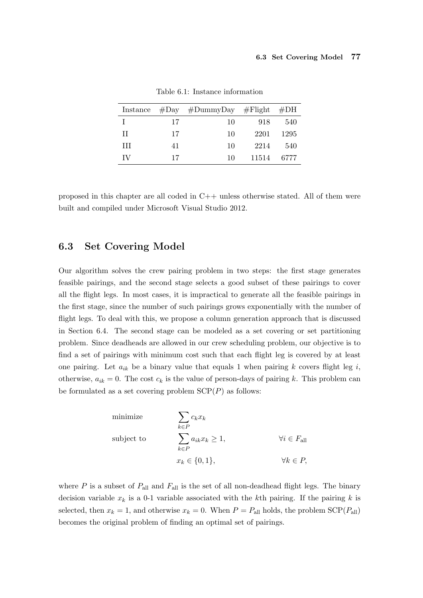|     |    | Instance $#Day$ $#DummyDay$ $#Flight$ $#DH$ |       |      |
|-----|----|---------------------------------------------|-------|------|
| -Е  | 17 | 10                                          | 918   | 540  |
| -11 | 17 | 10                                          | 2201  | 1295 |
| Ш   | 41 | 10                                          | 2214  | 540  |
| TV  | 17 | 10                                          | 11514 | 6777 |

Table 6.1: Instance information

proposed in this chapter are all coded in C++ unless otherwise stated. All of them were built and compiled under Microsoft Visual Studio 2012.

# 6.3 Set Covering Model

Our algorithm solves the crew pairing problem in two steps: the first stage generates feasible pairings, and the second stage selects a good subset of these pairings to cover all the flight legs. In most cases, it is impractical to generate all the feasible pairings in the first stage, since the number of such pairings grows exponentially with the number of flight legs. To deal with this, we propose a column generation approach that is discussed in Section 6.4. The second stage can be modeled as a set covering or set partitioning problem. Since deadheads are allowed in our crew scheduling problem, our objective is to find a set of pairings with minimum cost such that each flight leg is covered by at least one pairing. Let  $a_{ik}$  be a binary value that equals 1 when pairing k covers flight leg i, otherwise,  $a_{ik} = 0$ . The cost  $c_k$  is the value of person-days of pairing k. This problem can be formulated as a set covering problem  $\text{SCP}(P)$  as follows:

minimize  
\nsubject to  
\n
$$
\sum_{k \in P} c_k x_k
$$
\n
$$
\sum_{k \in P} a_{ik} x_k \ge 1,
$$
\n
$$
\forall i \in F_{\text{all}}
$$
\n
$$
x_k \in \{0, 1\},
$$
\n
$$
\forall k \in P,
$$

where  $P$  is a subset of  $P_{\text{all}}$  and  $F_{\text{all}}$  is the set of all non-deadhead flight legs. The binary decision variable  $x_k$  is a 0-1 variable associated with the kth pairing. If the pairing k is selected, then  $x_k = 1$ , and otherwise  $x_k = 0$ . When  $P = P_{all}$  holds, the problem  $SCP(P_{all})$ becomes the original problem of finding an optimal set of pairings.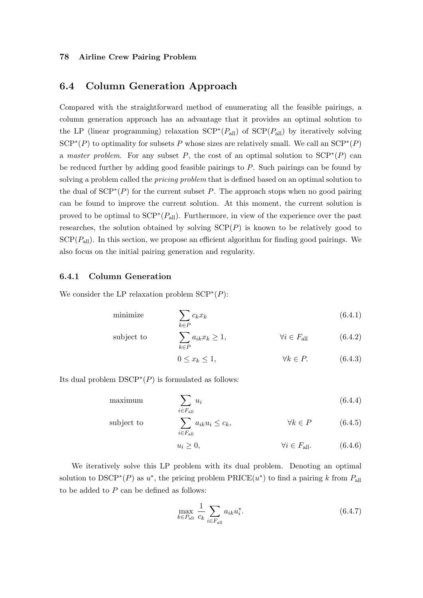# 6.4 Column Generation Approach

Compared with the straightforward method of enumerating all the feasible pairings, a column generation approach has an advantage that it provides an optimal solution to the LP (linear programming) relaxation  $\text{SCP}^*(P_{\text{all}})$  of  $\text{SCP}(P_{\text{all}})$  by iteratively solving  $\text{SCP}^*(P)$  to optimality for subsets P whose sizes are relatively small. We call an  $\text{SCP}^*(P)$ a master problem. For any subset P, the cost of an optimal solution to  $\text{SCP}^*(P)$  can be reduced further by adding good feasible pairings to P. Such pairings can be found by solving a problem called the *pricing problem* that is defined based on an optimal solution to the dual of  $\text{SCP}^*(P)$  for the current subset P. The approach stops when no good pairing can be found to improve the current solution. At this moment, the current solution is proved to be optimal to  $\text{SCP}^*(P_{\text{all}})$ . Furthermore, in view of the experience over the past researches, the solution obtained by solving  $\text{SCP}(P)$  is known to be relatively good to  $\text{SCP}(P_{\text{all}})$ . In this section, we propose an efficient algorithm for finding good pairings. We also focus on the initial pairing generation and regularity.

#### 6.4.1 Column Generation

We consider the LP relaxation problem  $\text{SCP}^*(P)$ :

$$
\text{minimize} \qquad \sum_{k \in P} c_k x_k \tag{6.4.1}
$$

subject to 
$$
\sum_{k \in P} a_{ik} x_k \ge 1, \qquad \forall i \in F_{\text{all}} \qquad (6.4.2)
$$

$$
0 \le x_k \le 1, \qquad \forall k \in P. \tag{6.4.3}
$$

Its dual problem  $DSCP^*(P)$  is formulated as follows:

$$
\sum_{i \in F_{\text{all}}} u_i \tag{6.4.4}
$$

subject to 
$$
\sum_{i \in F_{\text{all}}} a_{ik} u_i \leq c_k, \qquad \forall k \in P \qquad (6.4.5)
$$

$$
u_i \ge 0, \qquad \qquad \forall i \in F_{\text{all}}.\tag{6.4.6}
$$

We iteratively solve this LP problem with its dual problem. Denoting an optimal solution to  $DSCP^*(P)$  as  $u^*$ , the pricing problem  $PRICE(u^*)$  to find a pairing k from  $P_{all}$ to be added to  $P$  can be defined as follows:

$$
\max_{k \in P_{\text{all}}} \frac{1}{c_k} \sum_{i \in F_{\text{all}}} a_{ik} u_i^*.
$$
\n(6.4.7)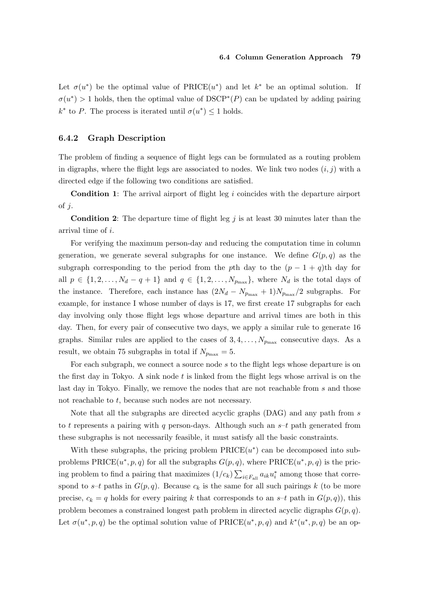#### 6.4 Column Generation Approach 79

Let  $\sigma(u^*)$  be the optimal value of PRICE $(u^*)$  and let  $k^*$  be an optimal solution. If  $\sigma(u^*)$  > 1 holds, then the optimal value of DSCP<sup>\*</sup>(P) can be updated by adding pairing  $k^*$  to P. The process is iterated until  $\sigma(u^*) \leq 1$  holds.

#### 6.4.2 Graph Description

The problem of finding a sequence of flight legs can be formulated as a routing problem in digraphs, where the flight legs are associated to nodes. We link two nodes  $(i, j)$  with a directed edge if the following two conditions are satisfied.

Condition 1: The arrival airport of flight leg i coincides with the departure airport of  $j$ .

**Condition 2:** The departure time of flight leg j is at least 30 minutes later than the arrival time of i.

For verifying the maximum person-day and reducing the computation time in column generation, we generate several subgraphs for one instance. We define  $G(p,q)$  as the subgraph corresponding to the period from the pth day to the  $(p - 1 + q)$ th day for all  $p \in \{1, 2, \ldots, N_d - q + 1\}$  and  $q \in \{1, 2, \ldots, N_{p_{\text{max}}}\}\$ , where  $N_d$  is the total days of the instance. Therefore, each instance has  $(2N_d - N_{p_{\text{max}}} + 1)N_{p_{\text{max}}}/2$  subgraphs. For example, for instance I whose number of days is 17, we first create 17 subgraphs for each day involving only those flight legs whose departure and arrival times are both in this day. Then, for every pair of consecutive two days, we apply a similar rule to generate 16 graphs. Similar rules are applied to the cases of  $3, 4, \ldots, N_{p_{\text{max}}}$  consecutive days. As a result, we obtain 75 subgraphs in total if  $N_{p_{\text{max}}} = 5$ .

For each subgraph, we connect a source node s to the flight legs whose departure is on the first day in Tokyo. A sink node t is linked from the flight legs whose arrival is on the last day in Tokyo. Finally, we remove the nodes that are not reachable from s and those not reachable to t, because such nodes are not necessary.

Note that all the subgraphs are directed acyclic graphs (DAG) and any path from s to t represents a pairing with q person-days. Although such an  $s-t$  path generated from these subgraphs is not necessarily feasible, it must satisfy all the basic constraints.

With these subgraphs, the pricing problem  $\text{PRICE}(u^*)$  can be decomposed into subproblems  $\text{PRICE}(u^*, p, q)$  for all the subgraphs  $G(p, q)$ , where  $\text{PRICE}(u^*, p, q)$  is the pricing problem to find a pairing that maximizes  $(1/c_k) \sum_{i \in F_{all}} a_{ik} u_i^*$  among those that correspond to  $s-t$  paths in  $G(p,q)$ . Because  $c_k$  is the same for all such pairings k (to be more precise,  $c_k = q$  holds for every pairing k that corresponds to an  $s-t$  path in  $G(p,q)$ , this problem becomes a constrained longest path problem in directed acyclic digraphs  $G(p, q)$ . Let  $\sigma(u^*, p, q)$  be the optimal solution value of  $\text{PRICE}(u^*, p, q)$  and  $k^*(u^*, p, q)$  be an op-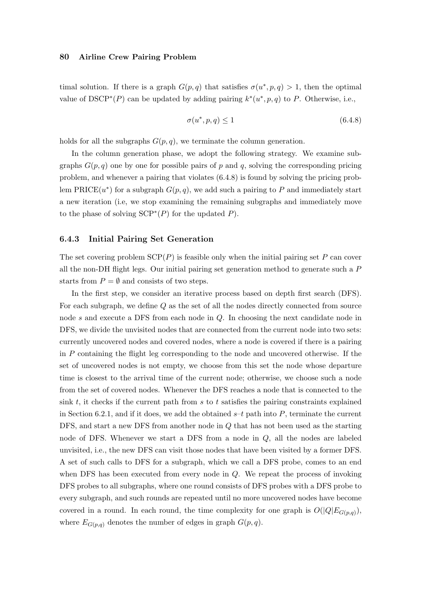timal solution. If there is a graph  $G(p,q)$  that satisfies  $\sigma(u^*,p,q) > 1$ , then the optimal value of DSCP<sup>\*</sup>(P) can be updated by adding pairing  $k^*(u^*, p, q)$  to P. Otherwise, i.e.,

$$
\sigma(u^*, p, q) \le 1\tag{6.4.8}
$$

holds for all the subgraphs  $G(p, q)$ , we terminate the column generation.

In the column generation phase, we adopt the following strategy. We examine subgraphs  $G(p, q)$  one by one for possible pairs of p and q, solving the corresponding pricing problem, and whenever a pairing that violates (6.4.8) is found by solving the pricing problem PRICE $(u^*)$  for a subgraph  $G(p, q)$ , we add such a pairing to P and immediately start a new iteration (i.e, we stop examining the remaining subgraphs and immediately move to the phase of solving  $\text{SCP}^*(P)$  for the updated P).

#### 6.4.3 Initial Pairing Set Generation

The set covering problem  $\text{SCP}(P)$  is feasible only when the initial pairing set P can cover all the non-DH flight legs. Our initial pairing set generation method to generate such a P starts from  $P = \emptyset$  and consists of two steps.

In the first step, we consider an iterative process based on depth first search (DFS). For each subgraph, we define Q as the set of all the nodes directly connected from source node s and execute a DFS from each node in Q. In choosing the next candidate node in DFS, we divide the unvisited nodes that are connected from the current node into two sets: currently uncovered nodes and covered nodes, where a node is covered if there is a pairing in P containing the flight leg corresponding to the node and uncovered otherwise. If the set of uncovered nodes is not empty, we choose from this set the node whose departure time is closest to the arrival time of the current node; otherwise, we choose such a node from the set of covered nodes. Whenever the DFS reaches a node that is connected to the sink t, it checks if the current path from s to t satisfies the pairing constraints explained in Section 6.2.1, and if it does, we add the obtained  $s-t$  path into P, terminate the current DFS, and start a new DFS from another node in Q that has not been used as the starting node of DFS. Whenever we start a DFS from a node in Q, all the nodes are labeled unvisited, i.e., the new DFS can visit those nodes that have been visited by a former DFS. A set of such calls to DFS for a subgraph, which we call a DFS probe, comes to an end when DFS has been executed from every node in  $Q$ . We repeat the process of invoking DFS probes to all subgraphs, where one round consists of DFS probes with a DFS probe to every subgraph, and such rounds are repeated until no more uncovered nodes have become covered in a round. In each round, the time complexity for one graph is  $O(|Q|E_{G(p,q)})$ , where  $E_{G(p,q)}$  denotes the number of edges in graph  $G(p,q)$ .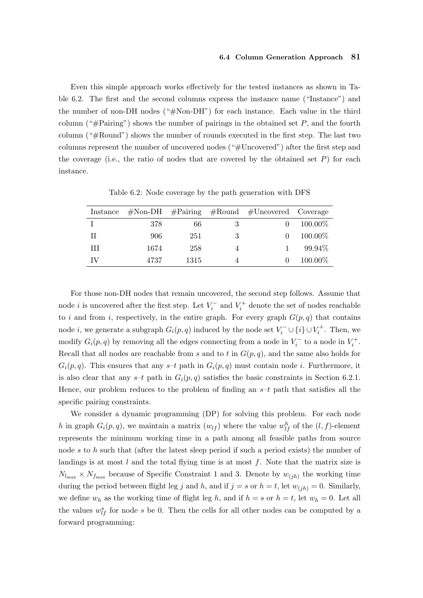#### 6.4 Column Generation Approach 81

Even this simple approach works effectively for the tested instances as shown in Table 6.2. The first and the second columns express the instance name ("Instance") and the number of non-DH nodes ("#Non-DH") for each instance. Each value in the third column ("#Pairing") shows the number of pairings in the obtained set  $P$ , and the fourth column ("#Round") shows the number of rounds executed in the first step. The last two columns represent the number of uncovered nodes ("#Uncovered") after the first step and the coverage (i.e., the ratio of nodes that are covered by the obtained set  $P$ ) for each instance.

| Instance |      |      |   | $\# \text{Non-DH}$ #Pairing #Round #Uncovered Coverage |            |
|----------|------|------|---|--------------------------------------------------------|------------|
|          | 378  | 66   | 3 |                                                        | $100.00\%$ |
| H        | 906  | 251  | 3 | $\mathbf{0}$                                           | 100.00%    |
| Ш        | 1674 | 258  | 4 |                                                        | 99.94\%    |
| IV       | 4737 | 1315 |   |                                                        | 100.00%    |

Table 6.2: Node coverage by the path generation with DFS

For those non-DH nodes that remain uncovered, the second step follows. Assume that node *i* is uncovered after the first step. Let  $V_i^-$  and  $V_i^+$  denote the set of nodes reachable to i and from i, respectively, in the entire graph. For every graph  $G(p,q)$  that contains node *i*, we generate a subgraph  $G_i(p, q)$  induced by the node set  $V_i^{\perp} \cup \{i\} \cup V_i^{\perp}$ . Then, we modify  $G_i(p,q)$  by removing all the edges connecting from a node in  $V_i^-$  to a node in  $V_i^+$ . Recall that all nodes are reachable from s and to t in  $G(p,q)$ , and the same also holds for  $G_i(p,q)$ . This ensures that any s-t path in  $G_i(p,q)$  must contain node i. Furthermore, it is also clear that any  $s-t$  path in  $G_i(p,q)$  satisfies the basic constraints in Section 6.2.1. Hence, our problem reduces to the problem of finding an  $s-t$  path that satisfies all the specific pairing constraints.

We consider a dynamic programming (DP) for solving this problem. For each node h in graph  $G_i(p,q)$ , we maintain a matrix  $(w_{lf})$  where the value  $w_{lf}^h$  of the  $(l, f)$ -element represents the minimum working time in a path among all feasible paths from source node s to h such that (after the latest sleep period if such a period exists) the number of landings is at most  $l$  and the total flying time is at most  $f$ . Note that the matrix size is  $N_{l_{\text{max}}} \times N_{f_{\text{max}}}$  because of Specific Constraint 1 and 3. Denote by  $w_{(jh)}$  the working time during the period between flight leg j and h, and if  $j = s$  or  $h = t$ , let  $w_{(jh)} = 0$ . Similarly, we define  $w_h$  as the working time of flight leg h, and if  $h = s$  or  $h = t$ , let  $w_h = 0$ . Let all the values  $w_{if}^s$  for node s be 0. Then the cells for all other nodes can be computed by a forward programming: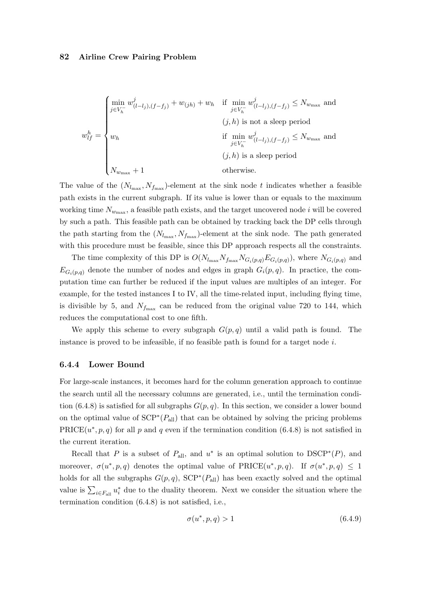$$
w_{lf}^{h} = \begin{cases} \min_{j \in V_{h}^{-}} w_{(l-l_{j}),(f-f_{j})}^{j} + w_{(jh)} + w_{h} & \text{if } \min_{j \in V_{h}^{-}} w_{(l-l_{j}),(f-f_{j})}^{j} \leq N_{w_{\text{max}}} \text{ and } \\ & (j,h) \text{ is not a sleep period} \\ w_{h} & \text{if } \min_{j \in V_{h}^{-}} w_{(l-l_{j}),(f-f_{j})}^{j} \leq N_{w_{\text{max}}} \text{ and } \\ & (j,h) \text{ is a sleep period} \\ N_{w_{\text{max}}+1} & \text{otherwise.} \end{cases}
$$

The value of the  $(N_{l_{\text{max}}}, N_{f_{\text{max}}})$ -element at the sink node t indicates whether a feasible path exists in the current subgraph. If its value is lower than or equals to the maximum working time  $N_{w_{\text{max}}}$ , a feasible path exists, and the target uncovered node i will be covered by such a path. This feasible path can be obtained by tracking back the DP cells through the path starting from the  $(N_{l_{\text{max}}}, N_{f_{\text{max}}})$ -element at the sink node. The path generated with this procedure must be feasible, since this DP approach respects all the constraints.

The time complexity of this DP is  $O(N_{l_{\text{max}}}N_{f_{\text{max}}}N_{G_i(p,q)}E_{G_i(p,q)})$ , where  $N_{G_i(p,q)}$  and  $E_{G_i(p,q)}$  denote the number of nodes and edges in graph  $G_i(p,q)$ . In practice, the computation time can further be reduced if the input values are multiples of an integer. For example, for the tested instances I to IV, all the time-related input, including flying time, is divisible by 5, and  $N_{f_{\text{max}}}$  can be reduced from the original value 720 to 144, which reduces the computational cost to one fifth.

We apply this scheme to every subgraph  $G(p,q)$  until a valid path is found. The instance is proved to be infeasible, if no feasible path is found for a target node  $i$ .

#### 6.4.4 Lower Bound

For large-scale instances, it becomes hard for the column generation approach to continue the search until all the necessary columns are generated, i.e., until the termination condition (6.4.8) is satisfied for all subgraphs  $G(p, q)$ . In this section, we consider a lower bound on the optimal value of  $SCP^*(P_{all})$  that can be obtained by solving the pricing problems  $PRICE(u^*, p, q)$  for all p and q even if the termination condition (6.4.8) is not satisfied in the current iteration.

Recall that P is a subset of  $P_{\text{all}}$ , and  $u^*$  is an optimal solution to DSCP<sup>\*</sup>(P), and moreover,  $\sigma(u^*, p, q)$  denotes the optimal value of PRICE $(u^*, p, q)$ . If  $\sigma(u^*, p, q) \leq 1$ holds for all the subgraphs  $G(p, q)$ ,  $\text{SCP}^*(P_{\text{all}})$  has been exactly solved and the optimal value is  $\sum_{i\in F_{\text{all}}} u_i^*$  due to the duality theorem. Next we consider the situation where the termination condition (6.4.8) is not satisfied, i.e.,

$$
\sigma(u^*, p, q) > 1 \tag{6.4.9}
$$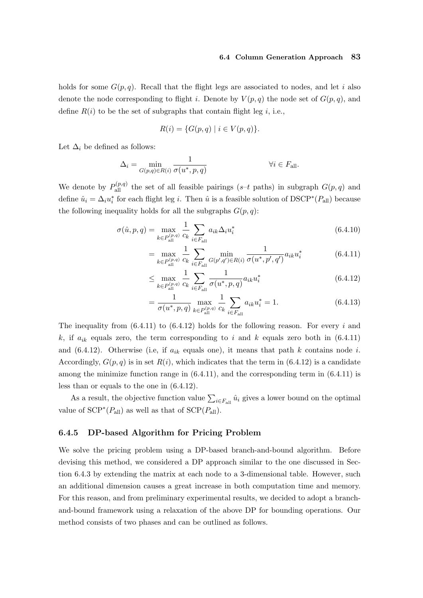#### 6.4 Column Generation Approach 83

holds for some  $G(p, q)$ . Recall that the flight legs are associated to nodes, and let i also denote the node corresponding to flight i. Denote by  $V(p,q)$  the node set of  $G(p,q)$ , and define  $R(i)$  to be the set of subgraphs that contain flight leg i, i.e.,

$$
R(i) = \{ G(p, q) \mid i \in V(p, q) \}.
$$

Let  $\Delta_i$  be defined as follows:

$$
\Delta_i = \min_{G(p,q)\in R(i)} \frac{1}{\sigma(u^*, p, q)}
$$
  $\forall i \in F_{\text{all}}.$ 

We denote by  $P_{\text{all}}^{(p,q)}$  the set of all feasible pairings (s-t paths) in subgraph  $G(p,q)$  and define  $\hat{u}_i = \Delta_i u_i^*$  for each flight leg *i*. Then  $\hat{u}$  is a feasible solution of DSCP<sup>\*</sup>( $P_{\text{all}}$ ) because the following inequality holds for all the subgraphs  $G(p, q)$ :

$$
\sigma(\hat{u}, p, q) = \max_{k \in P_{\text{all}}^{(p,q)}} \frac{1}{c_k} \sum_{i \in F_{\text{all}}} a_{ik} \Delta_i u_i^*
$$
\n(6.4.10)

$$
= \max_{k \in P_{\text{all}}^{(p,q)}} \frac{1}{c_k} \sum_{i \in F_{\text{all}}} \min_{G(p',q') \in R(i)} \frac{1}{\sigma(u^*, p', q')} a_{ik} u_i^* \tag{6.4.11}
$$

$$
\leq \max_{k \in P_{\text{all}}^{(p,q)}} \frac{1}{c_k} \sum_{i \in F_{\text{all}}} \frac{1}{\sigma(u^*, p, q)} a_{ik} u_i^* \tag{6.4.12}
$$

$$
= \frac{1}{\sigma(u^*, p, q)} \max_{k \in P_{\text{all}}^{(p,q)}} \frac{1}{c_k} \sum_{i \in F_{\text{all}}} a_{ik} u_i^* = 1.
$$
 (6.4.13)

The inequality from  $(6.4.11)$  to  $(6.4.12)$  holds for the following reason. For every i and k, if  $a_{ik}$  equals zero, the term corresponding to i and k equals zero both in (6.4.11) and  $(6.4.12)$ . Otherwise (i.e, if  $a_{ik}$  equals one), it means that path k contains node i. Accordingly,  $G(p,q)$  is in set  $R(i)$ , which indicates that the term in  $(6.4.12)$  is a candidate among the minimize function range in  $(6.4.11)$ , and the corresponding term in  $(6.4.11)$  is less than or equals to the one in (6.4.12).

As a result, the objective function value  $\sum_{i \in F_{all}} \hat{u}_i$  gives a lower bound on the optimal value of  $\text{SCP}^*(P_{\text{all}})$  as well as that of  $\text{SCP}(P_{\text{all}})$ .

#### 6.4.5 DP-based Algorithm for Pricing Problem

We solve the pricing problem using a DP-based branch-and-bound algorithm. Before devising this method, we considered a DP approach similar to the one discussed in Section 6.4.3 by extending the matrix at each node to a 3-dimensional table. However, such an additional dimension causes a great increase in both computation time and memory. For this reason, and from preliminary experimental results, we decided to adopt a branchand-bound framework using a relaxation of the above DP for bounding operations. Our method consists of two phases and can be outlined as follows.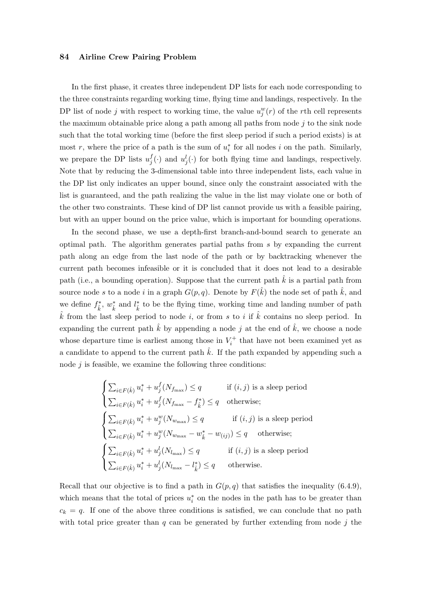In the first phase, it creates three independent DP lists for each node corresponding to the three constraints regarding working time, flying time and landings, respectively. In the DP list of node j with respect to working time, the value  $u_j^w(r)$  of the rth cell represents the maximum obtainable price along a path among all paths from node  $j$  to the sink node such that the total working time (before the first sleep period if such a period exists) is at most r, where the price of a path is the sum of  $u_i^*$  for all nodes i on the path. Similarly, we prepare the DP lists  $u_i^f$  $j^f(j)$  and  $u^l_j(\cdot)$  for both flying time and landings, respectively. Note that by reducing the 3-dimensional table into three independent lists, each value in the DP list only indicates an upper bound, since only the constraint associated with the list is guaranteed, and the path realizing the value in the list may violate one or both of the other two constraints. These kind of DP list cannot provide us with a feasible pairing, but with an upper bound on the price value, which is important for bounding operations.

In the second phase, we use a depth-first branch-and-bound search to generate an optimal path. The algorithm generates partial paths from s by expanding the current path along an edge from the last node of the path or by backtracking whenever the current path becomes infeasible or it is concluded that it does not lead to a desirable path (i.e., a bounding operation). Suppose that the current path  $\hat{k}$  is a partial path from source node s to a node i in a graph  $G(p,q)$ . Denote by  $F(\hat{k})$  the node set of path  $\hat{k}$ , and we define  $f_k^*$ ,  $w_k^*$  and  $l_k^*$  to be the flying time, working time and landing number of path  $\hat{k}$  from the last sleep period to node i, or from s to i if  $\hat{k}$  contains no sleep period. In expanding the current path  $\hat{k}$  by appending a node j at the end of  $\hat{k}$ , we choose a node whose departure time is earliest among those in  $V_i^+$  that have not been examined yet as a candidate to append to the current path  $k$ . If the path expanded by appending such a node  $j$  is feasible, we examine the following three conditions:

$$
\begin{cases} \sum_{i\in F(\hat{k})} u_i^* + u_j^f(N_{f_{\text{max}}}) \leq q & \text{if } (i,j) \text{ is a sleep period} \\ \sum_{i\in F(\hat{k})} u_i^* + u_j^f(N_{f_{\text{max}}} - f_{\hat{k}}^*) \leq q & \text{otherwise;} \end{cases}
$$
  

$$
\begin{cases} \sum_{i\in F(\hat{k})} u_i^* + u_j^w(N_{w_{\text{max}}}) \leq q & \text{if } (i,j) \text{ is a sleep period} \\ \sum_{i\in F(\hat{k})} u_i^* + u_j^w(N_{w_{\text{max}}} - w_{\hat{k}}^* - w_{(ij)}) \leq q & \text{otherwise;} \end{cases}
$$
  

$$
\begin{cases} \sum_{i\in F(\hat{k})} u_i^* + u_j^l(N_{l_{\text{max}}}) \leq q & \text{if } (i,j) \text{ is a sleep period} \\ \sum_{i\in F(\hat{k})} u_i^* + u_j^l(N_{l_{\text{max}}} - l_{\hat{k}}^*) \leq q & \text{otherwise.} \end{cases}
$$

Recall that our objective is to find a path in  $G(p,q)$  that satisfies the inequality (6.4.9), which means that the total of prices  $u_i^*$  on the nodes in the path has to be greater than  $c_k = q$ . If one of the above three conditions is satisfied, we can conclude that no path with total price greater than  $q$  can be generated by further extending from node  $j$  the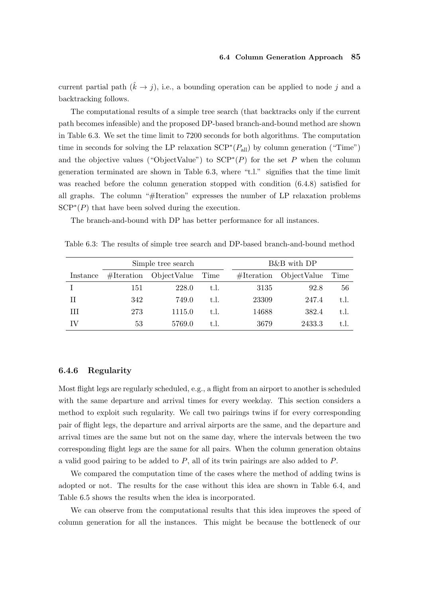current partial path  $(\hat{k} \rightarrow j)$ , i.e., a bounding operation can be applied to node j and a backtracking follows.

The computational results of a simple tree search (that backtracks only if the current path becomes infeasible) and the proposed DP-based branch-and-bound method are shown in Table 6.3. We set the time limit to 7200 seconds for both algorithms. The computation time in seconds for solving the LP relaxation  $\text{SCP}^*(P_{\text{all}})$  by column generation ("Time") and the objective values ("ObjectValue") to  $\text{SCP}^*(P)$  for the set P when the column generation terminated are shown in Table 6.3, where "t.l." signifies that the time limit was reached before the column generation stopped with condition (6.4.8) satisfied for all graphs. The column "#Iteration" expresses the number of LP relaxation problems  $\text{SCP}^*(P)$  that have been solved during the execution.

The branch-and-bound with DP has better performance for all instances.

|          |     | Simple tree search        |      |            | B&B with DP |      |
|----------|-----|---------------------------|------|------------|-------------|------|
| Instance |     | $\#Iteration$ ObjectValue | Time | #Iteration | ObjectValue | Time |
|          | 151 | 228.0                     | t.l. | 3135       | 92.8        | 56   |
| Н        | 342 | 749.0                     | t.l. | 23309      | 247.4       | t.l. |
| Ш        | 273 | 1115.0                    | t.l. | 14688      | 382.4       | t.l. |
| ſV       | 53  | 5769.0                    | t.l. | 3679       | 2433.3      | t.I. |

Table 6.3: The results of simple tree search and DP-based branch-and-bound method

#### 6.4.6 Regularity

Most flight legs are regularly scheduled, e.g., a flight from an airport to another is scheduled with the same departure and arrival times for every weekday. This section considers a method to exploit such regularity. We call two pairings twins if for every corresponding pair of flight legs, the departure and arrival airports are the same, and the departure and arrival times are the same but not on the same day, where the intervals between the two corresponding flight legs are the same for all pairs. When the column generation obtains a valid good pairing to be added to  $P$ , all of its twin pairings are also added to  $P$ .

We compared the computation time of the cases where the method of adding twins is adopted or not. The results for the case without this idea are shown in Table 6.4, and Table 6.5 shows the results when the idea is incorporated.

We can observe from the computational results that this idea improves the speed of column generation for all the instances. This might be because the bottleneck of our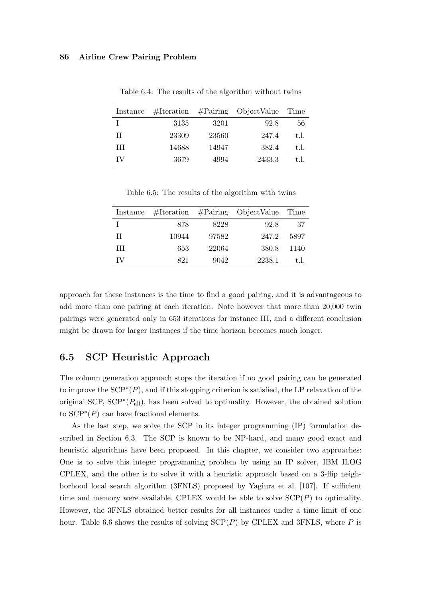| Instance |       |       | $\#Iteration$ $\#Pairing$ ObjectValue | Time |
|----------|-------|-------|---------------------------------------|------|
|          | 3135  | 3201  | 92.8                                  | 56   |
| H        | 23309 | 23560 | 247.4                                 | t.l. |
| Ш        | 14688 | 14947 | 382.4                                 | t.l. |
| IV       | 3679  | 4994  | 2433.3                                | t.I. |

Table 6.4: The results of the algorithm without twins

Table 6.5: The results of the algorithm with twins

| Instance |       |       | $\# \text{Iteration}$ $\# \text{Pairing}$ ObjectValue Time |      |
|----------|-------|-------|------------------------------------------------------------|------|
|          | 878   | 8228  | 92.8                                                       | -37  |
| H        | 10944 | 97582 | 247.2                                                      | 5897 |
| Ш        | 653   | 22064 | 380.8                                                      | 1140 |
| TV       | 821   | 9042  | 2238.1                                                     | t.I. |

approach for these instances is the time to find a good pairing, and it is advantageous to add more than one pairing at each iteration. Note however that more than 20,000 twin pairings were generated only in 653 iterations for instance III, and a different conclusion might be drawn for larger instances if the time horizon becomes much longer.

# 6.5 SCP Heuristic Approach

The column generation approach stops the iteration if no good pairing can be generated to improve the  $\text{SCP}^*(P)$ , and if this stopping criterion is satisfied, the LP relaxation of the original SCP,  $\text{SCP}^*(P_{\text{all}})$ , has been solved to optimality. However, the obtained solution to  $\text{SCP}^*(P)$  can have fractional elements.

As the last step, we solve the SCP in its integer programming (IP) formulation described in Section 6.3. The SCP is known to be NP-hard, and many good exact and heuristic algorithms have been proposed. In this chapter, we consider two approaches: One is to solve this integer programming problem by using an IP solver, IBM ILOG CPLEX, and the other is to solve it with a heuristic approach based on a 3-flip neighborhood local search algorithm (3FNLS) proposed by Yagiura et al. [107]. If sufficient time and memory were available, CPLEX would be able to solve  $\text{SCP}(P)$  to optimality. However, the 3FNLS obtained better results for all instances under a time limit of one hour. Table 6.6 shows the results of solving  $\text{SCP}(P)$  by CPLEX and 3FNLS, where P is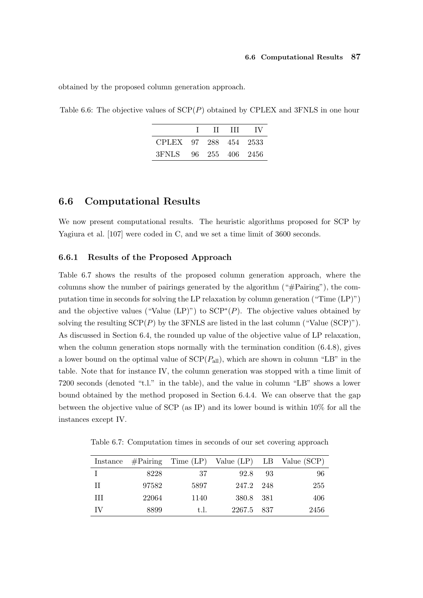obtained by the proposed column generation approach.

Table 6.6: The objective values of  $SCP(P)$  obtained by CPLEX and 3FNLS in one hour

|                       |  | -IV |
|-----------------------|--|-----|
| CPLEX 97 288 454 2533 |  |     |
| 3FNLS 96 255 406 2456 |  |     |

## 6.6 Computational Results

We now present computational results. The heuristic algorithms proposed for SCP by Yagiura et al. [107] were coded in C, and we set a time limit of 3600 seconds.

#### 6.6.1 Results of the Proposed Approach

Table 6.7 shows the results of the proposed column generation approach, where the columns show the number of pairings generated by the algorithm ("#Pairing"), the computation time in seconds for solving the LP relaxation by column generation ("Time (LP)") and the objective values ("Value  $(LP)$ ") to  $SCP^*(P)$ . The objective values obtained by solving the resulting  $\text{SCP}(P)$  by the 3FNLS are listed in the last column ("Value (SCP)"). As discussed in Section 6.4, the rounded up value of the objective value of LP relaxation, when the column generation stops normally with the termination condition  $(6.4.8)$ , gives a lower bound on the optimal value of  $\text{SCP}(P_{\text{all}})$ , which are shown in column "LB" in the table. Note that for instance IV, the column generation was stopped with a time limit of 7200 seconds (denoted "t.l." in the table), and the value in column "LB" shows a lower bound obtained by the method proposed in Section 6.4.4. We can observe that the gap between the objective value of SCP (as IP) and its lower bound is within 10% for all the instances except IV.

Table 6.7: Computation times in seconds of our set covering approach

|      |       |      |            | Instance $\# \text{Pairing}$ Time (LP) Value (LP) LB Value (SCP) |
|------|-------|------|------------|------------------------------------------------------------------|
|      | 8228  | -37  | 92.8 93    | 96                                                               |
| - II | 97582 | 5897 | 247.2 248  | 255                                                              |
| Ш    | 22064 | 1140 | 380.8 381  | 406                                                              |
| TV   | 8899  | t.l. | 2267.5 837 | 2456                                                             |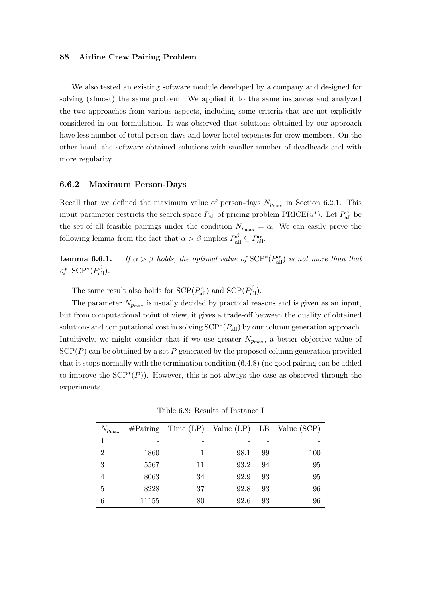We also tested an existing software module developed by a company and designed for solving (almost) the same problem. We applied it to the same instances and analyzed the two approaches from various aspects, including some criteria that are not explicitly considered in our formulation. It was observed that solutions obtained by our approach have less number of total person-days and lower hotel expenses for crew members. On the other hand, the software obtained solutions with smaller number of deadheads and with more regularity.

#### 6.6.2 Maximum Person-Days

Recall that we defined the maximum value of person-days  $N_{p_{\text{max}}}$  in Section 6.2.1. This input parameter restricts the search space  $P_{\text{all}}$  of pricing problem  $\text{PRICE}(u^*)$ . Let  $P_{\text{all}}^{\alpha}$  be the set of all feasible pairings under the condition  $N_{p_{\text{max}}} = \alpha$ . We can easily prove the following lemma from the fact that  $\alpha > \beta$  implies  $P_{\text{all}}^{\beta} \subseteq P_{\text{all}}^{\alpha}$ .

**Lemma 6.6.1.** If  $\alpha > \beta$  holds, the optimal value of SCP<sup>\*</sup>( $P_{\text{all}}^{\alpha}$ ) is not more than that of  $\text{SCP}^*(P_{\text{all}}^{\beta})$ .

The same result also holds for  $\text{SCP}(P_{\text{all}}^{\alpha})$  and  $\text{SCP}(P_{\text{all}}^{\beta})$ .

The parameter  $N_{p_{\text{max}}}$  is usually decided by practical reasons and is given as an input, but from computational point of view, it gives a trade-off between the quality of obtained solutions and computational cost in solving  $\text{SCP}^*(P_{\text{all}})$  by our column generation approach. Intuitively, we might consider that if we use greater  $N_{p_{\text{max}}}$ , a better objective value of  $\text{SCP}(P)$  can be obtained by a set P generated by the proposed column generation provided that it stops normally with the termination condition (6.4.8) (no good pairing can be added to improve the  $SCP^*(P)$ ). However, this is not always the case as observed through the experiments.

Table 6.8: Results of Instance I

| $N_{p_{\max}}$ |       |    |      |    | $\# \text{Pairing}$ Time (LP) Value (LP) LB Value (SCP) |
|----------------|-------|----|------|----|---------------------------------------------------------|
|                |       |    |      |    |                                                         |
| $\overline{2}$ | 1860  |    | 98.1 | 99 | 100                                                     |
| 3              | 5567  | 11 | 93.2 | 94 | 95                                                      |
| 4              | 8063  | 34 | 92.9 | 93 | 95                                                      |
| 5              | 8228  | 37 | 92.8 | 93 | 96                                                      |
| 6              | 11155 | 80 | 92.6 | 93 | 96                                                      |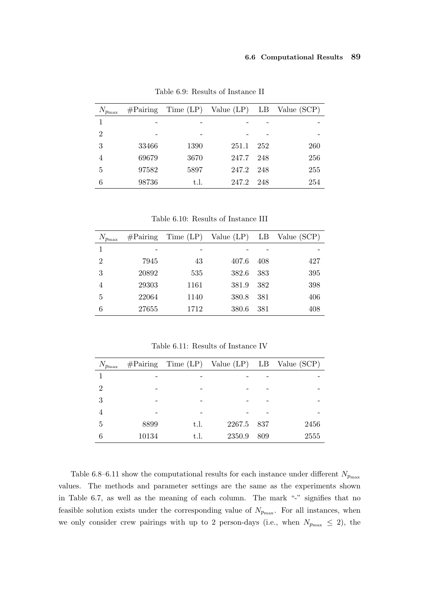| $N_{p_{\max}}$ | $\# \mathrm{Pairing}$ |      |       |       | Time $(LP)$ Value $(LP)$ LB Value $(SCP)$ |
|----------------|-----------------------|------|-------|-------|-------------------------------------------|
| 1              |                       |      |       |       |                                           |
| $\overline{2}$ | -                     |      |       |       |                                           |
| 3              | 33466                 | 1390 | 251.1 | 252   | 260                                       |
| 4              | 69679                 | 3670 | 247.7 | 248   | 256                                       |
| 5              | 97582                 | 5897 | 247.2 | 248   | 255                                       |
| 6              | 98736                 | t.l. | 247.2 | - 248 | 254                                       |

Table 6.9: Results of Instance II

Table 6.10: Results of Instance III

| $N_{p_{\max}}$ | $\#\text{Pairing}$ |      |       |     | Time (LP) Value (LP) LB Value (SCP) |
|----------------|--------------------|------|-------|-----|-------------------------------------|
| 1              |                    |      |       |     |                                     |
| $\overline{2}$ | 7945               | 43   | 407.6 | 408 | 427                                 |
| 3              | 20892              | 535  | 382.6 | 383 | 395                                 |
| $\overline{4}$ | 29303              | 1161 | 381.9 | 382 | 398                                 |
| 5              | 22064              | 1140 | 380.8 | 381 | 406                                 |
| 6              | 27655              | 1712 | 380.6 | 381 | 408                                 |

Table 6.11: Results of Instance IV

| $N_{p_{\max}}$ |       |      |        |     | $\# \text{Pairing}$ Time (LP) Value (LP) LB Value (SCP) |
|----------------|-------|------|--------|-----|---------------------------------------------------------|
|                |       |      |        |     |                                                         |
| $\overline{2}$ |       |      |        |     |                                                         |
| 3              |       |      |        |     |                                                         |
|                |       |      |        |     |                                                         |
| 5              | 8899  | t.l. | 2267.5 | 837 | 2456                                                    |
|                | 10134 | t.l. | 2350.9 | 809 | 2555                                                    |

Table 6.8–6.11 show the computational results for each instance under different  $N_{p_{\max}}$ values. The methods and parameter settings are the same as the experiments shown in Table 6.7, as well as the meaning of each column. The mark "-" signifies that no feasible solution exists under the corresponding value of  $N_{p_{\text{max}}}$ . For all instances, when we only consider crew pairings with up to 2 person-days (i.e., when  $N_{p_{\text{max}}} \leq 2$ ), the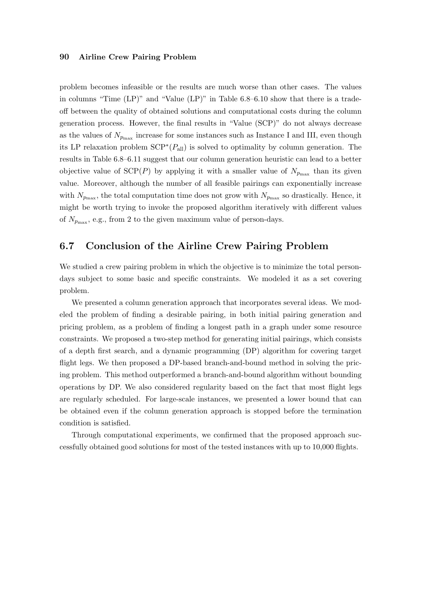problem becomes infeasible or the results are much worse than other cases. The values in columns "Time (LP)" and "Value (LP)" in Table 6.8–6.10 show that there is a tradeoff between the quality of obtained solutions and computational costs during the column generation process. However, the final results in "Value (SCP)" do not always decrease as the values of  $N_{p_{\text{max}}}$  increase for some instances such as Instance I and III, even though its LP relaxation problem  $\text{SCP}^*(P_{\text{all}})$  is solved to optimality by column generation. The results in Table 6.8–6.11 suggest that our column generation heuristic can lead to a better objective value of  $\text{SCP}(P)$  by applying it with a smaller value of  $N_{p_{\text{max}}}$  than its given value. Moreover, although the number of all feasible pairings can exponentially increase with  $N_{p_{\text{max}}}$ , the total computation time does not grow with  $N_{p_{\text{max}}}$  so drastically. Hence, it might be worth trying to invoke the proposed algorithm iteratively with different values of  $N_{p_{\text{max}}}$ , e.g., from 2 to the given maximum value of person-days.

# 6.7 Conclusion of the Airline Crew Pairing Problem

We studied a crew pairing problem in which the objective is to minimize the total persondays subject to some basic and specific constraints. We modeled it as a set covering problem.

We presented a column generation approach that incorporates several ideas. We modeled the problem of finding a desirable pairing, in both initial pairing generation and pricing problem, as a problem of finding a longest path in a graph under some resource constraints. We proposed a two-step method for generating initial pairings, which consists of a depth first search, and a dynamic programming (DP) algorithm for covering target flight legs. We then proposed a DP-based branch-and-bound method in solving the pricing problem. This method outperformed a branch-and-bound algorithm without bounding operations by DP. We also considered regularity based on the fact that most flight legs are regularly scheduled. For large-scale instances, we presented a lower bound that can be obtained even if the column generation approach is stopped before the termination condition is satisfied.

Through computational experiments, we confirmed that the proposed approach successfully obtained good solutions for most of the tested instances with up to 10,000 flights.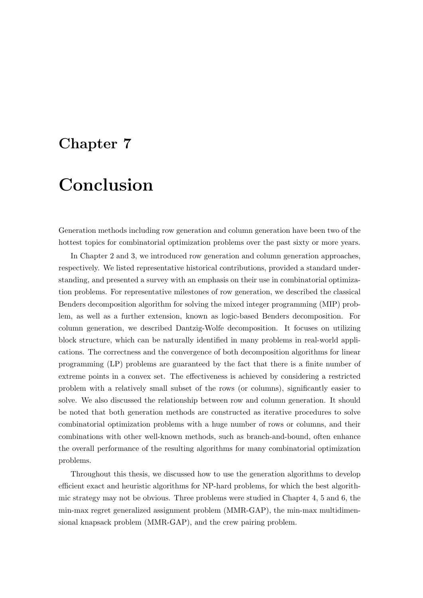### Chapter 7

## Conclusion

Generation methods including row generation and column generation have been two of the hottest topics for combinatorial optimization problems over the past sixty or more years.

In Chapter 2 and 3, we introduced row generation and column generation approaches, respectively. We listed representative historical contributions, provided a standard understanding, and presented a survey with an emphasis on their use in combinatorial optimization problems. For representative milestones of row generation, we described the classical Benders decomposition algorithm for solving the mixed integer programming (MIP) problem, as well as a further extension, known as logic-based Benders decomposition. For column generation, we described Dantzig-Wolfe decomposition. It focuses on utilizing block structure, which can be naturally identified in many problems in real-world applications. The correctness and the convergence of both decomposition algorithms for linear programming (LP) problems are guaranteed by the fact that there is a finite number of extreme points in a convex set. The effectiveness is achieved by considering a restricted problem with a relatively small subset of the rows (or columns), significantly easier to solve. We also discussed the relationship between row and column generation. It should be noted that both generation methods are constructed as iterative procedures to solve combinatorial optimization problems with a huge number of rows or columns, and their combinations with other well-known methods, such as branch-and-bound, often enhance the overall performance of the resulting algorithms for many combinatorial optimization problems.

Throughout this thesis, we discussed how to use the generation algorithms to develop efficient exact and heuristic algorithms for NP-hard problems, for which the best algorithmic strategy may not be obvious. Three problems were studied in Chapter 4, 5 and 6, the min-max regret generalized assignment problem (MMR-GAP), the min-max multidimensional knapsack problem (MMR-GAP), and the crew pairing problem.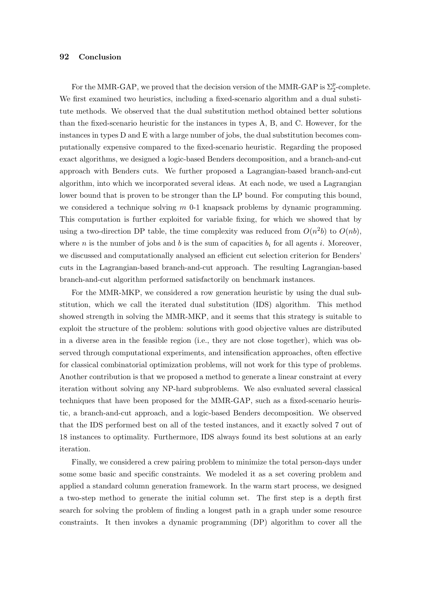### 92 Conclusion

For the MMR-GAP, we proved that the decision version of the MMR-GAP is  $\Sigma_2^p$ -complete. We first examined two heuristics, including a fixed-scenario algorithm and a dual substitute methods. We observed that the dual substitution method obtained better solutions than the fixed-scenario heuristic for the instances in types A, B, and C. However, for the instances in types D and E with a large number of jobs, the dual substitution becomes computationally expensive compared to the fixed-scenario heuristic. Regarding the proposed exact algorithms, we designed a logic-based Benders decomposition, and a branch-and-cut approach with Benders cuts. We further proposed a Lagrangian-based branch-and-cut algorithm, into which we incorporated several ideas. At each node, we used a Lagrangian lower bound that is proven to be stronger than the LP bound. For computing this bound, we considered a technique solving  $m$  0-1 knapsack problems by dynamic programming. This computation is further exploited for variable fixing, for which we showed that by using a two-direction DP table, the time complexity was reduced from  $O(n^2b)$  to  $O(nb)$ , where n is the number of jobs and b is the sum of capacities  $b_i$  for all agents i. Moreover, we discussed and computationally analysed an efficient cut selection criterion for Benders' cuts in the Lagrangian-based branch-and-cut approach. The resulting Lagrangian-based branch-and-cut algorithm performed satisfactorily on benchmark instances.

For the MMR-MKP, we considered a row generation heuristic by using the dual substitution, which we call the iterated dual substitution (IDS) algorithm. This method showed strength in solving the MMR-MKP, and it seems that this strategy is suitable to exploit the structure of the problem: solutions with good objective values are distributed in a diverse area in the feasible region (i.e., they are not close together), which was observed through computational experiments, and intensification approaches, often effective for classical combinatorial optimization problems, will not work for this type of problems. Another contribution is that we proposed a method to generate a linear constraint at every iteration without solving any NP-hard subproblems. We also evaluated several classical techniques that have been proposed for the MMR-GAP, such as a fixed-scenario heuristic, a branch-and-cut approach, and a logic-based Benders decomposition. We observed that the IDS performed best on all of the tested instances, and it exactly solved 7 out of 18 instances to optimality. Furthermore, IDS always found its best solutions at an early iteration.

Finally, we considered a crew pairing problem to minimize the total person-days under some some basic and specific constraints. We modeled it as a set covering problem and applied a standard column generation framework. In the warm start process, we designed a two-step method to generate the initial column set. The first step is a depth first search for solving the problem of finding a longest path in a graph under some resource constraints. It then invokes a dynamic programming (DP) algorithm to cover all the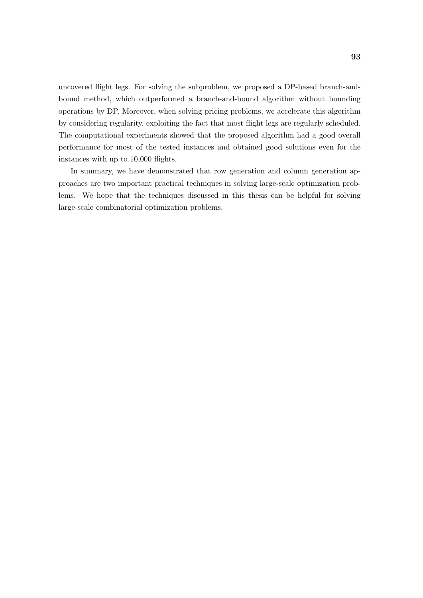uncovered flight legs. For solving the subproblem, we proposed a DP-based branch-andbound method, which outperformed a branch-and-bound algorithm without bounding operations by DP. Moreover, when solving pricing problems, we accelerate this algorithm by considering regularity, exploiting the fact that most flight legs are regularly scheduled. The computational experiments showed that the proposed algorithm had a good overall performance for most of the tested instances and obtained good solutions even for the instances with up to 10,000 flights.

In summary, we have demonstrated that row generation and column generation approaches are two important practical techniques in solving large-scale optimization problems. We hope that the techniques discussed in this thesis can be helpful for solving large-scale combinatorial optimization problems.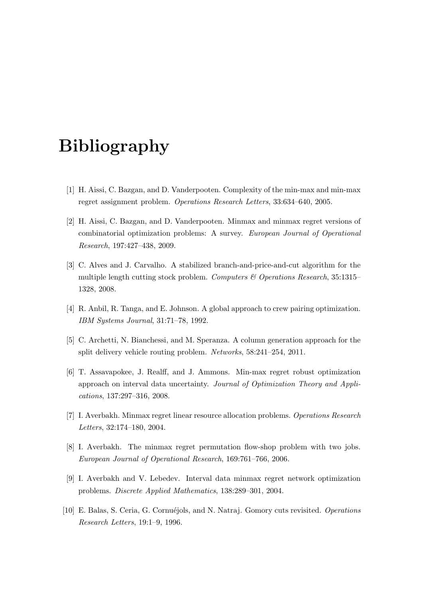# Bibliography

- [1] H. Aissi, C. Bazgan, and D. Vanderpooten. Complexity of the min-max and min-max regret assignment problem. Operations Research Letters, 33:634–640, 2005.
- [2] H. Aissi, C. Bazgan, and D. Vanderpooten. Minmax and minmax regret versions of combinatorial optimization problems: A survey. European Journal of Operational Research, 197:427–438, 2009.
- [3] C. Alves and J. Carvalho. A stabilized branch-and-price-and-cut algorithm for the multiple length cutting stock problem. Computers  $\mathcal C$  Operations Research, 35:1315– 1328, 2008.
- [4] R. Anbil, R. Tanga, and E. Johnson. A global approach to crew pairing optimization. IBM Systems Journal, 31:71–78, 1992.
- [5] C. Archetti, N. Bianchessi, and M. Speranza. A column generation approach for the split delivery vehicle routing problem. Networks, 58:241–254, 2011.
- [6] T. Assavapokee, J. Realff, and J. Ammons. Min-max regret robust optimization approach on interval data uncertainty. Journal of Optimization Theory and Applications, 137:297–316, 2008.
- [7] I. Averbakh. Minmax regret linear resource allocation problems. Operations Research Letters, 32:174–180, 2004.
- [8] I. Averbakh. The minmax regret permutation flow-shop problem with two jobs. European Journal of Operational Research, 169:761–766, 2006.
- [9] I. Averbakh and V. Lebedev. Interval data minmax regret network optimization problems. Discrete Applied Mathematics, 138:289–301, 2004.
- [10] E. Balas, S. Ceria, G. Cornuéjols, and N. Natraj. Gomory cuts revisited. *Operations* Research Letters, 19:1–9, 1996.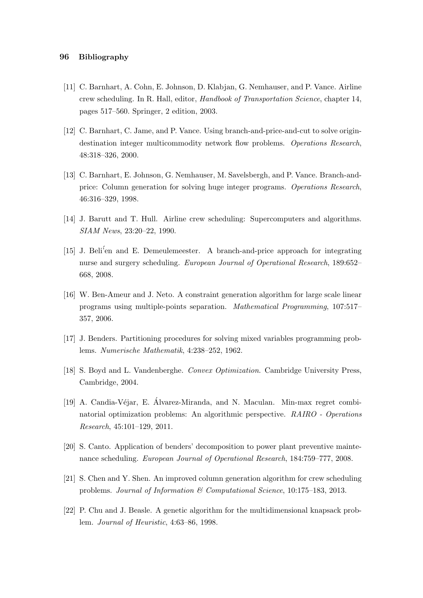- [11] C. Barnhart, A. Cohn, E. Johnson, D. Klabjan, G. Nemhauser, and P. Vance. Airline crew scheduling. In R. Hall, editor, Handbook of Transportation Science, chapter 14, pages 517–560. Springer, 2 edition, 2003.
- [12] C. Barnhart, C. Jame, and P. Vance. Using branch-and-price-and-cut to solve origindestination integer multicommodity network flow problems. Operations Research, 48:318–326, 2000.
- [13] C. Barnhart, E. Johnson, G. Nemhauser, M. Savelsbergh, and P. Vance. Branch-andprice: Column generation for solving huge integer programs. Operations Research, 46:316–329, 1998.
- [14] J. Barutt and T. Hull. Airline crew scheduling: Supercomputers and algorithms. SIAM News, 23:20–22, 1990.
- [15] J. Beli'en and E. Demeulemeester. A branch-and-price approach for integrating nurse and surgery scheduling. European Journal of Operational Research, 189:652– 668, 2008.
- [16] W. Ben-Ameur and J. Neto. A constraint generation algorithm for large scale linear programs using multiple-points separation. Mathematical Programming, 107:517– 357, 2006.
- [17] J. Benders. Partitioning procedures for solving mixed variables programming problems. Numerische Mathematik, 4:238–252, 1962.
- [18] S. Boyd and L. Vandenberghe. Convex Optimization. Cambridge University Press, Cambridge, 2004.
- [19] A. Candia-Véjar, E. Álvarez-Miranda, and N. Maculan. Min-max regret combinatorial optimization problems: An algorithmic perspective. RAIRO - Operations Research, 45:101–129, 2011.
- [20] S. Canto. Application of benders' decomposition to power plant preventive maintenance scheduling. European Journal of Operational Research, 184:759–777, 2008.
- [21] S. Chen and Y. Shen. An improved column generation algorithm for crew scheduling problems. Journal of Information & Computational Science, 10:175–183, 2013.
- [22] P. Chu and J. Beasle. A genetic algorithm for the multidimensional knapsack problem. Journal of Heuristic, 4:63–86, 1998.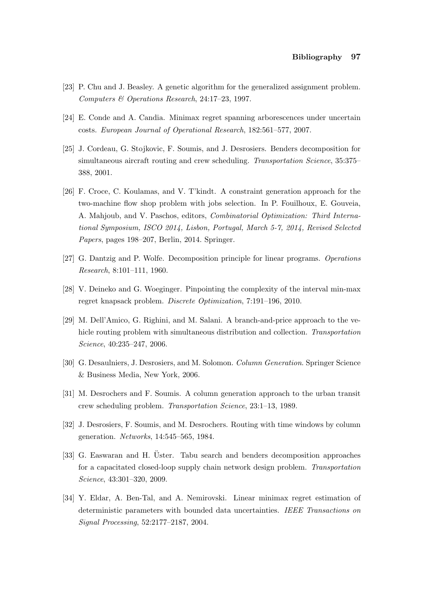- [23] P. Chu and J. Beasley. A genetic algorithm for the generalized assignment problem. Computers & Operations Research, 24:17–23, 1997.
- [24] E. Conde and A. Candia. Minimax regret spanning arborescences under uncertain costs. European Journal of Operational Research, 182:561–577, 2007.
- [25] J. Cordeau, G. Stojkovic, F. Soumis, and J. Desrosiers. Benders decomposition for simultaneous aircraft routing and crew scheduling. Transportation Science, 35:375– 388, 2001.
- [26] F. Croce, C. Koulamas, and V. T'kindt. A constraint generation approach for the two-machine flow shop problem with jobs selection. In P. Fouilhoux, E. Gouveia, A. Mahjoub, and V. Paschos, editors, Combinatorial Optimization: Third International Symposium, ISCO 2014, Lisbon, Portugal, March 5-7, 2014, Revised Selected Papers, pages 198–207, Berlin, 2014. Springer.
- [27] G. Dantzig and P. Wolfe. Decomposition principle for linear programs. Operations Research, 8:101–111, 1960.
- [28] V. Deineko and G. Woeginger. Pinpointing the complexity of the interval min-max regret knapsack problem. Discrete Optimization, 7:191–196, 2010.
- [29] M. Dell'Amico, G. Righini, and M. Salani. A branch-and-price approach to the vehicle routing problem with simultaneous distribution and collection. Transportation Science, 40:235–247, 2006.
- [30] G. Desaulniers, J. Desrosiers, and M. Solomon. *Column Generation*. Springer Science & Business Media, New York, 2006.
- [31] M. Desrochers and F. Soumis. A column generation approach to the urban transit crew scheduling problem. Transportation Science, 23:1–13, 1989.
- [32] J. Desrosiers, F. Soumis, and M. Desrochers. Routing with time windows by column generation. Networks, 14:545–565, 1984.
- [33] G. Easwaran and H. Uster. Tabu search and benders decomposition approaches for a capacitated closed-loop supply chain network design problem. Transportation Science, 43:301–320, 2009.
- [34] Y. Eldar, A. Ben-Tal, and A. Nemirovski. Linear minimax regret estimation of deterministic parameters with bounded data uncertainties. IEEE Transactions on Signal Processing, 52:2177–2187, 2004.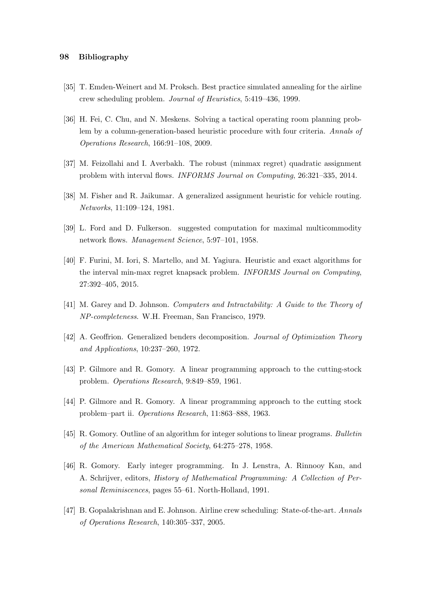### 98 Bibliography

- [35] T. Emden-Weinert and M. Proksch. Best practice simulated annealing for the airline crew scheduling problem. Journal of Heuristics, 5:419–436, 1999.
- [36] H. Fei, C. Chu, and N. Meskens. Solving a tactical operating room planning problem by a column-generation-based heuristic procedure with four criteria. Annals of Operations Research, 166:91–108, 2009.
- [37] M. Feizollahi and I. Averbakh. The robust (minmax regret) quadratic assignment problem with interval flows. INFORMS Journal on Computing, 26:321–335, 2014.
- [38] M. Fisher and R. Jaikumar. A generalized assignment heuristic for vehicle routing. Networks, 11:109–124, 1981.
- [39] L. Ford and D. Fulkerson. suggested computation for maximal multicommodity network flows. Management Science, 5:97–101, 1958.
- [40] F. Furini, M. Iori, S. Martello, and M. Yagiura. Heuristic and exact algorithms for the interval min-max regret knapsack problem. INFORMS Journal on Computing, 27:392–405, 2015.
- [41] M. Garey and D. Johnson. Computers and Intractability: A Guide to the Theory of NP-completeness. W.H. Freeman, San Francisco, 1979.
- [42] A. Geoffrion. Generalized benders decomposition. Journal of Optimization Theory and Applications, 10:237–260, 1972.
- [43] P. Gilmore and R. Gomory. A linear programming approach to the cutting-stock problem. Operations Research, 9:849–859, 1961.
- [44] P. Gilmore and R. Gomory. A linear programming approach to the cutting stock problem–part ii. Operations Research, 11:863–888, 1963.
- [45] R. Gomory. Outline of an algorithm for integer solutions to linear programs. Bulletin of the American Mathematical Society, 64:275–278, 1958.
- [46] R. Gomory. Early integer programming. In J. Lenstra, A. Rinnooy Kan, and A. Schrijver, editors, History of Mathematical Programming: A Collection of Personal Reminiscences, pages 55–61. North-Holland, 1991.
- [47] B. Gopalakrishnan and E. Johnson. Airline crew scheduling: State-of-the-art. Annals of Operations Research, 140:305–337, 2005.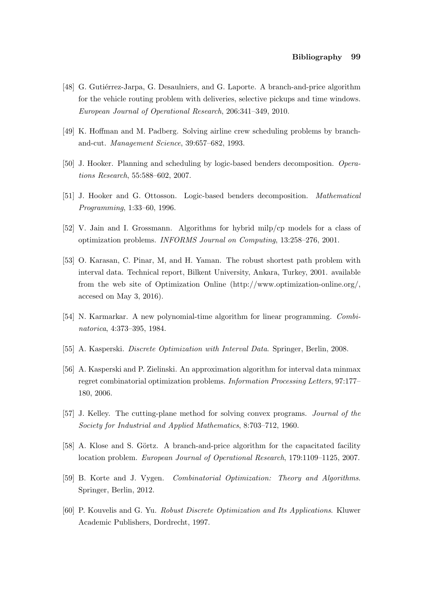- [48] G. Gutiérrez-Jarpa, G. Desaulniers, and G. Laporte. A branch-and-price algorithm for the vehicle routing problem with deliveries, selective pickups and time windows. European Journal of Operational Research, 206:341–349, 2010.
- [49] K. Hoffman and M. Padberg. Solving airline crew scheduling problems by branchand-cut. Management Science, 39:657–682, 1993.
- [50] J. Hooker. Planning and scheduling by logic-based benders decomposition. Operations Research, 55:588–602, 2007.
- [51] J. Hooker and G. Ottosson. Logic-based benders decomposition. Mathematical Programming, 1:33–60, 1996.
- [52] V. Jain and I. Grossmann. Algorithms for hybrid milp/cp models for a class of optimization problems. INFORMS Journal on Computing, 13:258–276, 2001.
- [53] O. Karasan, C. Pinar, M, and H. Yaman. The robust shortest path problem with interval data. Technical report, Bilkent University, Ankara, Turkey, 2001. available from the web site of Optimization Online (http://www.optimization-online.org/, accesed on May 3, 2016).
- [54] N. Karmarkar. A new polynomial-time algorithm for linear programming. Combinatorica, 4:373–395, 1984.
- [55] A. Kasperski. Discrete Optimization with Interval Data. Springer, Berlin, 2008.
- [56] A. Kasperski and P. Zielinski. An approximation algorithm for interval data minmax regret combinatorial optimization problems. Information Processing Letters, 97:177– 180, 2006.
- [57] J. Kelley. The cutting-plane method for solving convex programs. Journal of the Society for Industrial and Applied Mathematics, 8:703–712, 1960.
- [58] A. Klose and S. Görtz. A branch-and-price algorithm for the capacitated facility location problem. European Journal of Operational Research, 179:1109–1125, 2007.
- [59] B. Korte and J. Vygen. Combinatorial Optimization: Theory and Algorithms. Springer, Berlin, 2012.
- [60] P. Kouvelis and G. Yu. Robust Discrete Optimization and Its Applications. Kluwer Academic Publishers, Dordrecht, 1997.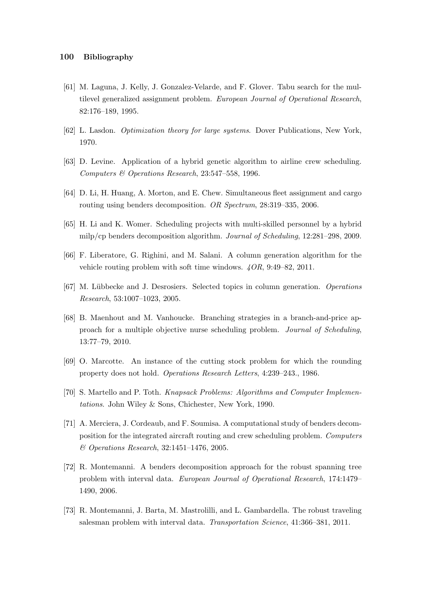- [61] M. Laguna, J. Kelly, J. Gonzalez-Velarde, and F. Glover. Tabu search for the multilevel generalized assignment problem. European Journal of Operational Research, 82:176–189, 1995.
- [62] L. Lasdon. Optimization theory for large systems. Dover Publications, New York, 1970.
- [63] D. Levine. Application of a hybrid genetic algorithm to airline crew scheduling. Computers & Operations Research, 23:547–558, 1996.
- [64] D. Li, H. Huang, A. Morton, and E. Chew. Simultaneous fleet assignment and cargo routing using benders decomposition. OR Spectrum, 28:319–335, 2006.
- [65] H. Li and K. Womer. Scheduling projects with multi-skilled personnel by a hybrid milp/cp benders decomposition algorithm. Journal of Scheduling, 12:281–298, 2009.
- [66] F. Liberatore, G. Righini, and M. Salani. A column generation algorithm for the vehicle routing problem with soft time windows. 4OR, 9:49–82, 2011.
- [67] M. L¨ubbecke and J. Desrosiers. Selected topics in column generation. Operations Research, 53:1007–1023, 2005.
- [68] B. Maenhout and M. Vanhoucke. Branching strategies in a branch-and-price approach for a multiple objective nurse scheduling problem. Journal of Scheduling, 13:77–79, 2010.
- [69] O. Marcotte. An instance of the cutting stock problem for which the rounding property does not hold. Operations Research Letters, 4:239–243., 1986.
- [70] S. Martello and P. Toth. Knapsack Problems: Algorithms and Computer Implementations. John Wiley & Sons, Chichester, New York, 1990.
- [71] A. Merciera, J. Cordeaub, and F. Soumisa. A computational study of benders decomposition for the integrated aircraft routing and crew scheduling problem. Computers & Operations Research, 32:1451–1476, 2005.
- [72] R. Montemanni. A benders decomposition approach for the robust spanning tree problem with interval data. European Journal of Operational Research, 174:1479– 1490, 2006.
- [73] R. Montemanni, J. Barta, M. Mastrolilli, and L. Gambardella. The robust traveling salesman problem with interval data. Transportation Science, 41:366–381, 2011.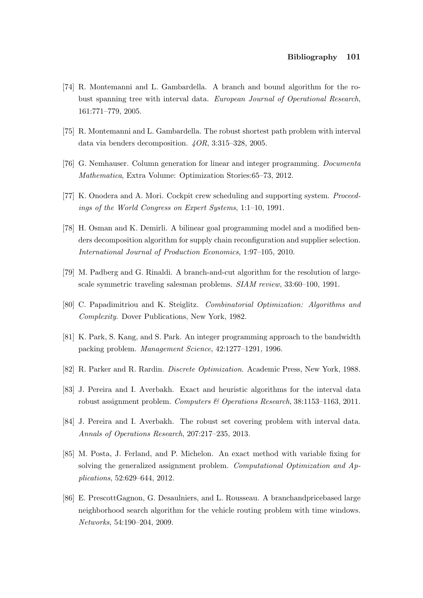#### Bibliography 101

- [74] R. Montemanni and L. Gambardella. A branch and bound algorithm for the robust spanning tree with interval data. European Journal of Operational Research, 161:771–779, 2005.
- [75] R. Montemanni and L. Gambardella. The robust shortest path problem with interval data via benders decomposition. 4OR, 3:315–328, 2005.
- [76] G. Nemhauser. Column generation for linear and integer programming. Documenta Mathematica, Extra Volume: Optimization Stories:65–73, 2012.
- [77] K. Onodera and A. Mori. Cockpit crew scheduling and supporting system. Proceedings of the World Congress on Expert Systems, 1:1–10, 1991.
- [78] H. Osman and K. Demirli. A bilinear goal programming model and a modified benders decomposition algorithm for supply chain reconfiguration and supplier selection. International Journal of Production Economics, 1:97–105, 2010.
- [79] M. Padberg and G. Rinaldi. A branch-and-cut algorithm for the resolution of largescale symmetric traveling salesman problems. SIAM review, 33:60–100, 1991.
- [80] C. Papadimitriou and K. Steiglitz. Combinatorial Optimization: Algorithms and Complexity. Dover Publications, New York, 1982.
- [81] K. Park, S. Kang, and S. Park. An integer programming approach to the bandwidth packing problem. Management Science, 42:1277–1291, 1996.
- [82] R. Parker and R. Rardin. Discrete Optimization. Academic Press, New York, 1988.
- [83] J. Pereira and I. Averbakh. Exact and heuristic algorithms for the interval data robust assignment problem. Computers & Operations Research, 38:1153–1163, 2011.
- [84] J. Pereira and I. Averbakh. The robust set covering problem with interval data. Annals of Operations Research, 207:217–235, 2013.
- [85] M. Posta, J. Ferland, and P. Michelon. An exact method with variable fixing for solving the generalized assignment problem. Computational Optimization and Applications, 52:629–644, 2012.
- [86] E. PrescottGagnon, G. Desaulniers, and L. Rousseau. A branchandpricebased large neighborhood search algorithm for the vehicle routing problem with time windows. Networks, 54:190–204, 2009.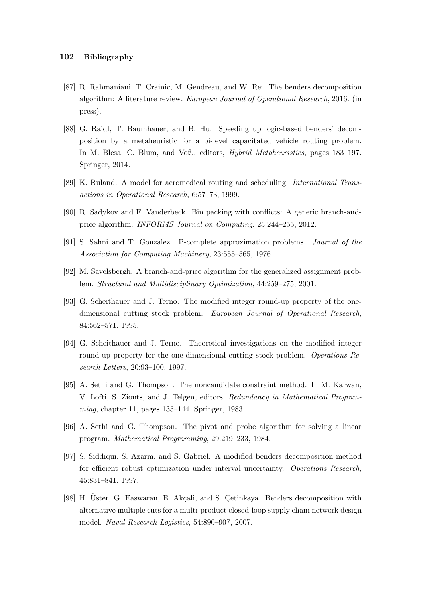- [87] R. Rahmaniani, T. Crainic, M. Gendreau, and W. Rei. The benders decomposition algorithm: A literature review. European Journal of Operational Research, 2016. (in press).
- [88] G. Raidl, T. Baumhauer, and B. Hu. Speeding up logic-based benders' decomposition by a metaheuristic for a bi-level capacitated vehicle routing problem. In M. Blesa, C. Blum, and Voß., editors, Hybrid Metaheuristics, pages 183–197. Springer, 2014.
- [89] K. Ruland. A model for aeromedical routing and scheduling. International Transactions in Operational Research, 6:57–73, 1999.
- [90] R. Sadykov and F. Vanderbeck. Bin packing with conflicts: A generic branch-andprice algorithm. INFORMS Journal on Computing, 25:244–255, 2012.
- [91] S. Sahni and T. Gonzalez. P-complete approximation problems. Journal of the Association for Computing Machinery, 23:555-565, 1976.
- [92] M. Savelsbergh. A branch-and-price algorithm for the generalized assignment problem. Structural and Multidisciplinary Optimization, 44:259–275, 2001.
- [93] G. Scheithauer and J. Terno. The modified integer round-up property of the onedimensional cutting stock problem. European Journal of Operational Research, 84:562–571, 1995.
- [94] G. Scheithauer and J. Terno. Theoretical investigations on the modified integer round-up property for the one-dimensional cutting stock problem. Operations Research Letters, 20:93–100, 1997.
- [95] A. Sethi and G. Thompson. The noncandidate constraint method. In M. Karwan, V. Lofti, S. Zionts, and J. Telgen, editors, Redundancy in Mathematical Programming, chapter 11, pages 135–144. Springer, 1983.
- [96] A. Sethi and G. Thompson. The pivot and probe algorithm for solving a linear program. Mathematical Programming, 29:219–233, 1984.
- [97] S. Siddiqui, S. Azarm, and S. Gabriel. A modified benders decomposition method for efficient robust optimization under interval uncertainty. Operations Research, 45:831–841, 1997.
- [98] H. Üster, G. Easwaran, E. Akçali, and S. Cetinkaya. Benders decomposition with alternative multiple cuts for a multi-product closed-loop supply chain network design model. Naval Research Logistics, 54:890–907, 2007.